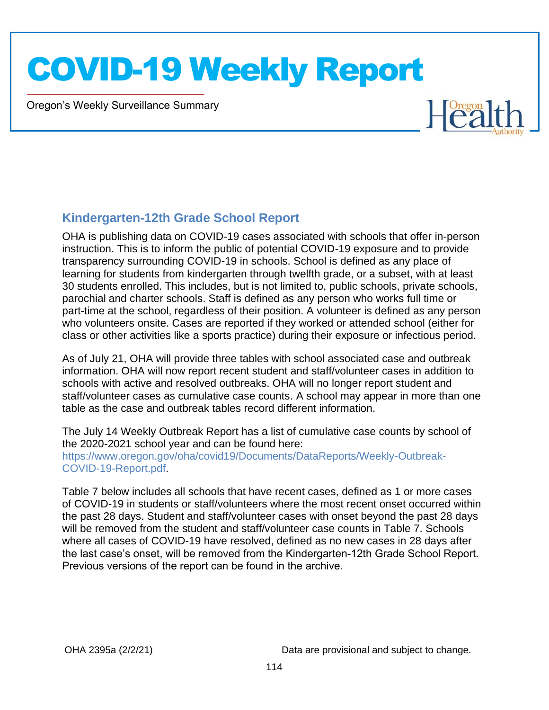Oregon's Weekly Surveillance Summary

Novel Coronavirus (COVID-19)



#### **Kindergarten-12th Grade School Report**

OHA is publishing data on COVID-19 cases associated with schools that offer in-person instruction. This is to inform the public of potential COVID-19 exposure and to provide transparency surrounding COVID-19 in schools. School is defined as any place of learning for students from kindergarten through twelfth grade, or a subset, with at least 30 students enrolled. This includes, but is not limited to, public schools, private schools, parochial and charter schools. Staff is defined as any person who works full time or part-time at the school, regardless of their position. A volunteer is defined as any person who volunteers onsite. Cases are reported if they worked or attended school (either for class or other activities like a sports practice) during their exposure or infectious period.

As of July 21, OHA will provide three tables with school associated case and outbreak information. OHA will now report recent student and staff/volunteer cases in addition to schools with active and resolved outbreaks. OHA will no longer report student and staff/volunteer cases as cumulative case counts. A school may appear in more than one table as the case and outbreak tables record different information.

The July 14 Weekly Outbreak Report has a list of cumulative case counts by school of the 2020-2021 school year and can be found here: https://www.oregon.gov/oha/covid19/Documents/DataReports/Weekly-Outbreak-COVID-19-Report.pdf.

Table 7 below includes all schools that have recent cases, defined as 1 or more cases of COVID-19 in students or staff/volunteers where the most recent onset occurred within the past 28 days. Student and staff/volunteer cases with onset beyond the past 28 days will be removed from the student and staff/volunteer case counts in Table 7. Schools where all cases of COVID-19 have resolved, defined as no new cases in 28 days after the last case's onset, will be removed from the Kindergarten-12th Grade School Report. Previous versions of the report can be found in the archive.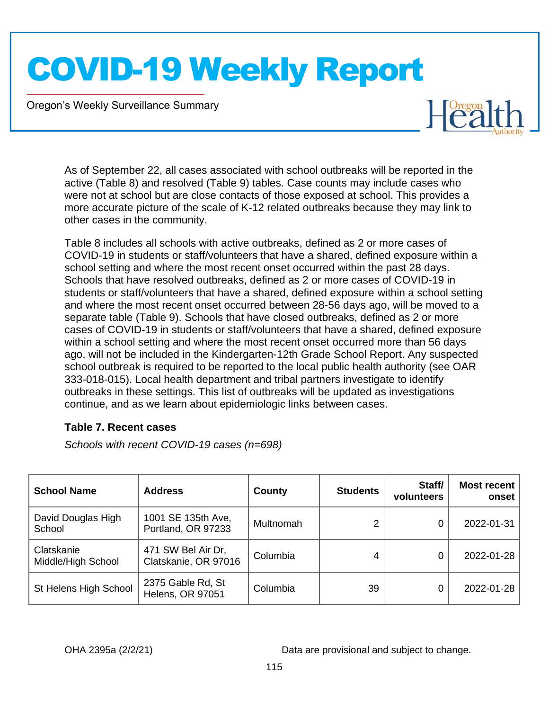Oregon's Weekly Surveillance Summary

Novel Coronavirus (COVID-19)



As of September 22, all cases associated with school outbreaks will be reported in the active (Table 8) and resolved (Table 9) tables. Case counts may include cases who were not at school but are close contacts of those exposed at school. This provides a more accurate picture of the scale of K-12 related outbreaks because they may link to other cases in the community.

Table 8 includes all schools with active outbreaks, defined as 2 or more cases of COVID-19 in students or staff/volunteers that have a shared, defined exposure within a school setting and where the most recent onset occurred within the past 28 days. Schools that have resolved outbreaks, defined as 2 or more cases of COVID-19 in students or staff/volunteers that have a shared, defined exposure within a school setting and where the most recent onset occurred between 28-56 days ago, will be moved to a separate table (Table 9). Schools that have closed outbreaks, defined as 2 or more cases of COVID-19 in students or staff/volunteers that have a shared, defined exposure within a school setting and where the most recent onset occurred more than 56 days ago, will not be included in the Kindergarten-12th Grade School Report. Any suspected school outbreak is required to be reported to the local public health authority (see OAR 333-018-015). Local health department and tribal partners investigate to identify outbreaks in these settings. This list of outbreaks will be updated as investigations continue, and as we learn about epidemiologic links between cases.

#### **Table 7. Recent cases**

*Schools with recent COVID-19 cases (n=698)*

| <b>School Name</b>               | <b>Address</b>                               | County    | <b>Students</b> | Staff/<br>volunteers | <b>Most recent</b><br>onset |
|----------------------------------|----------------------------------------------|-----------|-----------------|----------------------|-----------------------------|
| David Douglas High<br>School     | 1001 SE 135th Ave,<br>Portland, OR 97233     | Multnomah |                 |                      | 2022-01-31                  |
| Clatskanie<br>Middle/High School | 471 SW Bel Air Dr,<br>Clatskanie, OR 97016   | Columbia  |                 | 0                    | 2022-01-28                  |
| St Helens High School            | 2375 Gable Rd, St<br><b>Helens, OR 97051</b> | Columbia  | 39              | 0                    | 2022-01-28                  |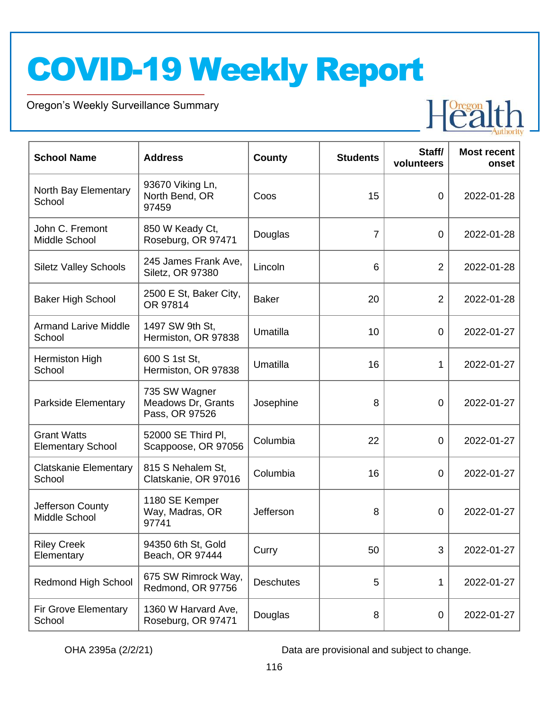Oregon's Weekly Surveillance Summary

Novel Coronavirus (COVID-19)



| <b>School Name</b>                             | <b>Address</b>                                        | <b>County</b>    | <b>Students</b> | Staff/<br>volunteers | <b>Most recent</b><br>onset |
|------------------------------------------------|-------------------------------------------------------|------------------|-----------------|----------------------|-----------------------------|
| North Bay Elementary<br>School                 | 93670 Viking Ln,<br>North Bend, OR<br>97459           | Coos             | 15              | $\overline{0}$       | 2022-01-28                  |
| John C. Fremont<br>Middle School               | 850 W Keady Ct,<br>Roseburg, OR 97471                 | Douglas          | $\overline{7}$  | $\overline{0}$       | 2022-01-28                  |
| <b>Siletz Valley Schools</b>                   | 245 James Frank Ave,<br>Siletz, OR 97380              | Lincoln          | 6               | 2                    | 2022-01-28                  |
| <b>Baker High School</b>                       | 2500 E St, Baker City,<br>OR 97814                    | <b>Baker</b>     | 20              | 2                    | 2022-01-28                  |
| <b>Armand Larive Middle</b><br>School          | 1497 SW 9th St,<br>Hermiston, OR 97838                | Umatilla         | 10              | $\overline{0}$       | 2022-01-27                  |
| Hermiston High<br>School                       | 600 S 1st St,<br>Hermiston, OR 97838                  | Umatilla         | 16              | 1                    | 2022-01-27                  |
| Parkside Elementary                            | 735 SW Wagner<br>Meadows Dr, Grants<br>Pass, OR 97526 | Josephine        | 8               | 0                    | 2022-01-27                  |
| <b>Grant Watts</b><br><b>Elementary School</b> | 52000 SE Third PI,<br>Scappoose, OR 97056             | Columbia         | 22              | $\overline{0}$       | 2022-01-27                  |
| <b>Clatskanie Elementary</b><br>School         | 815 S Nehalem St,<br>Clatskanie, OR 97016             | Columbia         | 16              | 0                    | 2022-01-27                  |
| Jefferson County<br>Middle School              | 1180 SE Kemper<br>Way, Madras, OR<br>97741            | Jefferson        | 8               | 0                    | 2022-01-27                  |
| <b>Riley Creek</b><br>Elementary               | 94350 6th St, Gold<br>Beach, OR 97444                 | Curry            | 50              | 3                    | 2022-01-27                  |
| <b>Redmond High School</b>                     | 675 SW Rimrock Way,<br>Redmond, OR 97756              | <b>Deschutes</b> | 5               | 1                    | 2022-01-27                  |
| Fir Grove Elementary<br>School                 | 1360 W Harvard Ave,<br>Roseburg, OR 97471             | Douglas          | 8               | 0                    | 2022-01-27                  |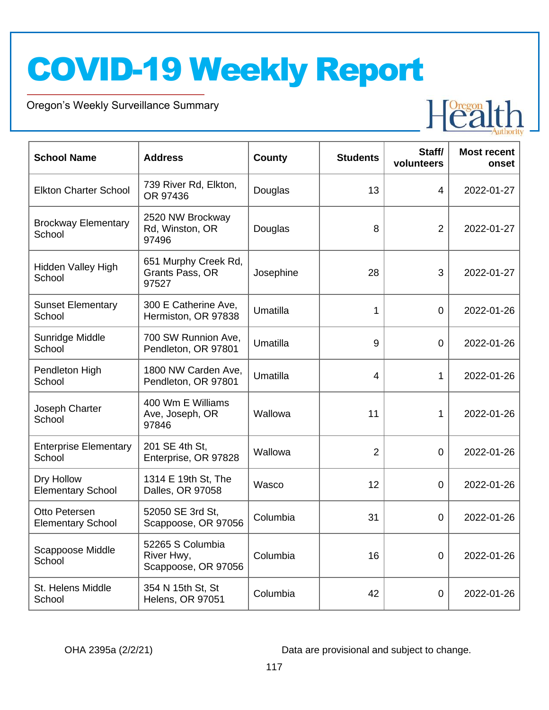Oregon's Weekly Surveillance Summary

Novel Coronavirus (COVID-19)



| <b>School Name</b>                        | <b>Address</b>                                        | <b>County</b> | <b>Students</b> | Staff/<br>volunteers | <b>Most recent</b><br>onset |
|-------------------------------------------|-------------------------------------------------------|---------------|-----------------|----------------------|-----------------------------|
| <b>Elkton Charter School</b>              | 739 River Rd, Elkton,<br>OR 97436                     | Douglas       | 13              | 4                    | 2022-01-27                  |
| <b>Brockway Elementary</b><br>School      | 2520 NW Brockway<br>Rd, Winston, OR<br>97496          | Douglas       | 8               | $\overline{2}$       | 2022-01-27                  |
| <b>Hidden Valley High</b><br>School       | 651 Murphy Creek Rd,<br>Grants Pass, OR<br>97527      | Josephine     | 28              | 3                    | 2022-01-27                  |
| <b>Sunset Elementary</b><br>School        | 300 E Catherine Ave,<br>Hermiston, OR 97838           | Umatilla      | 1               | 0                    | 2022-01-26                  |
| Sunridge Middle<br>School                 | 700 SW Runnion Ave,<br>Pendleton, OR 97801            | Umatilla      | 9               | 0                    | 2022-01-26                  |
| Pendleton High<br>School                  | 1800 NW Carden Ave,<br>Pendleton, OR 97801            | Umatilla      | 4               | 1                    | 2022-01-26                  |
| Joseph Charter<br>School                  | 400 Wm E Williams<br>Ave, Joseph, OR<br>97846         | Wallowa       | 11              | 1                    | 2022-01-26                  |
| <b>Enterprise Elementary</b><br>School    | 201 SE 4th St,<br>Enterprise, OR 97828                | Wallowa       | 2               | 0                    | 2022-01-26                  |
| Dry Hollow<br><b>Elementary School</b>    | 1314 E 19th St, The<br>Dalles, OR 97058               | Wasco         | 12              | 0                    | 2022-01-26                  |
| Otto Petersen<br><b>Elementary School</b> | 52050 SE 3rd St,<br>Scappoose, OR 97056               | Columbia      | 31              | 0                    | 2022-01-26                  |
| Scappoose Middle<br>School                | 52265 S Columbia<br>River Hwy,<br>Scappoose, OR 97056 | Columbia      | 16              | $\boldsymbol{0}$     | 2022-01-26                  |
| St. Helens Middle<br>School               | 354 N 15th St, St<br>Helens, OR 97051                 | Columbia      | 42              | $\pmb{0}$            | 2022-01-26                  |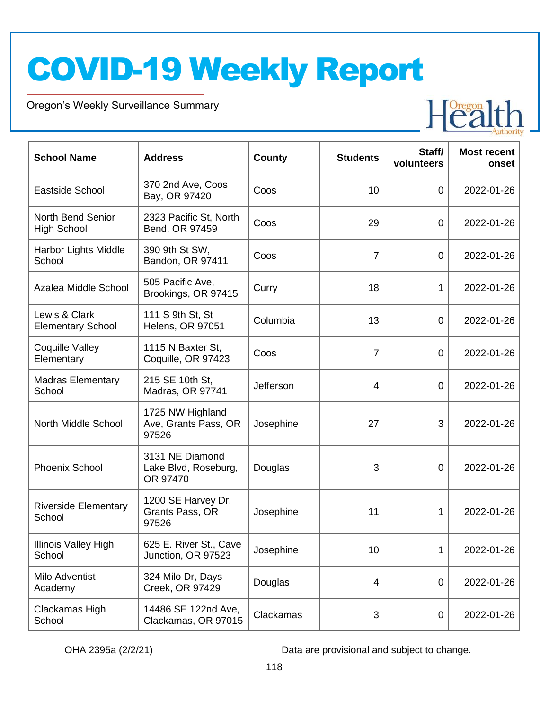Oregon's Weekly Surveillance Summary

Novel Coronavirus (COVID-19)



| <b>School Name</b>                             | <b>Address</b>                                      | <b>County</b> | <b>Students</b> | Staff/<br>volunteers | <b>Most recent</b><br>onset |
|------------------------------------------------|-----------------------------------------------------|---------------|-----------------|----------------------|-----------------------------|
| Eastside School                                | 370 2nd Ave, Coos<br>Bay, OR 97420                  | Coos          | 10              | $\overline{0}$       | 2022-01-26                  |
| <b>North Bend Senior</b><br><b>High School</b> | 2323 Pacific St, North<br>Bend, OR 97459            | Coos          | 29              | 0                    | 2022-01-26                  |
| Harbor Lights Middle<br>School                 | 390 9th St SW,<br>Bandon, OR 97411                  | Coos          | $\overline{7}$  | $\mathbf 0$          | 2022-01-26                  |
| Azalea Middle School                           | 505 Pacific Ave,<br>Brookings, OR 97415             | Curry         | 18              | 1                    | 2022-01-26                  |
| Lewis & Clark<br><b>Elementary School</b>      | 111 S 9th St, St<br><b>Helens, OR 97051</b>         | Columbia      | 13              | $\mathbf 0$          | 2022-01-26                  |
| <b>Coquille Valley</b><br>Elementary           | 1115 N Baxter St,<br>Coquille, OR 97423             | Coos          | $\overline{7}$  | $\mathbf 0$          | 2022-01-26                  |
| <b>Madras Elementary</b><br>School             | 215 SE 10th St,<br>Madras, OR 97741                 | Jefferson     | 4               | 0                    | 2022-01-26                  |
| North Middle School                            | 1725 NW Highland<br>Ave, Grants Pass, OR<br>97526   | Josephine     | 27              | 3                    | 2022-01-26                  |
| <b>Phoenix School</b>                          | 3131 NE Diamond<br>Lake Blvd, Roseburg,<br>OR 97470 | Douglas       | 3               | 0                    | 2022-01-26                  |
| <b>Riverside Elementary</b><br>School          | 1200 SE Harvey Dr,<br>Grants Pass, OR<br>97526      | Josephine     | 11              | 1                    | 2022-01-26                  |
| Illinois Valley High<br>School                 | 625 E. River St., Cave<br>Junction, OR 97523        | Josephine     | 10              | 1                    | 2022-01-26                  |
| Milo Adventist<br>Academy                      | 324 Milo Dr, Days<br>Creek, OR 97429                | Douglas       | 4               | $\boldsymbol{0}$     | 2022-01-26                  |
| Clackamas High<br>School                       | 14486 SE 122nd Ave,<br>Clackamas, OR 97015          | Clackamas     | 3               | 0                    | 2022-01-26                  |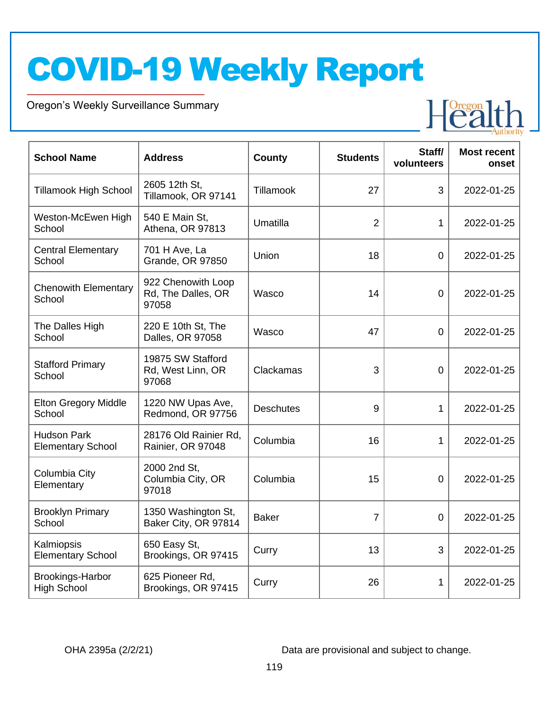Oregon's Weekly Surveillance Summary

Novel Coronavirus (COVID-19)



| <b>School Name</b>                             | <b>Address</b>                                    | County           | <b>Students</b> | Staff/<br>volunteers | <b>Most recent</b><br>onset |
|------------------------------------------------|---------------------------------------------------|------------------|-----------------|----------------------|-----------------------------|
| <b>Tillamook High School</b>                   | 2605 12th St,<br>Tillamook, OR 97141              | Tillamook        | 27              | 3                    | 2022-01-25                  |
| Weston-McEwen High<br>School                   | 540 E Main St,<br>Athena, OR 97813                | Umatilla         | $\overline{2}$  | 1                    | 2022-01-25                  |
| <b>Central Elementary</b><br>School            | 701 H Ave, La<br>Grande, OR 97850                 | Union            | 18              | 0                    | 2022-01-25                  |
| <b>Chenowith Elementary</b><br>School          | 922 Chenowith Loop<br>Rd, The Dalles, OR<br>97058 | Wasco            | 14              | $\overline{0}$       | 2022-01-25                  |
| The Dalles High<br>School                      | 220 E 10th St, The<br>Dalles, OR 97058            | Wasco            | 47              | $\overline{0}$       | 2022-01-25                  |
| <b>Stafford Primary</b><br>School              | 19875 SW Stafford<br>Rd, West Linn, OR<br>97068   | Clackamas        | 3               | $\overline{0}$       | 2022-01-25                  |
| <b>Elton Gregory Middle</b><br>School          | 1220 NW Upas Ave,<br>Redmond, OR 97756            | <b>Deschutes</b> | 9               | 1                    | 2022-01-25                  |
| <b>Hudson Park</b><br><b>Elementary School</b> | 28176 Old Rainier Rd.<br>Rainier, OR 97048        | Columbia         | 16              | 1                    | 2022-01-25                  |
| Columbia City<br>Elementary                    | 2000 2nd St,<br>Columbia City, OR<br>97018        | Columbia         | 15              | $\overline{0}$       | 2022-01-25                  |
| <b>Brooklyn Primary</b><br>School              | 1350 Washington St,<br>Baker City, OR 97814       | <b>Baker</b>     | $\overline{7}$  | $\overline{0}$       | 2022-01-25                  |
| Kalmiopsis<br><b>Elementary School</b>         | 650 Easy St,<br>Brookings, OR 97415               | Curry            | 13              | 3                    | 2022-01-25                  |
| Brookings-Harbor<br><b>High School</b>         | 625 Pioneer Rd,<br>Brookings, OR 97415            | Curry            | 26              | 1                    | 2022-01-25                  |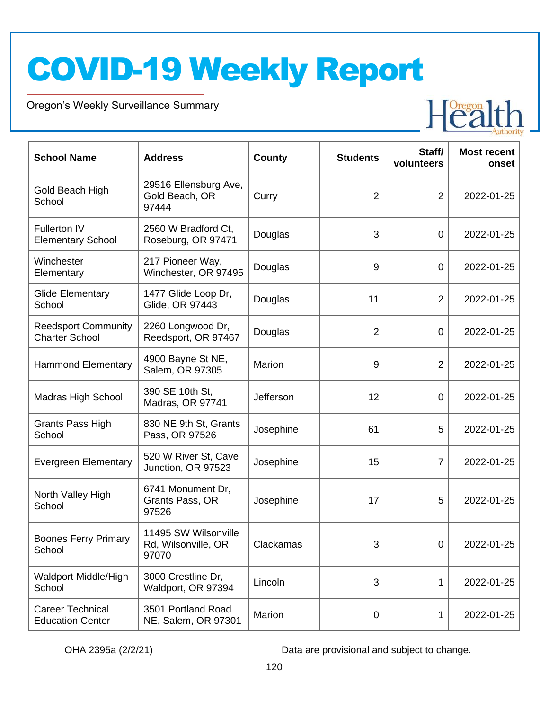Oregon's Weekly Surveillance Summary

Novel Coronavirus (COVID-19)



| <b>School Name</b>                                  | <b>Address</b>                                       | <b>County</b> | <b>Students</b> | Staff/<br>volunteers | <b>Most recent</b><br>onset |
|-----------------------------------------------------|------------------------------------------------------|---------------|-----------------|----------------------|-----------------------------|
| Gold Beach High<br>School                           | 29516 Ellensburg Ave,<br>Gold Beach, OR<br>97444     | Curry         | $\overline{2}$  | $\overline{2}$       | 2022-01-25                  |
| <b>Fullerton IV</b><br><b>Elementary School</b>     | 2560 W Bradford Ct,<br>Roseburg, OR 97471            | Douglas       | 3               | $\mathbf 0$          | 2022-01-25                  |
| Winchester<br>Elementary                            | 217 Pioneer Way,<br>Winchester, OR 97495             | Douglas       | 9               | $\mathbf 0$          | 2022-01-25                  |
| <b>Glide Elementary</b><br>School                   | 1477 Glide Loop Dr,<br>Glide, OR 97443               | Douglas       | 11              | 2                    | 2022-01-25                  |
| <b>Reedsport Community</b><br><b>Charter School</b> | 2260 Longwood Dr,<br>Reedsport, OR 97467             | Douglas       | $\overline{2}$  | $\mathbf 0$          | 2022-01-25                  |
| <b>Hammond Elementary</b>                           | 4900 Bayne St NE,<br>Salem, OR 97305                 | Marion        | 9               | $\overline{2}$       | 2022-01-25                  |
| <b>Madras High School</b>                           | 390 SE 10th St,<br>Madras, OR 97741                  | Jefferson     | 12              | $\mathbf 0$          | 2022-01-25                  |
| Grants Pass High<br>School                          | 830 NE 9th St, Grants<br>Pass, OR 97526              | Josephine     | 61              | 5                    | 2022-01-25                  |
| <b>Evergreen Elementary</b>                         | 520 W River St, Cave<br>Junction, OR 97523           | Josephine     | 15              | 7                    | 2022-01-25                  |
| North Valley High<br>School                         | 6741 Monument Dr,<br>Grants Pass, OR<br>97526        | Josephine     | 17              | 5                    | 2022-01-25                  |
| <b>Boones Ferry Primary</b><br>School               | 11495 SW Wilsonville<br>Rd, Wilsonville, OR<br>97070 | Clackamas     | 3               | $\mathbf 0$          | 2022-01-25                  |
| <b>Waldport Middle/High</b><br>School               | 3000 Crestline Dr,<br>Waldport, OR 97394             | Lincoln       | 3               | 1                    | 2022-01-25                  |
| <b>Career Technical</b><br><b>Education Center</b>  | 3501 Portland Road<br>NE, Salem, OR 97301            | Marion        | 0               | 1                    | 2022-01-25                  |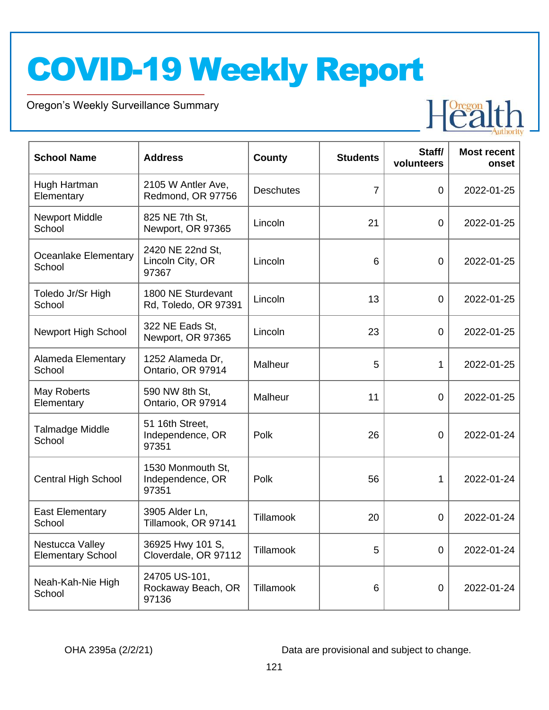Oregon's Weekly Surveillance Summary

Novel Coronavirus (COVID-19)



| <b>School Name</b>                          | <b>Address</b>                                 | <b>County</b>    | <b>Students</b> | Staff/<br>volunteers | <b>Most recent</b><br>onset |
|---------------------------------------------|------------------------------------------------|------------------|-----------------|----------------------|-----------------------------|
| Hugh Hartman<br>Elementary                  | 2105 W Antler Ave,<br>Redmond, OR 97756        | <b>Deschutes</b> | $\overline{7}$  | $\overline{0}$       | 2022-01-25                  |
| <b>Newport Middle</b><br>School             | 825 NE 7th St,<br>Newport, OR 97365            | Lincoln          | 21              | $\overline{0}$       | 2022-01-25                  |
| Oceanlake Elementary<br>School              | 2420 NE 22nd St,<br>Lincoln City, OR<br>97367  | Lincoln          | 6               | $\overline{0}$       | 2022-01-25                  |
| Toledo Jr/Sr High<br>School                 | 1800 NE Sturdevant<br>Rd, Toledo, OR 97391     | Lincoln          | 13              | $\overline{0}$       | 2022-01-25                  |
| Newport High School                         | 322 NE Eads St.<br>Newport, OR 97365           | Lincoln          | 23              | $\overline{0}$       | 2022-01-25                  |
| Alameda Elementary<br>School                | 1252 Alameda Dr,<br>Ontario, OR 97914          | Malheur          | 5               | 1                    | 2022-01-25                  |
| May Roberts<br>Elementary                   | 590 NW 8th St,<br>Ontario, OR 97914            | Malheur          | 11              | $\overline{0}$       | 2022-01-25                  |
| Talmadge Middle<br>School                   | 51 16th Street,<br>Independence, OR<br>97351   | Polk             | 26              | 0                    | 2022-01-24                  |
| <b>Central High School</b>                  | 1530 Monmouth St,<br>Independence, OR<br>97351 | Polk             | 56              | 1                    | 2022-01-24                  |
| <b>East Elementary</b><br>School            | 3905 Alder Ln,<br>Tillamook, OR 97141          | Tillamook        | 20              | 0                    | 2022-01-24                  |
| Nestucca Valley<br><b>Elementary School</b> | 36925 Hwy 101 S,<br>Cloverdale, OR 97112       | Tillamook        | 5               | $\boldsymbol{0}$     | 2022-01-24                  |
| Neah-Kah-Nie High<br>School                 | 24705 US-101,<br>Rockaway Beach, OR<br>97136   | Tillamook        | 6               | $\mathbf 0$          | 2022-01-24                  |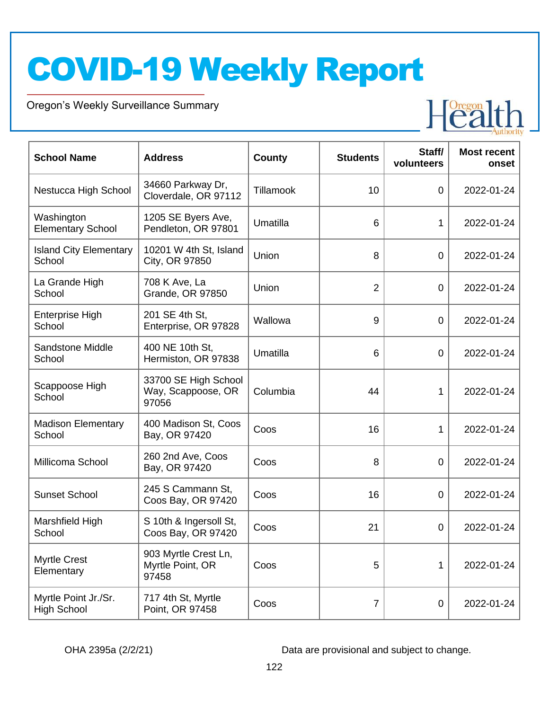Oregon's Weekly Surveillance Summary

Novel Coronavirus (COVID-19)



| <b>School Name</b>                         | <b>Address</b>                                      | <b>County</b> | <b>Students</b> | Staff/<br>volunteers | <b>Most recent</b><br>onset |
|--------------------------------------------|-----------------------------------------------------|---------------|-----------------|----------------------|-----------------------------|
| Nestucca High School                       | 34660 Parkway Dr,<br>Cloverdale, OR 97112           | Tillamook     | 10              | $\mathbf 0$          | 2022-01-24                  |
| Washington<br><b>Elementary School</b>     | 1205 SE Byers Ave,<br>Pendleton, OR 97801           | Umatilla      | 6               | 1                    | 2022-01-24                  |
| <b>Island City Elementary</b><br>School    | 10201 W 4th St, Island<br>City, OR 97850            | Union         | 8               | 0                    | 2022-01-24                  |
| La Grande High<br>School                   | 708 K Ave, La<br><b>Grande, OR 97850</b>            | Union         | $\overline{2}$  | $\mathbf 0$          | 2022-01-24                  |
| <b>Enterprise High</b><br>School           | 201 SE 4th St.<br>Enterprise, OR 97828              | Wallowa       | 9               | $\mathbf 0$          | 2022-01-24                  |
| Sandstone Middle<br>School                 | 400 NE 10th St,<br>Hermiston, OR 97838              | Umatilla      | 6               | 0                    | 2022-01-24                  |
| Scappoose High<br>School                   | 33700 SE High School<br>Way, Scappoose, OR<br>97056 | Columbia      | 44              | 1                    | 2022-01-24                  |
| <b>Madison Elementary</b><br>School        | 400 Madison St, Coos<br>Bay, OR 97420               | Coos          | 16              | 1                    | 2022-01-24                  |
| Millicoma School                           | 260 2nd Ave, Coos<br>Bay, OR 97420                  | Coos          | 8               | 0                    | 2022-01-24                  |
| <b>Sunset School</b>                       | 245 S Cammann St,<br>Coos Bay, OR 97420             | Coos          | 16              | 0                    | 2022-01-24                  |
| Marshfield High<br>School                  | S 10th & Ingersoll St,<br>Coos Bay, OR 97420        | Coos          | 21              | 0                    | 2022-01-24                  |
| <b>Myrtle Crest</b><br>Elementary          | 903 Myrtle Crest Ln,<br>Myrtle Point, OR<br>97458   | Coos          | 5               | 1                    | 2022-01-24                  |
| Myrtle Point Jr./Sr.<br><b>High School</b> | 717 4th St, Myrtle<br>Point, OR 97458               | Coos          | $\overline{7}$  | 0                    | 2022-01-24                  |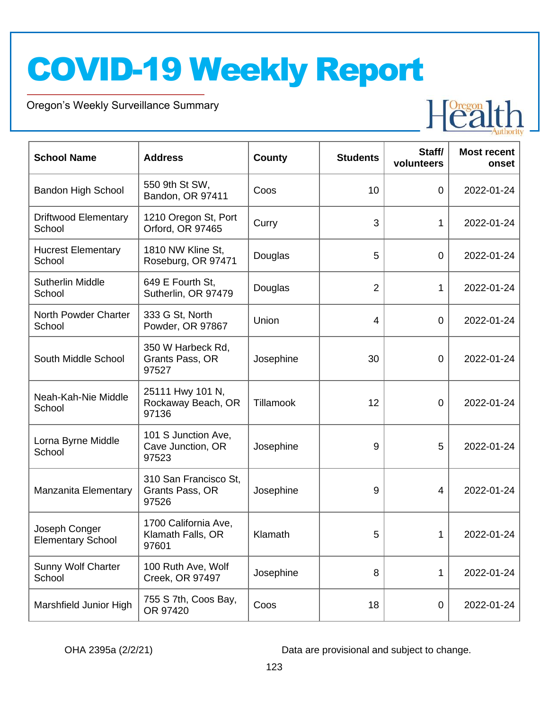Oregon's Weekly Surveillance Summary

Novel Coronavirus (COVID-19)



| <b>School Name</b>                        | <b>Address</b>                                     | <b>County</b> | <b>Students</b> | Staff/<br>volunteers | <b>Most recent</b><br>onset |
|-------------------------------------------|----------------------------------------------------|---------------|-----------------|----------------------|-----------------------------|
| <b>Bandon High School</b>                 | 550 9th St SW,<br>Bandon, OR 97411                 | Coos          | 10              | 0                    | 2022-01-24                  |
| <b>Driftwood Elementary</b><br>School     | 1210 Oregon St, Port<br>Orford, OR 97465           | Curry         | 3               | 1                    | 2022-01-24                  |
| <b>Hucrest Elementary</b><br>School       | 1810 NW Kline St,<br>Roseburg, OR 97471            | Douglas       | 5               | $\mathbf 0$          | 2022-01-24                  |
| <b>Sutherlin Middle</b><br>School         | 649 E Fourth St,<br>Sutherlin, OR 97479            | Douglas       | $\overline{2}$  | 1                    | 2022-01-24                  |
| North Powder Charter<br>School            | 333 G St, North<br>Powder, OR 97867                | Union         | $\overline{4}$  | 0                    | 2022-01-24                  |
| South Middle School                       | 350 W Harbeck Rd,<br>Grants Pass, OR<br>97527      | Josephine     | 30              | 0                    | 2022-01-24                  |
| Neah-Kah-Nie Middle<br>School             | 25111 Hwy 101 N,<br>Rockaway Beach, OR<br>97136    | Tillamook     | 12              | 0                    | 2022-01-24                  |
| Lorna Byrne Middle<br>School              | 101 S Junction Ave,<br>Cave Junction, OR<br>97523  | Josephine     | 9               | 5                    | 2022-01-24                  |
| Manzanita Elementary                      | 310 San Francisco St,<br>Grants Pass, OR<br>97526  | Josephine     | 9               | 4                    | 2022-01-24                  |
| Joseph Conger<br><b>Elementary School</b> | 1700 California Ave,<br>Klamath Falls, OR<br>97601 | Klamath       | 5               | 1                    | 2022-01-24                  |
| <b>Sunny Wolf Charter</b><br>School       | 100 Ruth Ave, Wolf<br>Creek, OR 97497              | Josephine     | 8               | 1                    | 2022-01-24                  |
| Marshfield Junior High                    | 755 S 7th, Coos Bay,<br>OR 97420                   | Coos          | 18              | $\pmb{0}$            | 2022-01-24                  |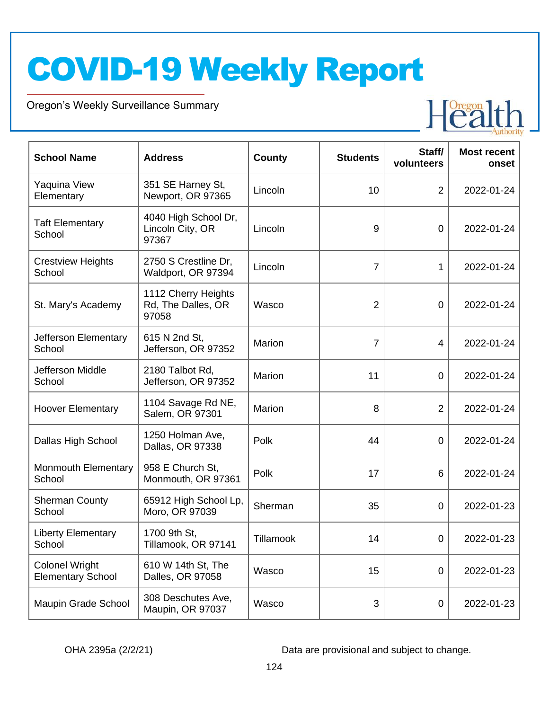Oregon's Weekly Surveillance Summary

Novel Coronavirus (COVID-19)



| <b>School Name</b>                                | <b>Address</b>                                     | <b>County</b> | <b>Students</b> | Staff/<br>volunteers | <b>Most recent</b><br>onset |
|---------------------------------------------------|----------------------------------------------------|---------------|-----------------|----------------------|-----------------------------|
| Yaquina View<br>Elementary                        | 351 SE Harney St,<br>Newport, OR 97365             | Lincoln       | 10              | $\overline{2}$       | 2022-01-24                  |
| <b>Taft Elementary</b><br>School                  | 4040 High School Dr,<br>Lincoln City, OR<br>97367  | Lincoln       | 9               | $\overline{0}$       | 2022-01-24                  |
| <b>Crestview Heights</b><br>School                | 2750 S Crestline Dr,<br>Waldport, OR 97394         | Lincoln       | 7               | 1                    | 2022-01-24                  |
| St. Mary's Academy                                | 1112 Cherry Heights<br>Rd, The Dalles, OR<br>97058 | Wasco         | $\overline{2}$  | $\overline{0}$       | 2022-01-24                  |
| Jefferson Elementary<br>School                    | 615 N 2nd St,<br>Jefferson, OR 97352               | Marion        | $\overline{7}$  | 4                    | 2022-01-24                  |
| Jefferson Middle<br>School                        | 2180 Talbot Rd,<br>Jefferson, OR 97352             | Marion        | 11              | $\overline{0}$       | 2022-01-24                  |
| <b>Hoover Elementary</b>                          | 1104 Savage Rd NE,<br>Salem, OR 97301              | Marion        | 8               | $\overline{2}$       | 2022-01-24                  |
| Dallas High School                                | 1250 Holman Ave,<br>Dallas, OR 97338               | Polk          | 44              | $\overline{0}$       | 2022-01-24                  |
| <b>Monmouth Elementary</b><br>School              | 958 E Church St,<br>Monmouth, OR 97361             | Polk          | 17              | 6                    | 2022-01-24                  |
| <b>Sherman County</b><br>School                   | 65912 High School Lp,<br>Moro, OR 97039            | Sherman       | 35              | 0                    | 2022-01-23                  |
| <b>Liberty Elementary</b><br>School               | 1700 9th St,<br>Tillamook, OR 97141                | Tillamook     | 14              | $\mathbf 0$          | 2022-01-23                  |
| <b>Colonel Wright</b><br><b>Elementary School</b> | 610 W 14th St, The<br>Dalles, OR 97058             | Wasco         | 15              | $\boldsymbol{0}$     | 2022-01-23                  |
| Maupin Grade School                               | 308 Deschutes Ave,<br>Maupin, OR 97037             | Wasco         | 3               | $\pmb{0}$            | 2022-01-23                  |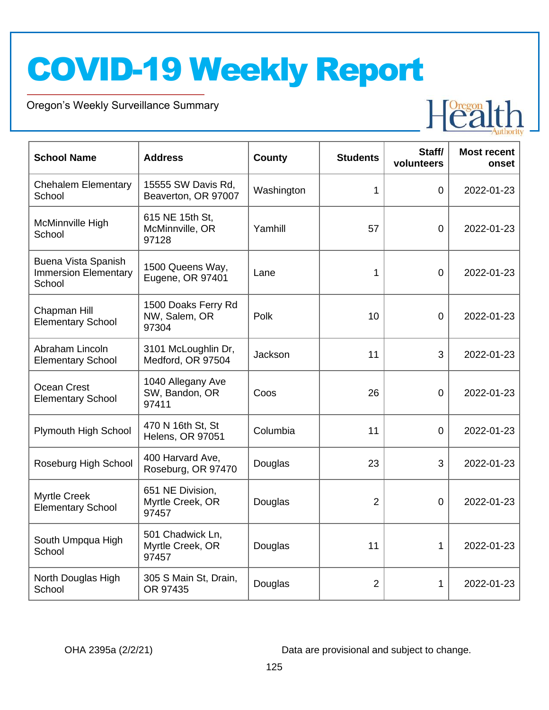Oregon's Weekly Surveillance Summary

Novel Coronavirus (COVID-19)



| <b>School Name</b>                                           | <b>Address</b>                                | County     | <b>Students</b> | Staff/<br>volunteers | <b>Most recent</b><br>onset |
|--------------------------------------------------------------|-----------------------------------------------|------------|-----------------|----------------------|-----------------------------|
| <b>Chehalem Elementary</b><br>School                         | 15555 SW Davis Rd,<br>Beaverton, OR 97007     | Washington | 1               | $\overline{0}$       | 2022-01-23                  |
| McMinnville High<br>School                                   | 615 NE 15th St,<br>McMinnville, OR<br>97128   | Yamhill    | 57              | $\overline{0}$       | 2022-01-23                  |
| Buena Vista Spanish<br><b>Immersion Elementary</b><br>School | 1500 Queens Way,<br>Eugene, OR 97401          | Lane       | $\mathbf 1$     | $\overline{0}$       | 2022-01-23                  |
| Chapman Hill<br><b>Elementary School</b>                     | 1500 Doaks Ferry Rd<br>NW, Salem, OR<br>97304 | Polk       | 10              | 0                    | 2022-01-23                  |
| Abraham Lincoln<br><b>Elementary School</b>                  | 3101 McLoughlin Dr,<br>Medford, OR 97504      | Jackson    | 11              | 3                    | 2022-01-23                  |
| Ocean Crest<br><b>Elementary School</b>                      | 1040 Allegany Ave<br>SW, Bandon, OR<br>97411  | Coos       | 26              | 0                    | 2022-01-23                  |
| Plymouth High School                                         | 470 N 16th St, St<br><b>Helens, OR 97051</b>  | Columbia   | 11              | $\overline{0}$       | 2022-01-23                  |
| Roseburg High School                                         | 400 Harvard Ave,<br>Roseburg, OR 97470        | Douglas    | 23              | 3                    | 2022-01-23                  |
| <b>Myrtle Creek</b><br><b>Elementary School</b>              | 651 NE Division,<br>Myrtle Creek, OR<br>97457 | Douglas    | $\overline{2}$  | 0                    | 2022-01-23                  |
| South Umpqua High<br>School                                  | 501 Chadwick Ln,<br>Myrtle Creek, OR<br>97457 | Douglas    | 11              | 1                    | 2022-01-23                  |
| North Douglas High<br>School                                 | 305 S Main St, Drain,<br>OR 97435             | Douglas    | $\overline{2}$  | 1                    | 2022-01-23                  |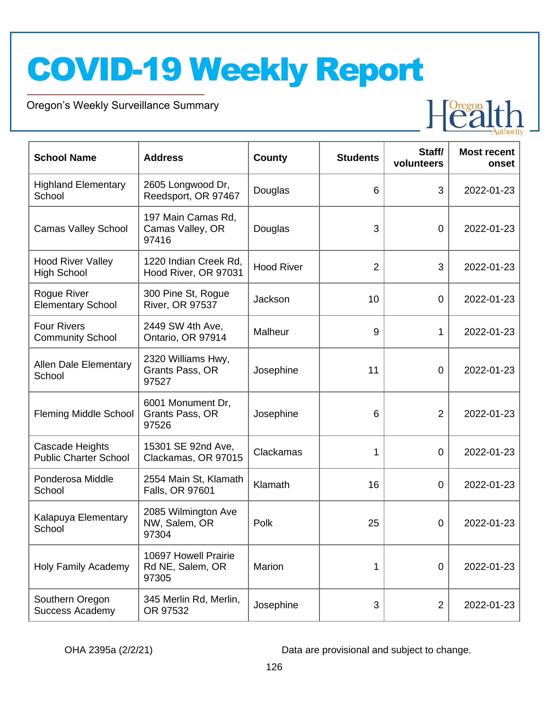Oregon's Weekly Surveillance Summary

Novel Coronavirus (COVID-19)



| <b>School Name</b>                                     | <b>Address</b>                                    | <b>County</b>     | <b>Students</b> | Staff/<br>volunteers | <b>Most recent</b><br>onset |
|--------------------------------------------------------|---------------------------------------------------|-------------------|-----------------|----------------------|-----------------------------|
| <b>Highland Elementary</b><br>School                   | 2605 Longwood Dr,<br>Reedsport, OR 97467          | Douglas           | 6               | 3                    | 2022-01-23                  |
| <b>Camas Valley School</b>                             | 197 Main Camas Rd,<br>Camas Valley, OR<br>97416   | Douglas           | 3               | $\overline{0}$       | 2022-01-23                  |
| <b>Hood River Valley</b><br><b>High School</b>         | 1220 Indian Creek Rd,<br>Hood River, OR 97031     | <b>Hood River</b> | $\overline{2}$  | 3                    | 2022-01-23                  |
| Rogue River<br><b>Elementary School</b>                | 300 Pine St, Rogue<br>River, OR 97537             | Jackson           | 10              | 0                    | 2022-01-23                  |
| <b>Four Rivers</b><br><b>Community School</b>          | 2449 SW 4th Ave,<br>Ontario, OR 97914             | Malheur           | 9               | 1                    | 2022-01-23                  |
| <b>Allen Dale Elementary</b><br>School                 | 2320 Williams Hwy,<br>Grants Pass, OR<br>97527    | Josephine         | 11              | 0                    | 2022-01-23                  |
| <b>Fleming Middle School</b>                           | 6001 Monument Dr,<br>Grants Pass, OR<br>97526     | Josephine         | 6               | $\overline{2}$       | 2022-01-23                  |
| <b>Cascade Heights</b><br><b>Public Charter School</b> | 15301 SE 92nd Ave,<br>Clackamas, OR 97015         | Clackamas         | 1               | 0                    | 2022-01-23                  |
| Ponderosa Middle<br>School                             | 2554 Main St, Klamath<br>Falls, OR 97601          | Klamath           | 16              | 0                    | 2022-01-23                  |
| Kalapuya Elementary<br>School                          | 2085 Wilmington Ave<br>NW, Salem, OR<br>97304     | Polk              | 25              | 0                    | 2022-01-23                  |
| <b>Holy Family Academy</b>                             | 10697 Howell Prairie<br>Rd NE, Salem, OR<br>97305 | Marion            | 1               | $\overline{0}$       | 2022-01-23                  |
| Southern Oregon<br><b>Success Academy</b>              | 345 Merlin Rd, Merlin,<br>OR 97532                | Josephine         | 3               | $\overline{2}$       | 2022-01-23                  |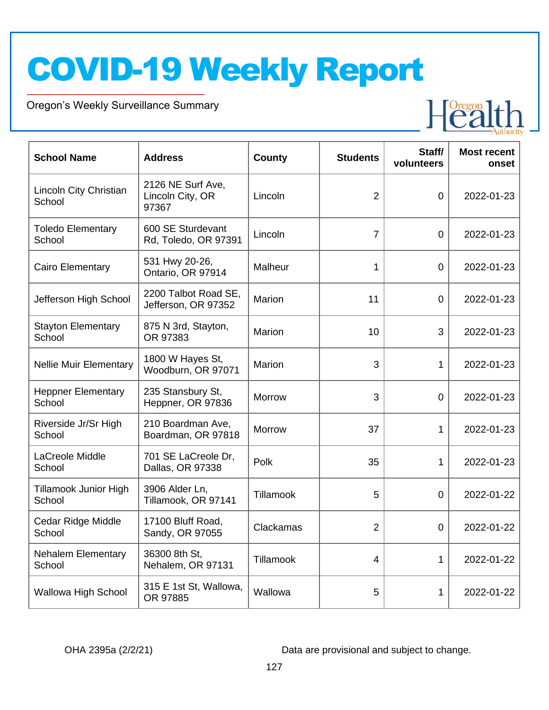Oregon's Weekly Surveillance Summary

Novel Coronavirus (COVID-19)



| <b>School Name</b>                  | <b>Address</b>                                 | <b>County</b> | <b>Students</b> | Staff/<br>volunteers | <b>Most recent</b><br>onset |
|-------------------------------------|------------------------------------------------|---------------|-----------------|----------------------|-----------------------------|
| Lincoln City Christian<br>School    | 2126 NE Surf Ave,<br>Lincoln City, OR<br>97367 | Lincoln       | $\overline{2}$  | $\overline{0}$       | 2022-01-23                  |
| <b>Toledo Elementary</b><br>School  | 600 SE Sturdevant<br>Rd, Toledo, OR 97391      | Lincoln       | $\overline{7}$  | $\overline{0}$       | 2022-01-23                  |
| Cairo Elementary                    | 531 Hwy 20-26,<br>Ontario, OR 97914            | Malheur       | 1               | $\mathbf 0$          | 2022-01-23                  |
| Jefferson High School               | 2200 Talbot Road SE,<br>Jefferson, OR 97352    | Marion        | 11              | $\overline{0}$       | 2022-01-23                  |
| <b>Stayton Elementary</b><br>School | 875 N 3rd, Stayton,<br>OR 97383                | Marion        | 10              | 3                    | 2022-01-23                  |
| <b>Nellie Muir Elementary</b>       | 1800 W Hayes St,<br>Woodburn, OR 97071         | Marion        | 3               | 1                    | 2022-01-23                  |
| <b>Heppner Elementary</b><br>School | 235 Stansbury St,<br>Heppner, OR 97836         | <b>Morrow</b> | 3               | $\overline{0}$       | 2022-01-23                  |
| Riverside Jr/Sr High<br>School      | 210 Boardman Ave,<br>Boardman, OR 97818        | Morrow        | 37              | 1                    | 2022-01-23                  |
| LaCreole Middle<br>School           | 701 SE LaCreole Dr,<br>Dallas, OR 97338        | Polk          | 35              | 1                    | 2022-01-23                  |
| Tillamook Junior High<br>School     | 3906 Alder Ln,<br>Tillamook, OR 97141          | Tillamook     | 5               | 0                    | 2022-01-22                  |
| Cedar Ridge Middle<br>School        | 17100 Bluff Road,<br>Sandy, OR 97055           | Clackamas     | $\overline{2}$  | 0                    | 2022-01-22                  |
| <b>Nehalem Elementary</b><br>School | 36300 8th St,<br>Nehalem, OR 97131             | Tillamook     | 4               | 1                    | 2022-01-22                  |
| Wallowa High School                 | 315 E 1st St, Wallowa,<br>OR 97885             | Wallowa       | 5               | 1                    | 2022-01-22                  |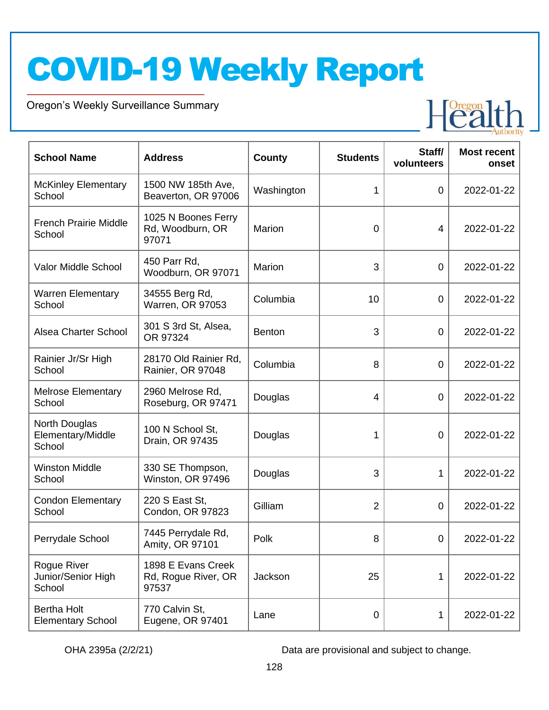Oregon's Weekly Surveillance Summary

Novel Coronavirus (COVID-19)



| <b>School Name</b>                             | <b>Address</b>                                     | <b>County</b> | <b>Students</b> | Staff/<br>volunteers | <b>Most recent</b><br>onset |
|------------------------------------------------|----------------------------------------------------|---------------|-----------------|----------------------|-----------------------------|
| <b>McKinley Elementary</b><br>School           | 1500 NW 185th Ave,<br>Beaverton, OR 97006          | Washington    | 1               | $\boldsymbol{0}$     | 2022-01-22                  |
| <b>French Prairie Middle</b><br>School         | 1025 N Boones Ferry<br>Rd, Woodburn, OR<br>97071   | Marion        | 0               | 4                    | 2022-01-22                  |
| Valor Middle School                            | 450 Parr Rd,<br>Woodburn, OR 97071                 | Marion        | 3               | $\mathbf 0$          | 2022-01-22                  |
| <b>Warren Elementary</b><br>School             | 34555 Berg Rd,<br>Warren, OR 97053                 | Columbia      | 10              | $\boldsymbol{0}$     | 2022-01-22                  |
| <b>Alsea Charter School</b>                    | 301 S 3rd St, Alsea,<br>OR 97324                   | <b>Benton</b> | 3               | $\mathbf 0$          | 2022-01-22                  |
| Rainier Jr/Sr High<br>School                   | 28170 Old Rainier Rd,<br>Rainier, OR 97048         | Columbia      | 8               | $\mathbf 0$          | 2022-01-22                  |
| <b>Melrose Elementary</b><br>School            | 2960 Melrose Rd,<br>Roseburg, OR 97471             | Douglas       | 4               | 0                    | 2022-01-22                  |
| North Douglas<br>Elementary/Middle<br>School   | 100 N School St,<br>Drain, OR 97435                | Douglas       | 1               | 0                    | 2022-01-22                  |
| <b>Winston Middle</b><br>School                | 330 SE Thompson,<br>Winston, OR 97496              | Douglas       | 3               | 1                    | 2022-01-22                  |
| <b>Condon Elementary</b><br>School             | 220 S East St,<br>Condon, OR 97823                 | Gilliam       | $\overline{2}$  | 0                    | 2022-01-22                  |
| Perrydale School                               | 7445 Perrydale Rd,<br>Amity, OR 97101              | Polk          | 8               | $\overline{0}$       | 2022-01-22                  |
| Rogue River<br>Junior/Senior High<br>School    | 1898 E Evans Creek<br>Rd, Rogue River, OR<br>97537 | Jackson       | 25              | 1                    | 2022-01-22                  |
| <b>Bertha Holt</b><br><b>Elementary School</b> | 770 Calvin St,<br>Eugene, OR 97401                 | Lane          | 0               | 1                    | 2022-01-22                  |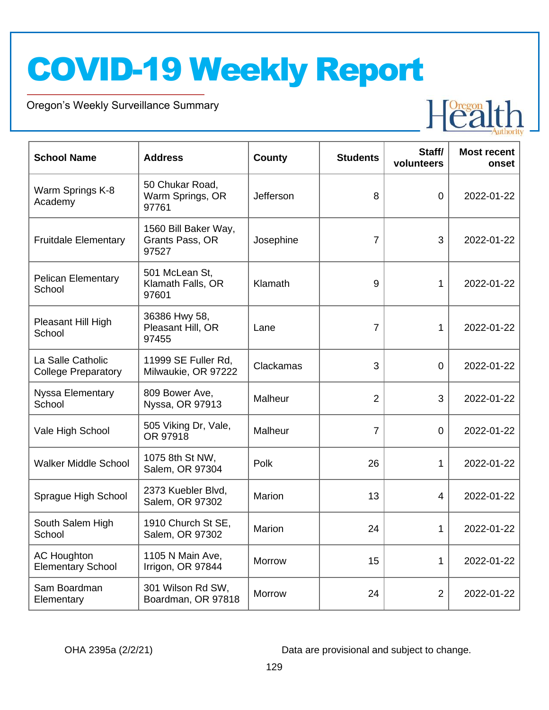Oregon's Weekly Surveillance Summary

Novel Coronavirus (COVID-19)



| <b>School Name</b>                              | <b>Address</b>                                   | <b>County</b> | <b>Students</b> | Staff/<br>volunteers | <b>Most recent</b><br>onset |
|-------------------------------------------------|--------------------------------------------------|---------------|-----------------|----------------------|-----------------------------|
| Warm Springs K-8<br>Academy                     | 50 Chukar Road,<br>Warm Springs, OR<br>97761     | Jefferson     | 8               | $\overline{0}$       | 2022-01-22                  |
| <b>Fruitdale Elementary</b>                     | 1560 Bill Baker Way,<br>Grants Pass, OR<br>97527 | Josephine     | $\overline{7}$  | 3                    | 2022-01-22                  |
| <b>Pelican Elementary</b><br>School             | 501 McLean St,<br>Klamath Falls, OR<br>97601     | Klamath       | 9               | 1                    | 2022-01-22                  |
| Pleasant Hill High<br>School                    | 36386 Hwy 58,<br>Pleasant Hill, OR<br>97455      | Lane          | 7               | 1                    | 2022-01-22                  |
| La Salle Catholic<br><b>College Preparatory</b> | 11999 SE Fuller Rd,<br>Milwaukie, OR 97222       | Clackamas     | 3               | $\overline{0}$       | 2022-01-22                  |
| Nyssa Elementary<br>School                      | 809 Bower Ave,<br>Nyssa, OR 97913                | Malheur       | $\overline{2}$  | 3                    | 2022-01-22                  |
| Vale High School                                | 505 Viking Dr, Vale,<br>OR 97918                 | Malheur       | $\overline{7}$  | $\overline{0}$       | 2022-01-22                  |
| <b>Walker Middle School</b>                     | 1075 8th St NW,<br>Salem, OR 97304               | Polk          | 26              | 1                    | 2022-01-22                  |
| Sprague High School                             | 2373 Kuebler Blvd,<br>Salem, OR 97302            | Marion        | 13              | 4                    | 2022-01-22                  |
| South Salem High<br>School                      | 1910 Church St SE,<br>Salem, OR 97302            | Marion        | 24              | 1                    | 2022-01-22                  |
| <b>AC Houghton</b><br><b>Elementary School</b>  | 1105 N Main Ave,<br>Irrigon, OR 97844            | Morrow        | 15              | 1                    | 2022-01-22                  |
| Sam Boardman<br>Elementary                      | 301 Wilson Rd SW,<br>Boardman, OR 97818          | Morrow        | 24              | $\overline{2}$       | 2022-01-22                  |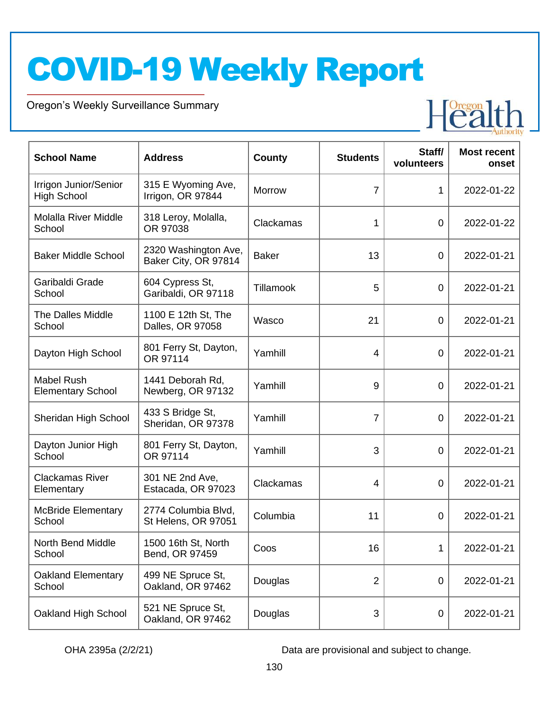Oregon's Weekly Surveillance Summary

Novel Coronavirus (COVID-19)



| <b>School Name</b>                            | <b>Address</b>                               | <b>County</b> | <b>Students</b> | Staff/<br>volunteers | <b>Most recent</b><br>onset |
|-----------------------------------------------|----------------------------------------------|---------------|-----------------|----------------------|-----------------------------|
| Irrigon Junior/Senior<br><b>High School</b>   | 315 E Wyoming Ave,<br>Irrigon, OR 97844      | <b>Morrow</b> | $\overline{7}$  | 1                    | 2022-01-22                  |
| <b>Molalla River Middle</b><br>School         | 318 Leroy, Molalla,<br>OR 97038              | Clackamas     | 1               | 0                    | 2022-01-22                  |
| <b>Baker Middle School</b>                    | 2320 Washington Ave,<br>Baker City, OR 97814 | <b>Baker</b>  | 13              | 0                    | 2022-01-21                  |
| Garibaldi Grade<br>School                     | 604 Cypress St,<br>Garibaldi, OR 97118       | Tillamook     | 5               | 0                    | 2022-01-21                  |
| <b>The Dalles Middle</b><br>School            | 1100 E 12th St, The<br>Dalles, OR 97058      | Wasco         | 21              | 0                    | 2022-01-21                  |
| Dayton High School                            | 801 Ferry St, Dayton,<br>OR 97114            | Yamhill       | 4               | 0                    | 2022-01-21                  |
| <b>Mabel Rush</b><br><b>Elementary School</b> | 1441 Deborah Rd.<br>Newberg, OR 97132        | Yamhill       | 9               | 0                    | 2022-01-21                  |
| Sheridan High School                          | 433 S Bridge St,<br>Sheridan, OR 97378       | Yamhill       | $\overline{7}$  | 0                    | 2022-01-21                  |
| Dayton Junior High<br>School                  | 801 Ferry St, Dayton,<br>OR 97114            | Yamhill       | 3               | 0                    | 2022-01-21                  |
| <b>Clackamas River</b><br>Elementary          | 301 NE 2nd Ave,<br>Estacada, OR 97023        | Clackamas     | 4               | 0                    | 2022-01-21                  |
| <b>McBride Elementary</b><br>School           | 2774 Columbia Blvd,<br>St Helens, OR 97051   | Columbia      | 11              | $\overline{0}$       | 2022-01-21                  |
| North Bend Middle<br>School                   | 1500 16th St, North<br>Bend, OR 97459        | Coos          | 16              | 1                    | 2022-01-21                  |
| <b>Oakland Elementary</b><br>School           | 499 NE Spruce St,<br>Oakland, OR 97462       | Douglas       | $\overline{2}$  | $\boldsymbol{0}$     | 2022-01-21                  |
| Oakland High School                           | 521 NE Spruce St,<br>Oakland, OR 97462       | Douglas       | 3               | $\boldsymbol{0}$     | 2022-01-21                  |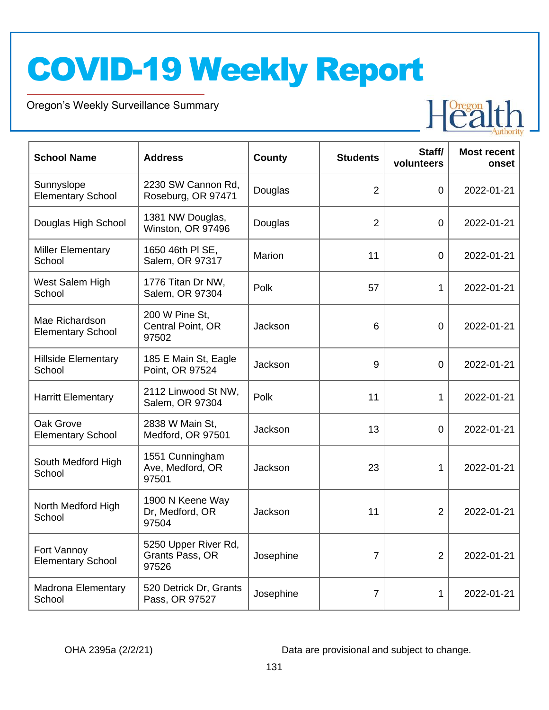Oregon's Weekly Surveillance Summary

Novel Coronavirus (COVID-19)



| <b>School Name</b>                         | <b>Address</b>                                   | <b>County</b> | <b>Students</b> | Staff/<br>volunteers | <b>Most recent</b><br>onset |
|--------------------------------------------|--------------------------------------------------|---------------|-----------------|----------------------|-----------------------------|
| Sunnyslope<br><b>Elementary School</b>     | 2230 SW Cannon Rd,<br>Roseburg, OR 97471         | Douglas       | $\overline{2}$  | $\overline{0}$       | 2022-01-21                  |
| Douglas High School                        | 1381 NW Douglas,<br>Winston, OR 97496            | Douglas       | $\overline{2}$  | $\overline{0}$       | 2022-01-21                  |
| <b>Miller Elementary</b><br>School         | 1650 46th PI SE,<br>Salem, OR 97317              | Marion        | 11              | $\overline{0}$       | 2022-01-21                  |
| West Salem High<br>School                  | 1776 Titan Dr NW,<br>Salem, OR 97304             | Polk          | 57              | 1                    | 2022-01-21                  |
| Mae Richardson<br><b>Elementary School</b> | 200 W Pine St,<br>Central Point, OR<br>97502     | Jackson       | 6               | $\overline{0}$       | 2022-01-21                  |
| <b>Hillside Elementary</b><br>School       | 185 E Main St, Eagle<br>Point, OR 97524          | Jackson       | 9               | $\overline{0}$       | 2022-01-21                  |
| <b>Harritt Elementary</b>                  | 2112 Linwood St NW,<br>Salem, OR 97304           | Polk          | 11              | 1                    | 2022-01-21                  |
| Oak Grove<br><b>Elementary School</b>      | 2838 W Main St,<br>Medford, OR 97501             | Jackson       | 13              | 0                    | 2022-01-21                  |
| South Medford High<br>School               | 1551 Cunningham<br>Ave, Medford, OR<br>97501     | Jackson       | 23              | 1                    | 2022-01-21                  |
| North Medford High<br>School               | 1900 N Keene Way<br>Dr, Medford, OR<br>97504     | Jackson       | 11              | $\overline{2}$       | 2022-01-21                  |
| Fort Vannoy<br><b>Elementary School</b>    | 5250 Upper River Rd,<br>Grants Pass, OR<br>97526 | Josephine     | $\overline{7}$  | $\overline{2}$       | 2022-01-21                  |
| <b>Madrona Elementary</b><br>School        | 520 Detrick Dr, Grants<br>Pass, OR 97527         | Josephine     | $\overline{7}$  | 1                    | 2022-01-21                  |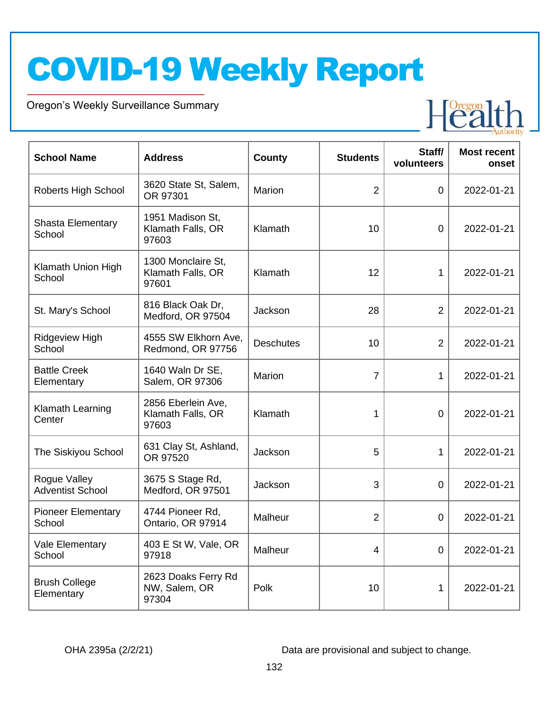Oregon's Weekly Surveillance Summary

Novel Coronavirus (COVID-19)



| <b>School Name</b>                      | <b>Address</b>                                   | <b>County</b>    | <b>Students</b> | Staff/<br>volunteers | <b>Most recent</b><br>onset |
|-----------------------------------------|--------------------------------------------------|------------------|-----------------|----------------------|-----------------------------|
| Roberts High School                     | 3620 State St, Salem,<br>OR 97301                | Marion           | $\overline{2}$  | $\overline{0}$       | 2022-01-21                  |
| <b>Shasta Elementary</b><br>School      | 1951 Madison St,<br>Klamath Falls, OR<br>97603   | Klamath          | 10              | $\overline{0}$       | 2022-01-21                  |
| Klamath Union High<br>School            | 1300 Monclaire St,<br>Klamath Falls, OR<br>97601 | Klamath          | 12              | 1                    | 2022-01-21                  |
| St. Mary's School                       | 816 Black Oak Dr,<br>Medford, OR 97504           | Jackson          | 28              | $\overline{2}$       | 2022-01-21                  |
| <b>Ridgeview High</b><br>School         | 4555 SW Elkhorn Ave,<br>Redmond, OR 97756        | <b>Deschutes</b> | 10              | $\overline{2}$       | 2022-01-21                  |
| <b>Battle Creek</b><br>Elementary       | 1640 Waln Dr SE,<br>Salem, OR 97306              | Marion           | $\overline{7}$  | 1                    | 2022-01-21                  |
| Klamath Learning<br>Center              | 2856 Eberlein Ave,<br>Klamath Falls, OR<br>97603 | Klamath          | 1               | $\overline{0}$       | 2022-01-21                  |
| The Siskiyou School                     | 631 Clay St, Ashland,<br>OR 97520                | Jackson          | 5               | 1                    | 2022-01-21                  |
| Rogue Valley<br><b>Adventist School</b> | 3675 S Stage Rd,<br>Medford, OR 97501            | Jackson          | 3               | $\overline{0}$       | 2022-01-21                  |
| <b>Pioneer Elementary</b><br>School     | 4744 Pioneer Rd,<br>Ontario, OR 97914            | Malheur          | $\overline{2}$  | 0                    | 2022-01-21                  |
| Vale Elementary<br>School               | 403 E St W, Vale, OR<br>97918                    | Malheur          | $\overline{4}$  | $\mathbf 0$          | 2022-01-21                  |
| <b>Brush College</b><br>Elementary      | 2623 Doaks Ferry Rd<br>NW, Salem, OR<br>97304    | Polk             | 10              | 1                    | 2022-01-21                  |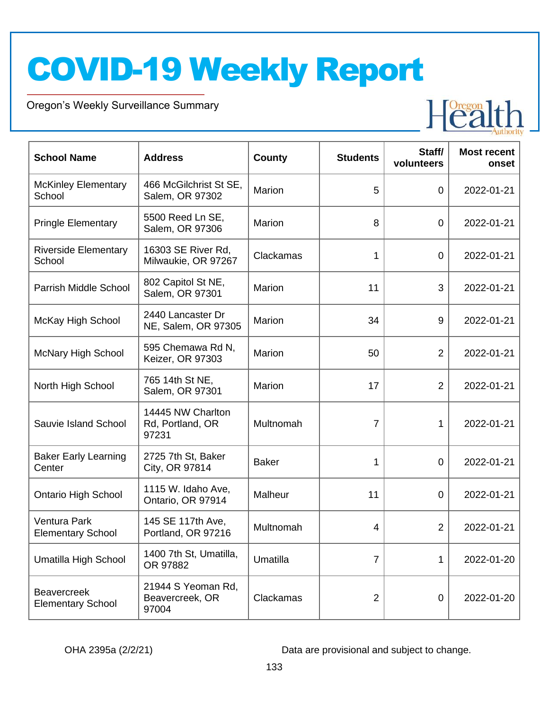Oregon's Weekly Surveillance Summary

Novel Coronavirus (COVID-19)



| <b>School Name</b>                              | <b>Address</b>                                 | <b>County</b> | <b>Students</b> | Staff/<br>volunteers | <b>Most recent</b><br>onset |
|-------------------------------------------------|------------------------------------------------|---------------|-----------------|----------------------|-----------------------------|
| <b>McKinley Elementary</b><br>School            | 466 McGilchrist St SE,<br>Salem, OR 97302      | Marion        | 5               | $\overline{0}$       | 2022-01-21                  |
| <b>Pringle Elementary</b>                       | 5500 Reed Ln SE,<br>Salem, OR 97306            | Marion        | 8               | $\mathbf 0$          | 2022-01-21                  |
| <b>Riverside Elementary</b><br>School           | 16303 SE River Rd,<br>Milwaukie, OR 97267      | Clackamas     | 1               | $\overline{0}$       | 2022-01-21                  |
| Parrish Middle School                           | 802 Capitol St NE,<br>Salem, OR 97301          | Marion        | 11              | 3                    | 2022-01-21                  |
| McKay High School                               | 2440 Lancaster Dr<br>NE, Salem, OR 97305       | Marion        | 34              | 9                    | 2022-01-21                  |
| <b>McNary High School</b>                       | 595 Chemawa Rd N,<br>Keizer, OR 97303          | Marion        | 50              | 2                    | 2022-01-21                  |
| North High School                               | 765 14th St NE,<br>Salem, OR 97301             | Marion        | 17              | 2                    | 2022-01-21                  |
| Sauvie Island School                            | 14445 NW Charlton<br>Rd, Portland, OR<br>97231 | Multnomah     | $\overline{7}$  | 1                    | 2022-01-21                  |
| <b>Baker Early Learning</b><br>Center           | 2725 7th St, Baker<br>City, OR 97814           | <b>Baker</b>  | 1               | $\overline{0}$       | 2022-01-21                  |
| <b>Ontario High School</b>                      | 1115 W. Idaho Ave,<br>Ontario, OR 97914        | Malheur       | 11              | $\overline{0}$       | 2022-01-21                  |
| <b>Ventura Park</b><br><b>Elementary School</b> | 145 SE 117th Ave,<br>Portland, OR 97216        | Multnomah     | 4               | $\overline{2}$       | 2022-01-21                  |
| Umatilla High School                            | 1400 7th St, Umatilla,<br>OR 97882             | Umatilla      | 7               | 1                    | 2022-01-20                  |
| <b>Beavercreek</b><br><b>Elementary School</b>  | 21944 S Yeoman Rd,<br>Beavercreek, OR<br>97004 | Clackamas     | $\overline{2}$  | 0                    | 2022-01-20                  |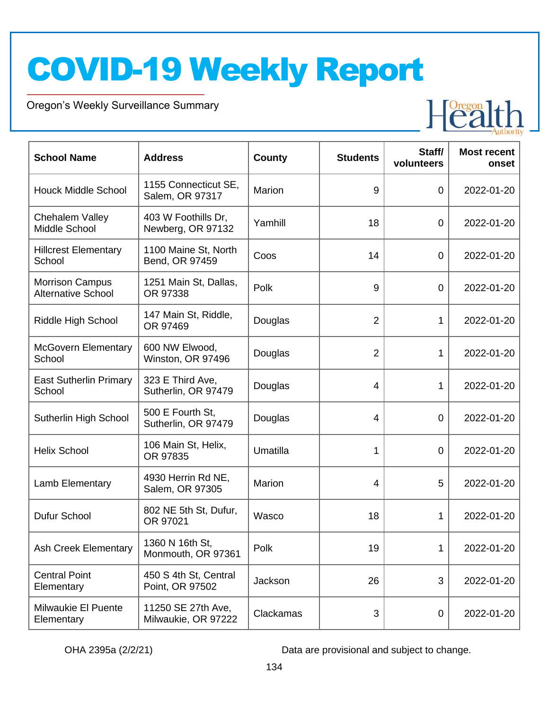Oregon's Weekly Surveillance Summary

Novel Coronavirus (COVID-19)



| <b>School Name</b>                                  | <b>Address</b>                            | <b>County</b> | <b>Students</b> | Staff/<br>volunteers | <b>Most recent</b><br>onset |
|-----------------------------------------------------|-------------------------------------------|---------------|-----------------|----------------------|-----------------------------|
| <b>Houck Middle School</b>                          | 1155 Connecticut SE,<br>Salem, OR 97317   | Marion        | 9               | $\overline{0}$       | 2022-01-20                  |
| Chehalem Valley<br>Middle School                    | 403 W Foothills Dr,<br>Newberg, OR 97132  | Yamhill       | 18              | $\overline{0}$       | 2022-01-20                  |
| <b>Hillcrest Elementary</b><br>School               | 1100 Maine St, North<br>Bend, OR 97459    | Coos          | 14              | $\overline{0}$       | 2022-01-20                  |
| <b>Morrison Campus</b><br><b>Alternative School</b> | 1251 Main St, Dallas,<br>OR 97338         | Polk          | 9               | $\overline{0}$       | 2022-01-20                  |
| Riddle High School                                  | 147 Main St, Riddle,<br>OR 97469          | Douglas       | $\overline{2}$  | 1                    | 2022-01-20                  |
| <b>McGovern Elementary</b><br>School                | 600 NW Elwood,<br>Winston, OR 97496       | Douglas       | $\overline{2}$  | 1                    | 2022-01-20                  |
| <b>East Sutherlin Primary</b><br>School             | 323 E Third Ave,<br>Sutherlin, OR 97479   | Douglas       | $\overline{4}$  | 1                    | 2022-01-20                  |
| Sutherlin High School                               | 500 E Fourth St,<br>Sutherlin, OR 97479   | Douglas       | $\overline{4}$  | $\overline{0}$       | 2022-01-20                  |
| <b>Helix School</b>                                 | 106 Main St, Helix,<br>OR 97835           | Umatilla      | 1               | $\overline{0}$       | 2022-01-20                  |
| Lamb Elementary                                     | 4930 Herrin Rd NE,<br>Salem, OR 97305     | Marion        | 4               | 5                    | 2022-01-20                  |
| Dufur School                                        | 802 NE 5th St, Dufur,<br>OR 97021         | Wasco         | 18              | 1                    | 2022-01-20                  |
| <b>Ash Creek Elementary</b>                         | 1360 N 16th St,<br>Monmouth, OR 97361     | Polk          | 19              | 1                    | 2022-01-20                  |
| <b>Central Point</b><br>Elementary                  | 450 S 4th St, Central<br>Point, OR 97502  | Jackson       | 26              | 3                    | 2022-01-20                  |
| Milwaukie El Puente<br>Elementary                   | 11250 SE 27th Ave,<br>Milwaukie, OR 97222 | Clackamas     | 3               | 0                    | 2022-01-20                  |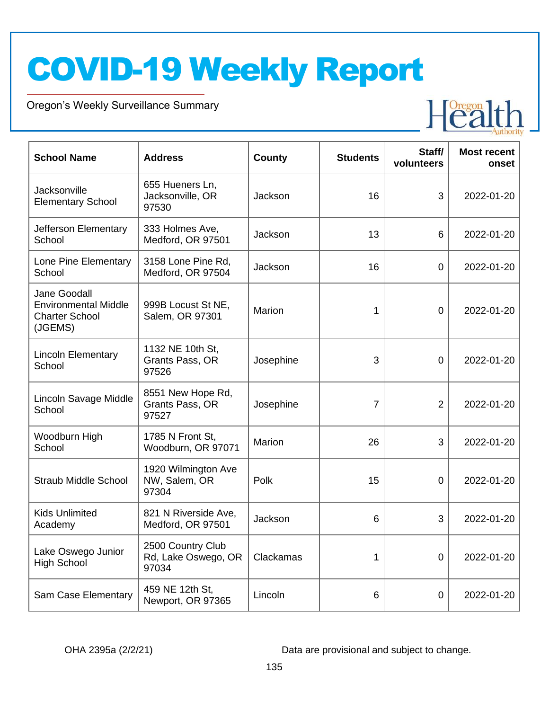Oregon's Weekly Surveillance Summary

Novel Coronavirus (COVID-19)



| <b>School Name</b>                                                              | <b>Address</b>                                    | County    | <b>Students</b> | Staff/<br>volunteers | <b>Most recent</b><br>onset |
|---------------------------------------------------------------------------------|---------------------------------------------------|-----------|-----------------|----------------------|-----------------------------|
| <b>Jacksonville</b><br><b>Elementary School</b>                                 | 655 Hueners Ln,<br>Jacksonville, OR<br>97530      | Jackson   | 16              | 3                    | 2022-01-20                  |
| Jefferson Elementary<br>School                                                  | 333 Holmes Ave,<br>Medford, OR 97501              | Jackson   | 13              | 6                    | 2022-01-20                  |
| Lone Pine Elementary<br>School                                                  | 3158 Lone Pine Rd,<br>Medford, OR 97504           | Jackson   | 16              | $\mathbf 0$          | 2022-01-20                  |
| Jane Goodall<br><b>Environmental Middle</b><br><b>Charter School</b><br>(JGEMS) | 999B Locust St NE,<br>Salem, OR 97301             | Marion    | 1               | $\mathbf 0$          | 2022-01-20                  |
| <b>Lincoln Elementary</b><br>School                                             | 1132 NE 10th St,<br>Grants Pass, OR<br>97526      | Josephine | 3               | 0                    | 2022-01-20                  |
| Lincoln Savage Middle<br>School                                                 | 8551 New Hope Rd,<br>Grants Pass, OR<br>97527     | Josephine | $\overline{7}$  | $\overline{2}$       | 2022-01-20                  |
| Woodburn High<br>School                                                         | 1785 N Front St,<br>Woodburn, OR 97071            | Marion    | 26              | 3                    | 2022-01-20                  |
| <b>Straub Middle School</b>                                                     | 1920 Wilmington Ave<br>NW, Salem, OR<br>97304     | Polk      | 15              | $\overline{0}$       | 2022-01-20                  |
| <b>Kids Unlimited</b><br>Academy                                                | 821 N Riverside Ave,<br>Medford, OR 97501         | Jackson   | 6               | 3                    | 2022-01-20                  |
| Lake Oswego Junior<br><b>High School</b>                                        | 2500 Country Club<br>Rd, Lake Oswego, OR<br>97034 | Clackamas | 1               | $\mathbf 0$          | 2022-01-20                  |
| Sam Case Elementary                                                             | 459 NE 12th St,<br>Newport, OR 97365              | Lincoln   | 6               | $\boldsymbol{0}$     | 2022-01-20                  |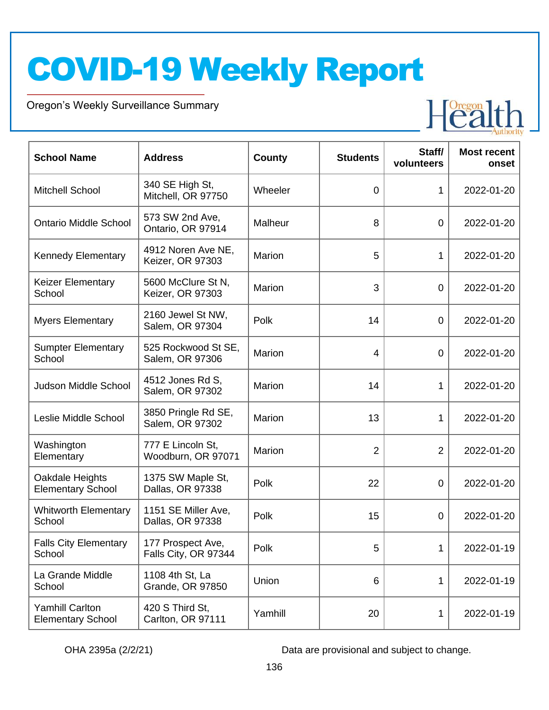Oregon's Weekly Surveillance Summary

Novel Coronavirus (COVID-19)



| <b>School Name</b>                                 | <b>Address</b>                             | <b>County</b> | <b>Students</b> | Staff/<br>volunteers | <b>Most recent</b><br>onset |
|----------------------------------------------------|--------------------------------------------|---------------|-----------------|----------------------|-----------------------------|
| <b>Mitchell School</b>                             | 340 SE High St,<br>Mitchell, OR 97750      | Wheeler       | $\overline{0}$  | 1                    | 2022-01-20                  |
| <b>Ontario Middle School</b>                       | 573 SW 2nd Ave,<br>Ontario, OR 97914       | Malheur       | 8               | $\mathbf 0$          | 2022-01-20                  |
| <b>Kennedy Elementary</b>                          | 4912 Noren Ave NE,<br>Keizer, OR 97303     | Marion        | 5               | 1                    | 2022-01-20                  |
| <b>Keizer Elementary</b><br>School                 | 5600 McClure St N,<br>Keizer, OR 97303     | Marion        | 3               | $\overline{0}$       | 2022-01-20                  |
| <b>Myers Elementary</b>                            | 2160 Jewel St NW,<br>Salem, OR 97304       | Polk          | 14              | $\mathbf 0$          | 2022-01-20                  |
| <b>Sumpter Elementary</b><br>School                | 525 Rockwood St SE,<br>Salem, OR 97306     | Marion        | 4               | $\mathbf 0$          | 2022-01-20                  |
| <b>Judson Middle School</b>                        | 4512 Jones Rd S,<br>Salem, OR 97302        | Marion        | 14              | 1                    | 2022-01-20                  |
| Leslie Middle School                               | 3850 Pringle Rd SE,<br>Salem, OR 97302     | Marion        | 13              | 1                    | 2022-01-20                  |
| Washington<br>Elementary                           | 777 E Lincoln St,<br>Woodburn, OR 97071    | Marion        | $\overline{2}$  | $\overline{2}$       | 2022-01-20                  |
| Oakdale Heights<br><b>Elementary School</b>        | 1375 SW Maple St,<br>Dallas, OR 97338      | Polk          | 22              | $\overline{0}$       | 2022-01-20                  |
| <b>Whitworth Elementary</b><br>School              | 1151 SE Miller Ave,<br>Dallas, OR 97338    | Polk          | 15              | 0                    | 2022-01-20                  |
| <b>Falls City Elementary</b><br>School             | 177 Prospect Ave,<br>Falls City, OR 97344  | Polk          | 5               | 1                    | 2022-01-19                  |
| La Grande Middle<br>School                         | 1108 4th St, La<br><b>Grande, OR 97850</b> | Union         | 6               | 1                    | 2022-01-19                  |
| <b>Yamhill Carlton</b><br><b>Elementary School</b> | 420 S Third St,<br>Carlton, OR 97111       | Yamhill       | 20              | 1                    | 2022-01-19                  |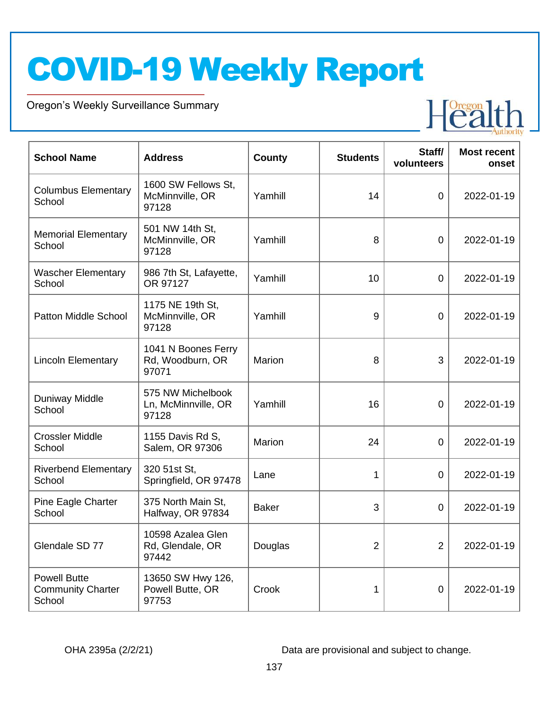Oregon's Weekly Surveillance Summary

Novel Coronavirus (COVID-19)



| <b>School Name</b>                                        | <b>Address</b>                                    | <b>County</b> | <b>Students</b> | Staff/<br>volunteers | <b>Most recent</b><br>onset |
|-----------------------------------------------------------|---------------------------------------------------|---------------|-----------------|----------------------|-----------------------------|
| <b>Columbus Elementary</b><br>School                      | 1600 SW Fellows St,<br>McMinnville, OR<br>97128   | Yamhill       | 14              | $\mathbf 0$          | 2022-01-19                  |
| <b>Memorial Elementary</b><br>School                      | 501 NW 14th St,<br>McMinnville, OR<br>97128       | Yamhill       | 8               | $\mathbf 0$          | 2022-01-19                  |
| <b>Wascher Elementary</b><br>School                       | 986 7th St, Lafayette,<br>OR 97127                | Yamhill       | 10              | $\mathbf 0$          | 2022-01-19                  |
| <b>Patton Middle School</b>                               | 1175 NE 19th St,<br>McMinnville, OR<br>97128      | Yamhill       | 9               | $\mathbf 0$          | 2022-01-19                  |
| <b>Lincoln Elementary</b>                                 | 1041 N Boones Ferry<br>Rd, Woodburn, OR<br>97071  | <b>Marion</b> | 8               | 3                    | 2022-01-19                  |
| <b>Duniway Middle</b><br>School                           | 575 NW Michelbook<br>Ln, McMinnville, OR<br>97128 | Yamhill       | 16              | 0                    | 2022-01-19                  |
| <b>Crossler Middle</b><br>School                          | 1155 Davis Rd S,<br>Salem, OR 97306               | Marion        | 24              | $\overline{0}$       | 2022-01-19                  |
| <b>Riverbend Elementary</b><br>School                     | 320 51st St,<br>Springfield, OR 97478             | Lane          | 1               | 0                    | 2022-01-19                  |
| Pine Eagle Charter<br>School                              | 375 North Main St.<br>Halfway, OR 97834           | <b>Baker</b>  | 3               | $\overline{0}$       | 2022-01-19                  |
| Glendale SD 77                                            | 10598 Azalea Glen<br>Rd, Glendale, OR<br>97442    | Douglas       | $\overline{2}$  | $\overline{2}$       | 2022-01-19                  |
| <b>Powell Butte</b><br><b>Community Charter</b><br>School | 13650 SW Hwy 126,<br>Powell Butte, OR<br>97753    | Crook         | 1               | $\mathbf 0$          | 2022-01-19                  |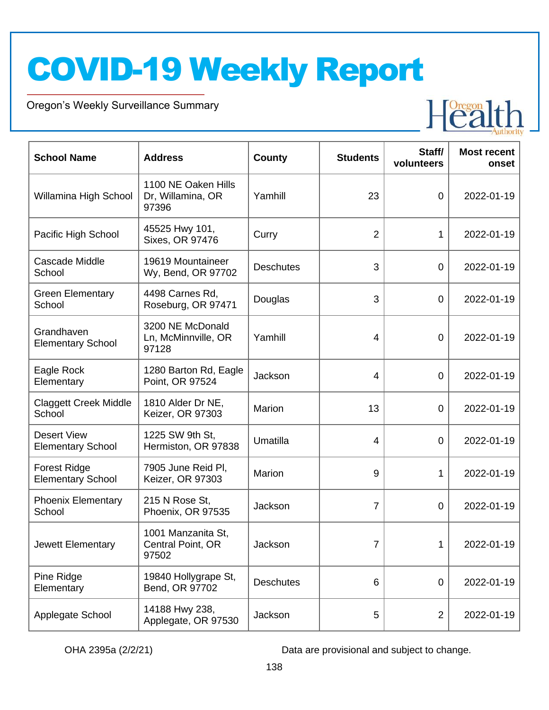Oregon's Weekly Surveillance Summary

Novel Coronavirus (COVID-19)



| <b>School Name</b>                              | <b>Address</b>                                    | <b>County</b>    | <b>Students</b> | Staff/<br>volunteers | <b>Most recent</b><br>onset |
|-------------------------------------------------|---------------------------------------------------|------------------|-----------------|----------------------|-----------------------------|
| Willamina High School                           | 1100 NE Oaken Hills<br>Dr, Willamina, OR<br>97396 | Yamhill          | 23              | $\overline{0}$       | 2022-01-19                  |
| Pacific High School                             | 45525 Hwy 101,<br>Sixes, OR 97476                 | Curry            | $\overline{2}$  | $\mathbf{1}$         | 2022-01-19                  |
| <b>Cascade Middle</b><br>School                 | 19619 Mountaineer<br>Wy, Bend, OR 97702           | <b>Deschutes</b> | 3               | $\overline{0}$       | 2022-01-19                  |
| <b>Green Elementary</b><br>School               | 4498 Carnes Rd,<br>Roseburg, OR 97471             | Douglas          | 3               | $\overline{0}$       | 2022-01-19                  |
| Grandhaven<br><b>Elementary School</b>          | 3200 NE McDonald<br>Ln, McMinnville, OR<br>97128  | Yamhill          | $\overline{4}$  | 0                    | 2022-01-19                  |
| Eagle Rock<br>Elementary                        | 1280 Barton Rd, Eagle<br>Point, OR 97524          | Jackson          | $\overline{4}$  | $\overline{0}$       | 2022-01-19                  |
| <b>Claggett Creek Middle</b><br>School          | 1810 Alder Dr NE,<br>Keizer, OR 97303             | Marion           | 13              | $\overline{0}$       | 2022-01-19                  |
| <b>Desert View</b><br><b>Elementary School</b>  | 1225 SW 9th St,<br>Hermiston, OR 97838            | Umatilla         | $\overline{4}$  | $\overline{0}$       | 2022-01-19                  |
| <b>Forest Ridge</b><br><b>Elementary School</b> | 7905 June Reid Pl,<br>Keizer, OR 97303            | Marion           | 9               | 1                    | 2022-01-19                  |
| <b>Phoenix Elementary</b><br>School             | 215 N Rose St,<br>Phoenix, OR 97535               | Jackson          | $\overline{7}$  | 0                    | 2022-01-19                  |
| Jewett Elementary                               | 1001 Manzanita St,<br>Central Point, OR<br>97502  | Jackson          | 7               | 1                    | 2022-01-19                  |
| Pine Ridge<br>Elementary                        | 19840 Hollygrape St,<br>Bend, OR 97702            | <b>Deschutes</b> | 6               | 0                    | 2022-01-19                  |
| Applegate School                                | 14188 Hwy 238,<br>Applegate, OR 97530             | Jackson          | 5               | $\overline{2}$       | 2022-01-19                  |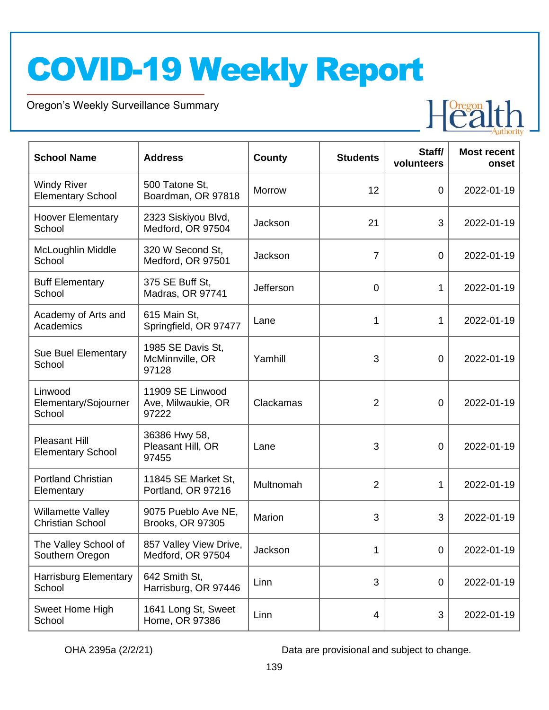Oregon's Weekly Surveillance Summary

Novel Coronavirus (COVID-19)



| <b>School Name</b>                                  | <b>Address</b>                                  | <b>County</b> | <b>Students</b> | Staff/<br>volunteers | <b>Most recent</b><br>onset |
|-----------------------------------------------------|-------------------------------------------------|---------------|-----------------|----------------------|-----------------------------|
| <b>Windy River</b><br><b>Elementary School</b>      | 500 Tatone St,<br>Boardman, OR 97818            | <b>Morrow</b> | 12              | $\overline{0}$       | 2022-01-19                  |
| <b>Hoover Elementary</b><br>School                  | 2323 Siskiyou Blvd,<br>Medford, OR 97504        | Jackson       | 21              | 3                    | 2022-01-19                  |
| McLoughlin Middle<br>School                         | 320 W Second St,<br>Medford, OR 97501           | Jackson       | $\overline{7}$  | $\overline{0}$       | 2022-01-19                  |
| <b>Buff Elementary</b><br>School                    | 375 SE Buff St,<br>Madras, OR 97741             | Jefferson     | $\overline{0}$  | 1                    | 2022-01-19                  |
| Academy of Arts and<br>Academics                    | 615 Main St,<br>Springfield, OR 97477           | Lane          | 1               | 1                    | 2022-01-19                  |
| Sue Buel Elementary<br>School                       | 1985 SE Davis St,<br>McMinnville, OR<br>97128   | Yamhill       | 3               | 0                    | 2022-01-19                  |
| Linwood<br>Elementary/Sojourner<br>School           | 11909 SE Linwood<br>Ave, Milwaukie, OR<br>97222 | Clackamas     | $\overline{2}$  | 0                    | 2022-01-19                  |
| <b>Pleasant Hill</b><br><b>Elementary School</b>    | 36386 Hwy 58,<br>Pleasant Hill, OR<br>97455     | Lane          | 3               | $\overline{0}$       | 2022-01-19                  |
| <b>Portland Christian</b><br>Elementary             | 11845 SE Market St,<br>Portland, OR 97216       | Multnomah     | $\overline{2}$  | 1                    | 2022-01-19                  |
| <b>Willamette Valley</b><br><b>Christian School</b> | 9075 Pueblo Ave NE,<br><b>Brooks, OR 97305</b>  | Marion        | 3               | 3                    | 2022-01-19                  |
| The Valley School of<br>Southern Oregon             | 857 Valley View Drive,<br>Medford, OR 97504     | Jackson       | 1               | 0                    | 2022-01-19                  |
| <b>Harrisburg Elementary</b><br>School              | 642 Smith St,<br>Harrisburg, OR 97446           | Linn          | 3               | $\overline{0}$       | 2022-01-19                  |
| Sweet Home High<br>School                           | 1641 Long St, Sweet<br>Home, OR 97386           | Linn          | 4               | $\sqrt{3}$           | 2022-01-19                  |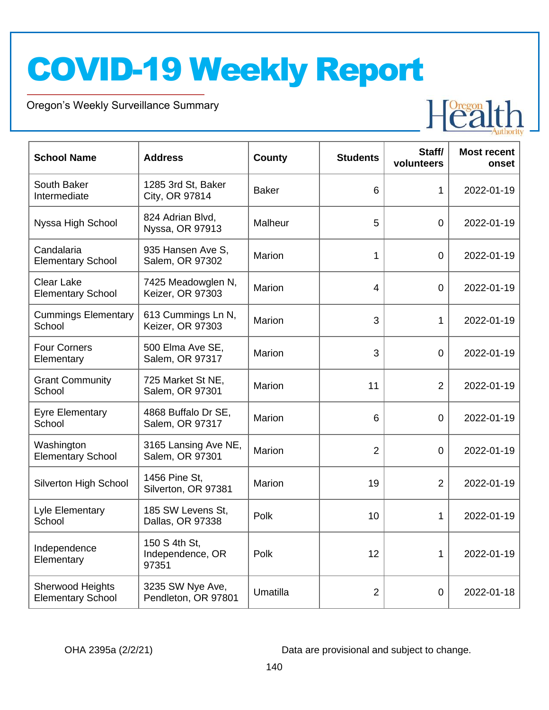Oregon's Weekly Surveillance Summary

Novel Coronavirus (COVID-19)



| <b>School Name</b>                            | <b>Address</b>                             | County       | <b>Students</b> | Staff/<br>volunteers | <b>Most recent</b><br>onset |
|-----------------------------------------------|--------------------------------------------|--------------|-----------------|----------------------|-----------------------------|
| South Baker<br>Intermediate                   | 1285 3rd St, Baker<br>City, OR 97814       | <b>Baker</b> | 6               | 1                    | 2022-01-19                  |
| Nyssa High School                             | 824 Adrian Blvd,<br>Nyssa, OR 97913        | Malheur      | 5               | $\mathbf 0$          | 2022-01-19                  |
| Candalaria<br><b>Elementary School</b>        | 935 Hansen Ave S,<br>Salem, OR 97302       | Marion       | $\mathbf{1}$    | $\overline{0}$       | 2022-01-19                  |
| <b>Clear Lake</b><br><b>Elementary School</b> | 7425 Meadowglen N,<br>Keizer, OR 97303     | Marion       | $\overline{4}$  | $\overline{0}$       | 2022-01-19                  |
| <b>Cummings Elementary</b><br>School          | 613 Cummings Ln N,<br>Keizer, OR 97303     | Marion       | 3               | $\mathbf{1}$         | 2022-01-19                  |
| <b>Four Corners</b><br>Elementary             | 500 Elma Ave SE,<br>Salem, OR 97317        | Marion       | 3               | $\mathbf 0$          | 2022-01-19                  |
| <b>Grant Community</b><br>School              | 725 Market St NE,<br>Salem, OR 97301       | Marion       | 11              | $\overline{2}$       | 2022-01-19                  |
| <b>Eyre Elementary</b><br>School              | 4868 Buffalo Dr SE,<br>Salem, OR 97317     | Marion       | $6\phantom{1}6$ | $\mathbf 0$          | 2022-01-19                  |
| Washington<br><b>Elementary School</b>        | 3165 Lansing Ave NE,<br>Salem, OR 97301    | Marion       | $\overline{2}$  | $\overline{0}$       | 2022-01-19                  |
| Silverton High School                         | 1456 Pine St,<br>Silverton, OR 97381       | Marion       | 19              | $\overline{2}$       | 2022-01-19                  |
| Lyle Elementary<br>School                     | 185 SW Levens St,<br>Dallas, OR 97338      | Polk         | 10              | $\mathbf 1$          | 2022-01-19                  |
| Independence<br>Elementary                    | 150 S 4th St,<br>Independence, OR<br>97351 | Polk         | 12              | 1                    | 2022-01-19                  |
| Sherwood Heights<br><b>Elementary School</b>  | 3235 SW Nye Ave,<br>Pendleton, OR 97801    | Umatilla     | $\overline{2}$  | $\mathbf 0$          | 2022-01-18                  |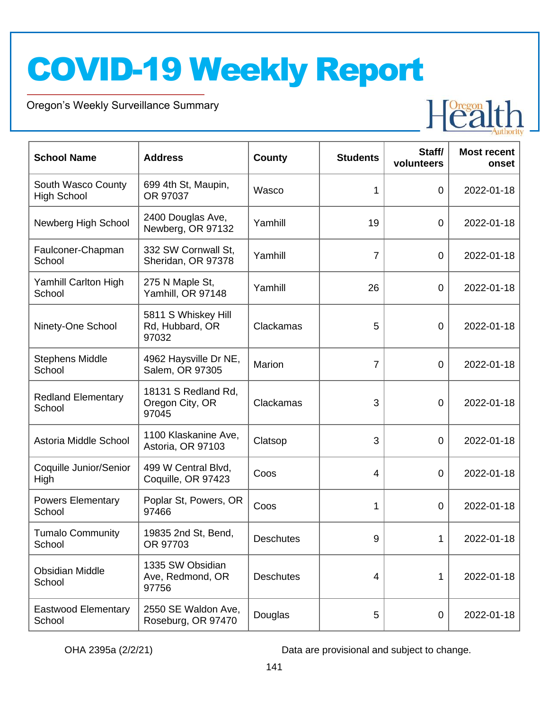Oregon's Weekly Surveillance Summary

Novel Coronavirus (COVID-19)



| <b>School Name</b>                       | <b>Address</b>                                  | <b>County</b>    | <b>Students</b> | Staff/<br>volunteers | <b>Most recent</b><br>onset |
|------------------------------------------|-------------------------------------------------|------------------|-----------------|----------------------|-----------------------------|
| South Wasco County<br><b>High School</b> | 699 4th St, Maupin,<br>OR 97037                 | Wasco            | 1               | $\mathbf 0$          | 2022-01-18                  |
| Newberg High School                      | 2400 Douglas Ave,<br>Newberg, OR 97132          | Yamhill          | 19              | $\mathbf 0$          | 2022-01-18                  |
| Faulconer-Chapman<br>School              | 332 SW Cornwall St,<br>Sheridan, OR 97378       | Yamhill          | $\overline{7}$  | $\mathbf 0$          | 2022-01-18                  |
| Yamhill Carlton High<br>School           | 275 N Maple St,<br>Yamhill, OR 97148            | Yamhill          | 26              | $\overline{0}$       | 2022-01-18                  |
| Ninety-One School                        | 5811 S Whiskey Hill<br>Rd, Hubbard, OR<br>97032 | Clackamas        | 5               | $\mathbf 0$          | 2022-01-18                  |
| <b>Stephens Middle</b><br>School         | 4962 Haysville Dr NE,<br>Salem, OR 97305        | Marion           | $\overline{7}$  | $\overline{0}$       | 2022-01-18                  |
| <b>Redland Elementary</b><br>School      | 18131 S Redland Rd,<br>Oregon City, OR<br>97045 | Clackamas        | 3               | $\overline{0}$       | 2022-01-18                  |
| Astoria Middle School                    | 1100 Klaskanine Ave,<br>Astoria, OR 97103       | Clatsop          | 3               | $\mathbf 0$          | 2022-01-18                  |
| Coquille Junior/Senior<br>High           | 499 W Central Blvd,<br>Coquille, OR 97423       | Coos             | 4               | $\mathbf 0$          | 2022-01-18                  |
| <b>Powers Elementary</b><br>School       | Poplar St, Powers, OR<br>97466                  | Coos             | 1               | 0                    | 2022-01-18                  |
| <b>Tumalo Community</b><br>School        | 19835 2nd St, Bend,<br>OR 97703                 | <b>Deschutes</b> | 9               | 1                    | 2022-01-18                  |
| <b>Obsidian Middle</b><br>School         | 1335 SW Obsidian<br>Ave, Redmond, OR<br>97756   | <b>Deschutes</b> | 4               | 1                    | 2022-01-18                  |
| Eastwood Elementary<br>School            | 2550 SE Waldon Ave,<br>Roseburg, OR 97470       | Douglas          | 5               | $\mathbf 0$          | 2022-01-18                  |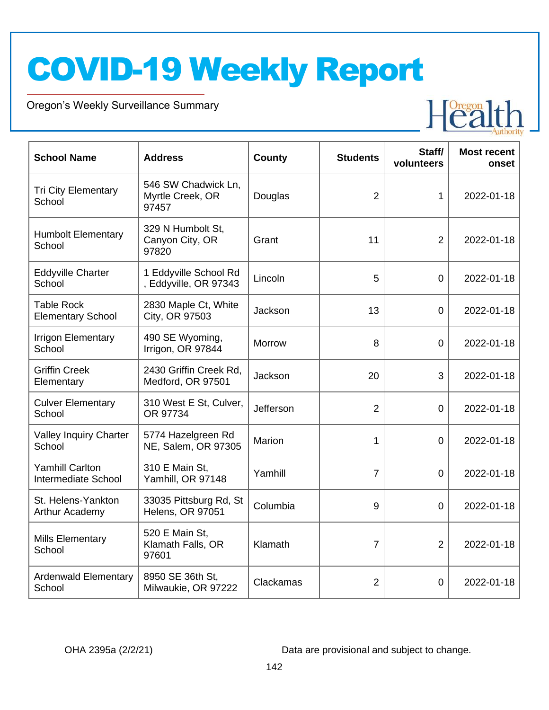Oregon's Weekly Surveillance Summary

Novel Coronavirus (COVID-19)



| <b>School Name</b>                            | <b>Address</b>                                   | <b>County</b> | <b>Students</b> | Staff/<br>volunteers | <b>Most recent</b><br>onset |
|-----------------------------------------------|--------------------------------------------------|---------------|-----------------|----------------------|-----------------------------|
| <b>Tri City Elementary</b><br>School          | 546 SW Chadwick Ln,<br>Myrtle Creek, OR<br>97457 | Douglas       | $\overline{2}$  | 1                    | 2022-01-18                  |
| <b>Humbolt Elementary</b><br>School           | 329 N Humbolt St.<br>Canyon City, OR<br>97820    | Grant         | 11              | $\overline{2}$       | 2022-01-18                  |
| <b>Eddyville Charter</b><br>School            | 1 Eddyville School Rd<br>, Eddyville, OR 97343   | Lincoln       | 5               | $\overline{0}$       | 2022-01-18                  |
| <b>Table Rock</b><br><b>Elementary School</b> | 2830 Maple Ct, White<br>City, OR 97503           | Jackson       | 13              | $\overline{0}$       | 2022-01-18                  |
| <b>Irrigon Elementary</b><br>School           | 490 SE Wyoming,<br>Irrigon, OR 97844             | <b>Morrow</b> | 8               | $\overline{0}$       | 2022-01-18                  |
| <b>Griffin Creek</b><br>Elementary            | 2430 Griffin Creek Rd,<br>Medford, OR 97501      | Jackson       | 20              | 3                    | 2022-01-18                  |
| <b>Culver Elementary</b><br>School            | 310 West E St, Culver,<br>OR 97734               | Jefferson     | $\overline{2}$  | $\mathbf 0$          | 2022-01-18                  |
| Valley Inquiry Charter<br>School              | 5774 Hazelgreen Rd<br>NE, Salem, OR 97305        | Marion        | 1               | $\overline{0}$       | 2022-01-18                  |
| <b>Yamhill Carlton</b><br>Intermediate School | 310 E Main St,<br>Yamhill, OR 97148              | Yamhill       | $\overline{7}$  | 0                    | 2022-01-18                  |
| St. Helens-Yankton<br>Arthur Academy          | 33035 Pittsburg Rd, St<br>Helens, OR 97051       | Columbia      | 9               | $\overline{0}$       | 2022-01-18                  |
| Mills Elementary<br>School                    | 520 E Main St,<br>Klamath Falls, OR<br>97601     | Klamath       | 7               | $\overline{2}$       | 2022-01-18                  |
| <b>Ardenwald Elementary</b><br>School         | 8950 SE 36th St.<br>Milwaukie, OR 97222          | Clackamas     | $\overline{2}$  | $\overline{0}$       | 2022-01-18                  |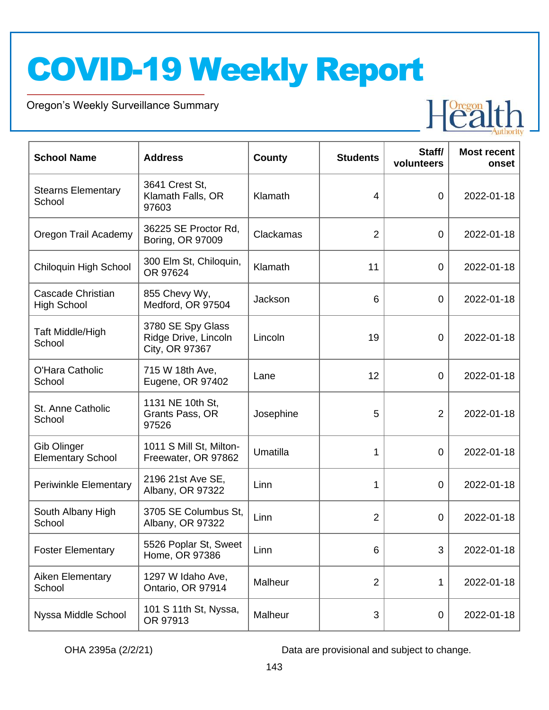Oregon's Weekly Surveillance Summary

Novel Coronavirus (COVID-19)



| <b>School Name</b>                      | <b>Address</b>                                              | <b>County</b> | <b>Students</b> | Staff/<br>volunteers | <b>Most recent</b><br>onset |
|-----------------------------------------|-------------------------------------------------------------|---------------|-----------------|----------------------|-----------------------------|
| <b>Stearns Elementary</b><br>School     | 3641 Crest St,<br>Klamath Falls, OR<br>97603                | Klamath       | $\overline{4}$  | $\overline{0}$       | 2022-01-18                  |
| Oregon Trail Academy                    | 36225 SE Proctor Rd.<br>Boring, OR 97009                    | Clackamas     | $\overline{2}$  | $\overline{0}$       | 2022-01-18                  |
| Chiloquin High School                   | 300 Elm St, Chiloquin,<br>OR 97624                          | Klamath       | 11              | $\overline{0}$       | 2022-01-18                  |
| Cascade Christian<br><b>High School</b> | 855 Chevy Wy,<br>Medford, OR 97504                          | Jackson       | 6               | 0                    | 2022-01-18                  |
| Taft Middle/High<br>School              | 3780 SE Spy Glass<br>Ridge Drive, Lincoln<br>City, OR 97367 | Lincoln       | 19              | 0                    | 2022-01-18                  |
| O'Hara Catholic<br>School               | 715 W 18th Ave,<br>Eugene, OR 97402                         | Lane          | 12              | 0                    | 2022-01-18                  |
| St. Anne Catholic<br>School             | 1131 NE 10th St,<br>Grants Pass, OR<br>97526                | Josephine     | 5               | $\overline{2}$       | 2022-01-18                  |
| Gib Olinger<br><b>Elementary School</b> | 1011 S Mill St, Milton-<br>Freewater, OR 97862              | Umatilla      | 1               | 0                    | 2022-01-18                  |
| <b>Periwinkle Elementary</b>            | 2196 21st Ave SE,<br>Albany, OR 97322                       | Linn          | 1               | 0                    | 2022-01-18                  |
| South Albany High<br>School             | 3705 SE Columbus St.<br>Albany, OR 97322                    | Linn          | $\overline{2}$  | 0                    | 2022-01-18                  |
| <b>Foster Elementary</b>                | 5526 Poplar St, Sweet<br>Home, OR 97386                     | Linn          | 6               | 3                    | 2022-01-18                  |
| Aiken Elementary<br>School              | 1297 W Idaho Ave,<br>Ontario, OR 97914                      | Malheur       | $\overline{2}$  | 1                    | 2022-01-18                  |
| Nyssa Middle School                     | 101 S 11th St, Nyssa,<br>OR 97913                           | Malheur       | 3               | 0                    | 2022-01-18                  |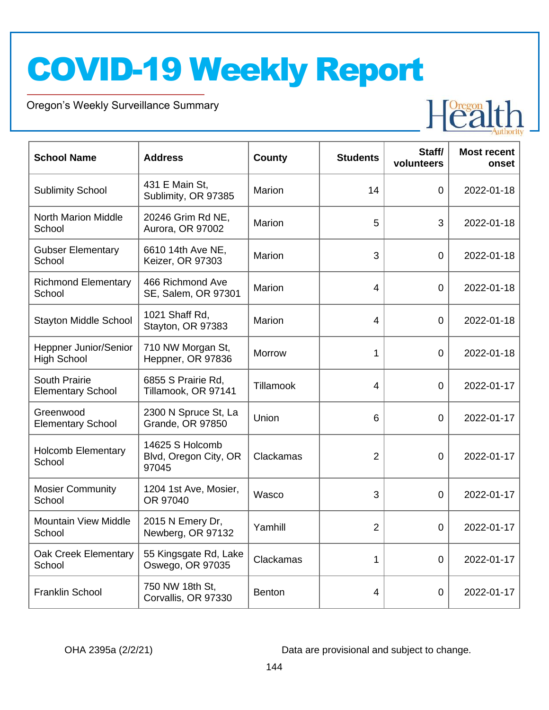Oregon's Weekly Surveillance Summary

Novel Coronavirus (COVID-19)



| <b>School Name</b>                               | <b>Address</b>                                    | County        | <b>Students</b> | Staff/<br>volunteers | <b>Most recent</b><br>onset |
|--------------------------------------------------|---------------------------------------------------|---------------|-----------------|----------------------|-----------------------------|
| <b>Sublimity School</b>                          | 431 E Main St,<br>Sublimity, OR 97385             | Marion        | 14              | $\overline{0}$       | 2022-01-18                  |
| <b>North Marion Middle</b><br>School             | 20246 Grim Rd NE,<br>Aurora, OR 97002             | Marion        | 5               | 3                    | 2022-01-18                  |
| <b>Gubser Elementary</b><br>School               | 6610 14th Ave NE,<br>Keizer, OR 97303             | Marion        | 3               | $\mathbf 0$          | 2022-01-18                  |
| <b>Richmond Elementary</b><br>School             | 466 Richmond Ave<br>SE, Salem, OR 97301           | Marion        | $\overline{4}$  | $\overline{0}$       | 2022-01-18                  |
| <b>Stayton Middle School</b>                     | 1021 Shaff Rd,<br>Stayton, OR 97383               | <b>Marion</b> | 4               | 0                    | 2022-01-18                  |
| Heppner Junior/Senior<br><b>High School</b>      | 710 NW Morgan St,<br>Heppner, OR 97836            | Morrow        | 1               | $\mathbf 0$          | 2022-01-18                  |
| <b>South Prairie</b><br><b>Elementary School</b> | 6855 S Prairie Rd,<br>Tillamook, OR 97141         | Tillamook     | 4               | $\overline{0}$       | 2022-01-17                  |
| Greenwood<br><b>Elementary School</b>            | 2300 N Spruce St, La<br><b>Grande, OR 97850</b>   | Union         | 6               | 0                    | 2022-01-17                  |
| Holcomb Elementary<br>School                     | 14625 S Holcomb<br>Blvd, Oregon City, OR<br>97045 | Clackamas     | $\overline{2}$  | 0                    | 2022-01-17                  |
| <b>Mosier Community</b><br>School                | 1204 1st Ave, Mosier,<br>OR 97040                 | Wasco         | 3               | 0                    | 2022-01-17                  |
| <b>Mountain View Middle</b><br>School            | 2015 N Emery Dr,<br>Newberg, OR 97132             | Yamhill       | $\overline{2}$  | $\mathbf 0$          | 2022-01-17                  |
| Oak Creek Elementary<br>School                   | 55 Kingsgate Rd, Lake<br>Oswego, OR 97035         | Clackamas     | $\mathbf 1$     | $\overline{0}$       | 2022-01-17                  |
| <b>Franklin School</b>                           | 750 NW 18th St,<br>Corvallis, OR 97330            | Benton        | 4               | $\mathbf 0$          | 2022-01-17                  |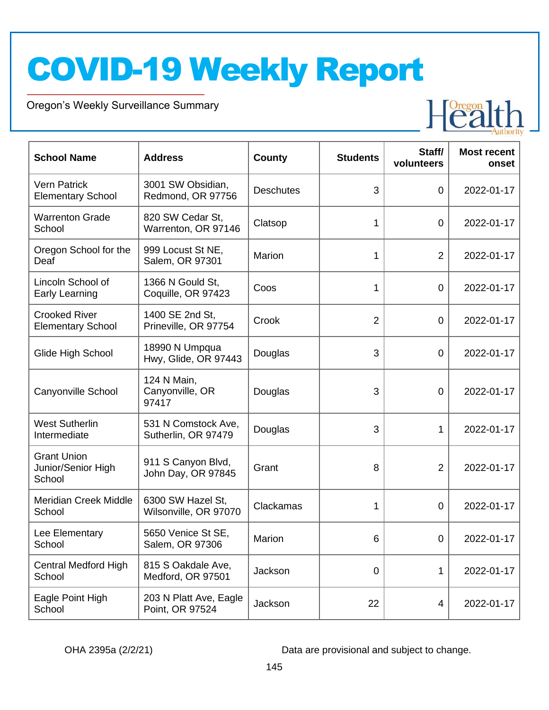Oregon's Weekly Surveillance Summary

Novel Coronavirus (COVID-19)



| <b>School Name</b>                                 | <b>Address</b>                             | <b>County</b>    | <b>Students</b> | Staff/<br>volunteers | <b>Most recent</b><br>onset |
|----------------------------------------------------|--------------------------------------------|------------------|-----------------|----------------------|-----------------------------|
| <b>Vern Patrick</b><br><b>Elementary School</b>    | 3001 SW Obsidian,<br>Redmond, OR 97756     | <b>Deschutes</b> | 3               | $\overline{0}$       | 2022-01-17                  |
| <b>Warrenton Grade</b><br>School                   | 820 SW Cedar St,<br>Warrenton, OR 97146    | Clatsop          | 1               | $\overline{0}$       | 2022-01-17                  |
| Oregon School for the<br>Deaf                      | 999 Locust St NE,<br>Salem, OR 97301       | Marion           | 1               | 2                    | 2022-01-17                  |
| Lincoln School of<br>Early Learning                | 1366 N Gould St,<br>Coquille, OR 97423     | Coos             | 1               | $\mathbf 0$          | 2022-01-17                  |
| <b>Crooked River</b><br><b>Elementary School</b>   | 1400 SE 2nd St,<br>Prineville, OR 97754    | Crook            | $\overline{2}$  | $\mathbf 0$          | 2022-01-17                  |
| Glide High School                                  | 18990 N Umpqua<br>Hwy, Glide, OR 97443     | Douglas          | 3               | 0                    | 2022-01-17                  |
| Canyonville School                                 | 124 N Main,<br>Canyonville, OR<br>97417    | Douglas          | 3               | $\overline{0}$       | 2022-01-17                  |
| <b>West Sutherlin</b><br>Intermediate              | 531 N Comstock Ave,<br>Sutherlin, OR 97479 | Douglas          | 3               | 1                    | 2022-01-17                  |
| <b>Grant Union</b><br>Junior/Senior High<br>School | 911 S Canyon Blvd,<br>John Day, OR 97845   | Grant            | 8               | $\overline{2}$       | 2022-01-17                  |
| <b>Meridian Creek Middle</b><br>School             | 6300 SW Hazel St,<br>Wilsonville, OR 97070 | Clackamas        | 1               | 0                    | 2022-01-17                  |
| Lee Elementary<br>School                           | 5650 Venice St SE,<br>Salem, OR 97306      | Marion           | 6               | $\mathbf 0$          | 2022-01-17                  |
| <b>Central Medford High</b><br>School              | 815 S Oakdale Ave,<br>Medford, OR 97501    | Jackson          | 0               | 1                    | 2022-01-17                  |
| Eagle Point High<br>School                         | 203 N Platt Ave, Eagle<br>Point, OR 97524  | Jackson          | 22              | 4                    | 2022-01-17                  |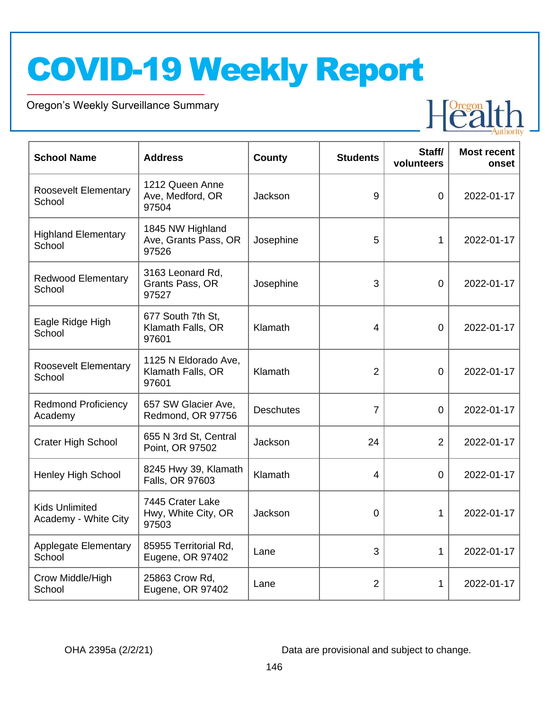Oregon's Weekly Surveillance Summary

Novel Coronavirus (COVID-19)



| <b>School Name</b>                            | <b>Address</b>                                     | <b>County</b>    | <b>Students</b> | Staff/<br>volunteers | <b>Most recent</b><br>onset |
|-----------------------------------------------|----------------------------------------------------|------------------|-----------------|----------------------|-----------------------------|
| <b>Roosevelt Elementary</b><br>School         | 1212 Queen Anne<br>Ave, Medford, OR<br>97504       | Jackson          | 9               | $\overline{0}$       | 2022-01-17                  |
| <b>Highland Elementary</b><br>School          | 1845 NW Highland<br>Ave, Grants Pass, OR<br>97526  | Josephine        | 5               | 1                    | 2022-01-17                  |
| <b>Redwood Elementary</b><br>School           | 3163 Leonard Rd,<br>Grants Pass, OR<br>97527       | Josephine        | 3               | $\overline{0}$       | 2022-01-17                  |
| Eagle Ridge High<br>School                    | 677 South 7th St,<br>Klamath Falls, OR<br>97601    | Klamath          | $\overline{4}$  | $\overline{0}$       | 2022-01-17                  |
| Roosevelt Elementary<br>School                | 1125 N Eldorado Ave,<br>Klamath Falls, OR<br>97601 | Klamath          | 2               | $\overline{0}$       | 2022-01-17                  |
| <b>Redmond Proficiency</b><br>Academy         | 657 SW Glacier Ave,<br>Redmond, OR 97756           | <b>Deschutes</b> | $\overline{7}$  | $\overline{0}$       | 2022-01-17                  |
| <b>Crater High School</b>                     | 655 N 3rd St, Central<br>Point, OR 97502           | Jackson          | 24              | $\overline{2}$       | 2022-01-17                  |
| Henley High School                            | 8245 Hwy 39, Klamath<br>Falls, OR 97603            | Klamath          | 4               | $\overline{0}$       | 2022-01-17                  |
| <b>Kids Unlimited</b><br>Academy - White City | 7445 Crater Lake<br>Hwy, White City, OR<br>97503   | Jackson          | $\overline{0}$  | 1                    | 2022-01-17                  |
| <b>Applegate Elementary</b><br>School         | 85955 Territorial Rd,<br>Eugene, OR 97402          | Lane             | 3               | 1                    | 2022-01-17                  |
| Crow Middle/High<br>School                    | 25863 Crow Rd,<br>Eugene, OR 97402                 | Lane             | $\overline{2}$  | 1                    | 2022-01-17                  |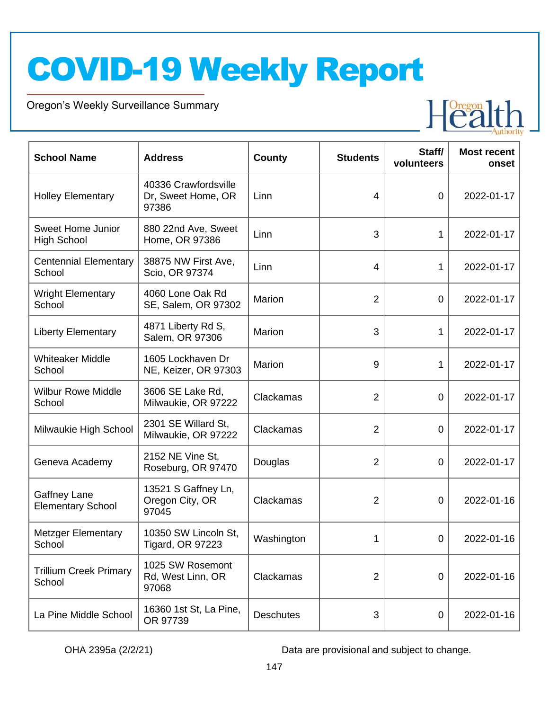Oregon's Weekly Surveillance Summary

Novel Coronavirus (COVID-19)



| <b>School Name</b>                              | <b>Address</b>                                      | <b>County</b>    | <b>Students</b> | Staff/<br>volunteers | <b>Most recent</b><br>onset |
|-------------------------------------------------|-----------------------------------------------------|------------------|-----------------|----------------------|-----------------------------|
| <b>Holley Elementary</b>                        | 40336 Crawfordsville<br>Dr, Sweet Home, OR<br>97386 | Linn             | $\overline{4}$  | $\overline{0}$       | 2022-01-17                  |
| <b>Sweet Home Junior</b><br><b>High School</b>  | 880 22nd Ave, Sweet<br>Home, OR 97386               | Linn             | 3               | $\mathbf{1}$         | 2022-01-17                  |
| <b>Centennial Elementary</b><br>School          | 38875 NW First Ave,<br>Scio, OR 97374               | Linn             | $\overline{4}$  | 1                    | 2022-01-17                  |
| <b>Wright Elementary</b><br>School              | 4060 Lone Oak Rd<br>SE, Salem, OR 97302             | Marion           | $\overline{2}$  | $\overline{0}$       | 2022-01-17                  |
| <b>Liberty Elementary</b>                       | 4871 Liberty Rd S,<br>Salem, OR 97306               | Marion           | 3               | 1                    | 2022-01-17                  |
| <b>Whiteaker Middle</b><br>School               | 1605 Lockhaven Dr<br>NE, Keizer, OR 97303           | Marion           | 9               | 1                    | 2022-01-17                  |
| <b>Wilbur Rowe Middle</b><br>School             | 3606 SE Lake Rd,<br>Milwaukie, OR 97222             | Clackamas        | $\overline{2}$  | $\overline{0}$       | 2022-01-17                  |
| Milwaukie High School                           | 2301 SE Willard St,<br>Milwaukie, OR 97222          | Clackamas        | $\overline{2}$  | 0                    | 2022-01-17                  |
| Geneva Academy                                  | 2152 NE Vine St,<br>Roseburg, OR 97470              | Douglas          | $\overline{2}$  | $\overline{0}$       | 2022-01-17                  |
| <b>Gaffney Lane</b><br><b>Elementary School</b> | 13521 S Gaffney Ln,<br>Oregon City, OR<br>97045     | Clackamas        | $\overline{2}$  | 0                    | 2022-01-16                  |
| <b>Metzger Elementary</b><br>School             | 10350 SW Lincoln St,<br>Tigard, OR 97223            | Washington       | 1               | $\overline{0}$       | 2022-01-16                  |
| <b>Trillium Creek Primary</b><br>School         | 1025 SW Rosemont<br>Rd, West Linn, OR<br>97068      | Clackamas        | $\overline{2}$  | 0                    | 2022-01-16                  |
| La Pine Middle School                           | 16360 1st St, La Pine,<br>OR 97739                  | <b>Deschutes</b> | 3               | 0                    | 2022-01-16                  |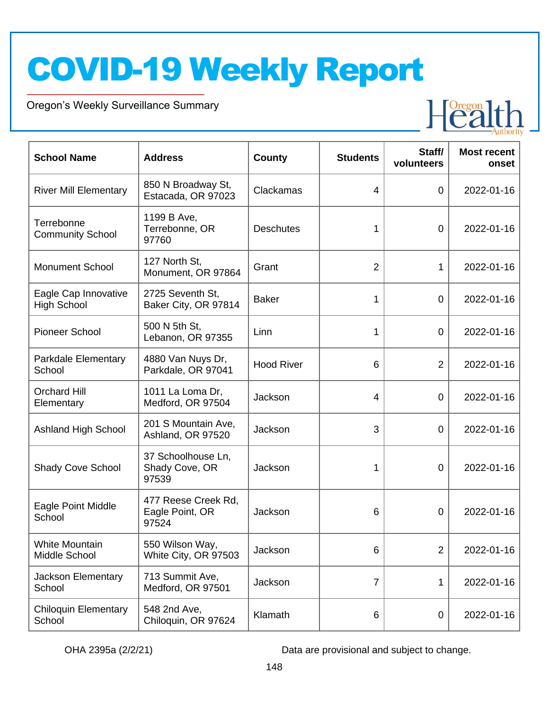Oregon's Weekly Surveillance Summary

Novel Coronavirus (COVID-19)



| <b>School Name</b>                         | <b>Address</b>                                  | County            | <b>Students</b> | Staff/<br>volunteers | <b>Most recent</b><br>onset |
|--------------------------------------------|-------------------------------------------------|-------------------|-----------------|----------------------|-----------------------------|
| <b>River Mill Elementary</b>               | 850 N Broadway St,<br>Estacada, OR 97023        | Clackamas         | $\overline{4}$  | $\overline{0}$       | 2022-01-16                  |
| Terrebonne<br><b>Community School</b>      | 1199 B Ave,<br>Terrebonne, OR<br>97760          | <b>Deschutes</b>  | 1               | $\overline{0}$       | 2022-01-16                  |
| <b>Monument School</b>                     | 127 North St,<br>Monument, OR 97864             | Grant             | $\overline{2}$  | 1                    | 2022-01-16                  |
| Eagle Cap Innovative<br><b>High School</b> | 2725 Seventh St.<br>Baker City, OR 97814        | <b>Baker</b>      | 1               | $\overline{0}$       | 2022-01-16                  |
| Pioneer School                             | 500 N 5th St,<br>Lebanon, OR 97355              | Linn              | 1               | 0                    | 2022-01-16                  |
| Parkdale Elementary<br>School              | 4880 Van Nuys Dr,<br>Parkdale, OR 97041         | <b>Hood River</b> | 6               | $\overline{2}$       | 2022-01-16                  |
| <b>Orchard Hill</b><br>Elementary          | 1011 La Loma Dr,<br>Medford, OR 97504           | Jackson           | $\overline{4}$  | $\overline{0}$       | 2022-01-16                  |
| <b>Ashland High School</b>                 | 201 S Mountain Ave,<br>Ashland, OR 97520        | Jackson           | 3               | $\overline{0}$       | 2022-01-16                  |
| <b>Shady Cove School</b>                   | 37 Schoolhouse Ln,<br>Shady Cove, OR<br>97539   | Jackson           | 1               | 0                    | 2022-01-16                  |
| Eagle Point Middle<br>School               | 477 Reese Creek Rd,<br>Eagle Point, OR<br>97524 | Jackson           | 6               | 0                    | 2022-01-16                  |
| <b>White Mountain</b><br>Middle School     | 550 Wilson Way,<br>White City, OR 97503         | Jackson           | 6               | $\overline{2}$       | 2022-01-16                  |
| Jackson Elementary<br>School               | 713 Summit Ave,<br>Medford, OR 97501            | Jackson           | $\overline{7}$  | 1                    | 2022-01-16                  |
| <b>Chiloquin Elementary</b><br>School      | 548 2nd Ave,<br>Chiloquin, OR 97624             | Klamath           | 6               | 0                    | 2022-01-16                  |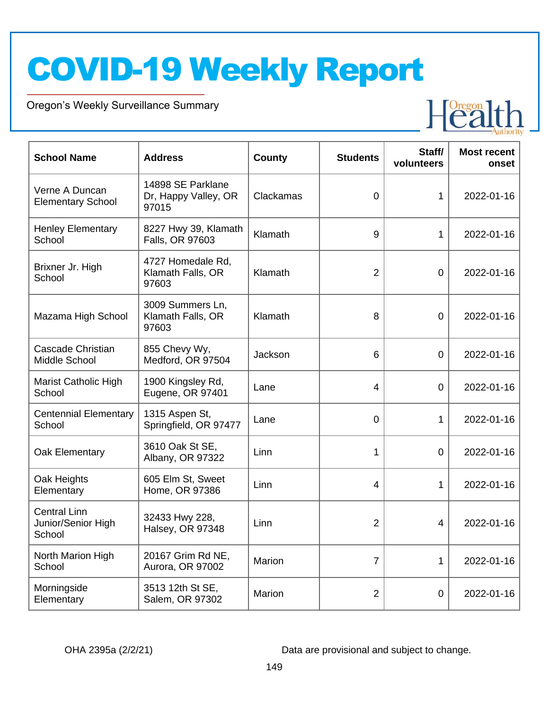Oregon's Weekly Surveillance Summary

Novel Coronavirus (COVID-19)



| <b>School Name</b>                                  | <b>Address</b>                                     | <b>County</b> | <b>Students</b> | Staff/<br>volunteers | <b>Most recent</b><br>onset |
|-----------------------------------------------------|----------------------------------------------------|---------------|-----------------|----------------------|-----------------------------|
| Verne A Duncan<br><b>Elementary School</b>          | 14898 SE Parklane<br>Dr, Happy Valley, OR<br>97015 | Clackamas     | $\overline{0}$  | 1                    | 2022-01-16                  |
| <b>Henley Elementary</b><br>School                  | 8227 Hwy 39, Klamath<br>Falls, OR 97603            | Klamath       | 9               | $\mathbf{1}$         | 2022-01-16                  |
| Brixner Jr. High<br>School                          | 4727 Homedale Rd,<br>Klamath Falls, OR<br>97603    | Klamath       | $\overline{2}$  | $\overline{0}$       | 2022-01-16                  |
| Mazama High School                                  | 3009 Summers Ln,<br>Klamath Falls, OR<br>97603     | Klamath       | 8               | $\overline{0}$       | 2022-01-16                  |
| Cascade Christian<br>Middle School                  | 855 Chevy Wy,<br>Medford, OR 97504                 | Jackson       | 6               | $\overline{0}$       | 2022-01-16                  |
| Marist Catholic High<br>School                      | 1900 Kingsley Rd,<br>Eugene, OR 97401              | Lane          | $\overline{4}$  | $\overline{0}$       | 2022-01-16                  |
| <b>Centennial Elementary</b><br>School              | 1315 Aspen St,<br>Springfield, OR 97477            | Lane          | 0               | $\mathbf{1}$         | 2022-01-16                  |
| Oak Elementary                                      | 3610 Oak St SE,<br>Albany, OR 97322                | Linn          | 1               | $\overline{0}$       | 2022-01-16                  |
| Oak Heights<br>Elementary                           | 605 Elm St, Sweet<br>Home, OR 97386                | Linn          | 4               | 1                    | 2022-01-16                  |
| <b>Central Linn</b><br>Junior/Senior High<br>School | 32433 Hwy 228,<br>Halsey, OR 97348                 | Linn          | $\overline{2}$  | 4                    | 2022-01-16                  |
| North Marion High<br>School                         | 20167 Grim Rd NE,<br>Aurora, OR 97002              | Marion        | $\overline{7}$  | 1                    | 2022-01-16                  |
| Morningside<br>Elementary                           | 3513 12th St SE,<br>Salem, OR 97302                | Marion        | $\overline{2}$  | $\mathbf 0$          | 2022-01-16                  |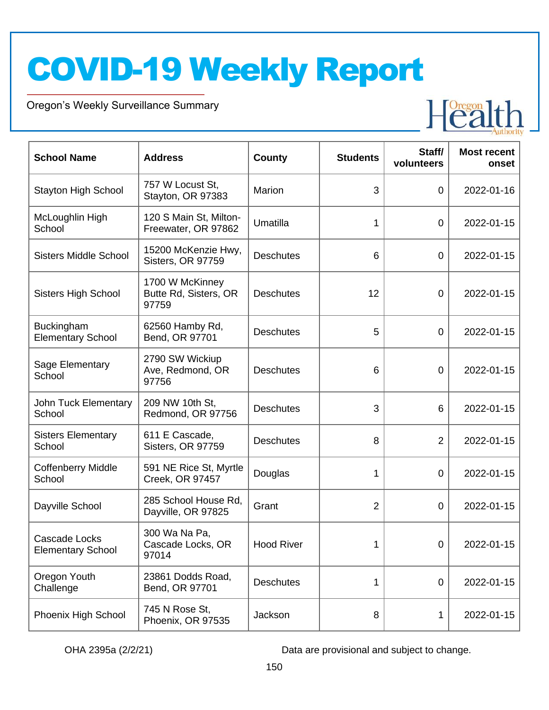Oregon's Weekly Surveillance Summary

Novel Coronavirus (COVID-19)



| <b>School Name</b>                               | <b>Address</b>                                    | County            | <b>Students</b> | Staff/<br>volunteers | <b>Most recent</b><br>onset |
|--------------------------------------------------|---------------------------------------------------|-------------------|-----------------|----------------------|-----------------------------|
| <b>Stayton High School</b>                       | 757 W Locust St,<br>Stayton, OR 97383             | Marion            | 3               | $\mathbf 0$          | 2022-01-16                  |
| McLoughlin High<br>School                        | 120 S Main St, Milton-<br>Freewater, OR 97862     | Umatilla          | 1               | $\mathbf 0$          | 2022-01-15                  |
| <b>Sisters Middle School</b>                     | 15200 McKenzie Hwy,<br>Sisters, OR 97759          | <b>Deschutes</b>  | 6               | $\boldsymbol{0}$     | 2022-01-15                  |
| <b>Sisters High School</b>                       | 1700 W McKinney<br>Butte Rd, Sisters, OR<br>97759 | <b>Deschutes</b>  | 12              | $\mathbf 0$          | 2022-01-15                  |
| <b>Buckingham</b><br><b>Elementary School</b>    | 62560 Hamby Rd,<br>Bend, OR 97701                 | <b>Deschutes</b>  | 5               | $\mathbf 0$          | 2022-01-15                  |
| Sage Elementary<br>School                        | 2790 SW Wickiup<br>Ave, Redmond, OR<br>97756      | <b>Deschutes</b>  | 6               | 0                    | 2022-01-15                  |
| John Tuck Elementary<br>School                   | 209 NW 10th St,<br>Redmond, OR 97756              | <b>Deschutes</b>  | 3               | 6                    | 2022-01-15                  |
| <b>Sisters Elementary</b><br>School              | 611 E Cascade,<br>Sisters, OR 97759               | <b>Deschutes</b>  | 8               | $\overline{2}$       | 2022-01-15                  |
| <b>Coffenberry Middle</b><br>School              | 591 NE Rice St, Myrtle<br>Creek, OR 97457         | Douglas           | 1               | $\mathbf 0$          | 2022-01-15                  |
| Dayville School                                  | 285 School House Rd,<br>Dayville, OR 97825        | Grant             | 2               | 0                    | 2022-01-15                  |
| <b>Cascade Locks</b><br><b>Elementary School</b> | 300 Wa Na Pa,<br>Cascade Locks, OR<br>97014       | <b>Hood River</b> | 1               | 0                    | 2022-01-15                  |
| Oregon Youth<br>Challenge                        | 23861 Dodds Road,<br>Bend, OR 97701               | <b>Deschutes</b>  | 1               | $\mathbf 0$          | 2022-01-15                  |
| Phoenix High School                              | 745 N Rose St,<br>Phoenix, OR 97535               | Jackson           | 8               | 1                    | 2022-01-15                  |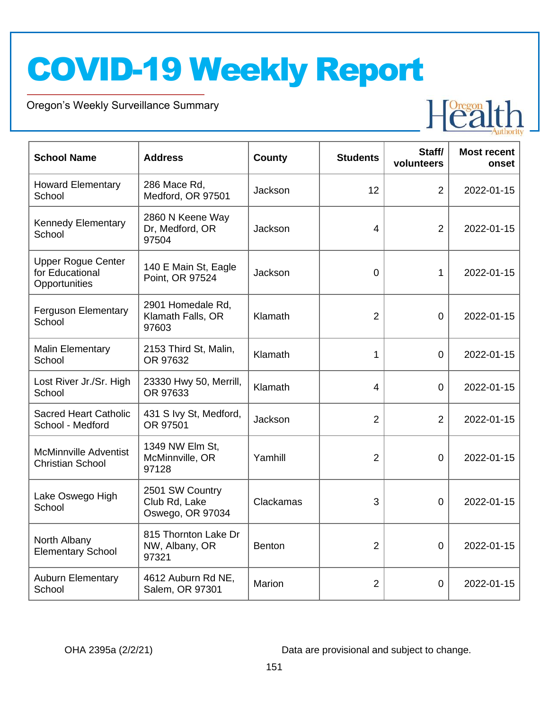Oregon's Weekly Surveillance Summary

Novel Coronavirus (COVID-19)



| <b>School Name</b>                                            | <b>Address</b>                                       | <b>County</b> | <b>Students</b> | Staff/<br>volunteers | <b>Most recent</b><br>onset |
|---------------------------------------------------------------|------------------------------------------------------|---------------|-----------------|----------------------|-----------------------------|
| <b>Howard Elementary</b><br>School                            | 286 Mace Rd,<br>Medford, OR 97501                    | Jackson       | 12              | $\overline{2}$       | 2022-01-15                  |
| Kennedy Elementary<br>School                                  | 2860 N Keene Way<br>Dr, Medford, OR<br>97504         | Jackson       | 4               | $\overline{2}$       | 2022-01-15                  |
| <b>Upper Rogue Center</b><br>for Educational<br>Opportunities | 140 E Main St, Eagle<br>Point, OR 97524              | Jackson       | $\overline{0}$  | 1                    | 2022-01-15                  |
| <b>Ferguson Elementary</b><br>School                          | 2901 Homedale Rd,<br>Klamath Falls, OR<br>97603      | Klamath       | $\overline{2}$  | $\Omega$             | 2022-01-15                  |
| <b>Malin Elementary</b><br>School                             | 2153 Third St, Malin,<br>OR 97632                    | Klamath       | 1               | 0                    | 2022-01-15                  |
| Lost River Jr./Sr. High<br>School                             | 23330 Hwy 50, Merrill,<br>OR 97633                   | Klamath       | 4               | 0                    | 2022-01-15                  |
| <b>Sacred Heart Catholic</b><br>School - Medford              | 431 S Ivy St, Medford,<br>OR 97501                   | Jackson       | $\overline{2}$  | $\overline{2}$       | 2022-01-15                  |
| <b>McMinnville Adventist</b><br><b>Christian School</b>       | 1349 NW Elm St,<br>McMinnville, OR<br>97128          | Yamhill       | $\overline{2}$  | $\overline{0}$       | 2022-01-15                  |
| Lake Oswego High<br>School                                    | 2501 SW Country<br>Club Rd, Lake<br>Oswego, OR 97034 | Clackamas     | 3               | 0                    | 2022-01-15                  |
| North Albany<br><b>Elementary School</b>                      | 815 Thornton Lake Dr<br>NW, Albany, OR<br>97321      | <b>Benton</b> | $\overline{2}$  | 0                    | 2022-01-15                  |
| <b>Auburn Elementary</b><br>School                            | 4612 Auburn Rd NE,<br>Salem, OR 97301                | Marion        | $\overline{2}$  | 0                    | 2022-01-15                  |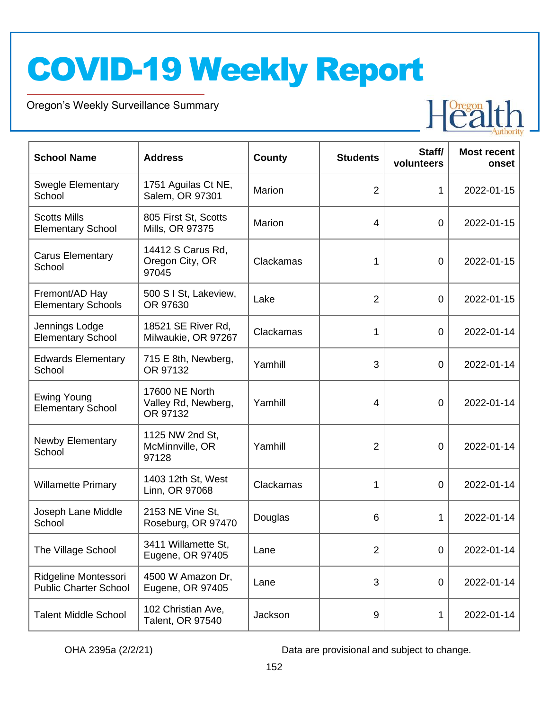Oregon's Weekly Surveillance Summary

Novel Coronavirus (COVID-19)



| <b>School Name</b>                                   | <b>Address</b>                                    | <b>County</b> | <b>Students</b> | Staff/<br>volunteers | <b>Most recent</b><br>onset |
|------------------------------------------------------|---------------------------------------------------|---------------|-----------------|----------------------|-----------------------------|
| <b>Swegle Elementary</b><br>School                   | 1751 Aguilas Ct NE,<br>Salem, OR 97301            | Marion        | $\overline{2}$  | $\mathbf{1}$         | 2022-01-15                  |
| <b>Scotts Mills</b><br><b>Elementary School</b>      | 805 First St, Scotts<br>Mills, OR 97375           | Marion        | $\overline{4}$  | $\overline{0}$       | 2022-01-15                  |
| <b>Carus Elementary</b><br>School                    | 14412 S Carus Rd,<br>Oregon City, OR<br>97045     | Clackamas     | 1               | $\overline{0}$       | 2022-01-15                  |
| Fremont/AD Hay<br><b>Elementary Schools</b>          | 500 S I St, Lakeview,<br>OR 97630                 | Lake          | $\overline{2}$  | $\overline{0}$       | 2022-01-15                  |
| Jennings Lodge<br><b>Elementary School</b>           | 18521 SE River Rd,<br>Milwaukie, OR 97267         | Clackamas     | 1               | $\overline{0}$       | 2022-01-14                  |
| <b>Edwards Elementary</b><br>School                  | 715 E 8th, Newberg,<br>OR 97132                   | Yamhill       | 3               | $\overline{0}$       | 2022-01-14                  |
| <b>Ewing Young</b><br><b>Elementary School</b>       | 17600 NE North<br>Valley Rd, Newberg,<br>OR 97132 | Yamhill       | $\overline{4}$  | 0                    | 2022-01-14                  |
| <b>Newby Elementary</b><br>School                    | 1125 NW 2nd St,<br>McMinnville, OR<br>97128       | Yamhill       | $\overline{2}$  | $\overline{0}$       | 2022-01-14                  |
| <b>Willamette Primary</b>                            | 1403 12th St, West<br>Linn, OR 97068              | Clackamas     | 1               | $\overline{0}$       | 2022-01-14                  |
| Joseph Lane Middle<br>School                         | 2153 NE Vine St,<br>Roseburg, OR 97470            | Douglas       | 6               | 1                    | 2022-01-14                  |
| The Village School                                   | 3411 Willamette St,<br>Eugene, OR 97405           | Lane          | $\overline{2}$  | 0                    | 2022-01-14                  |
| Ridgeline Montessori<br><b>Public Charter School</b> | 4500 W Amazon Dr,<br>Eugene, OR 97405             | Lane          | 3               | 0                    | 2022-01-14                  |
| <b>Talent Middle School</b>                          | 102 Christian Ave,<br>Talent, OR 97540            | Jackson       | 9               | 1                    | 2022-01-14                  |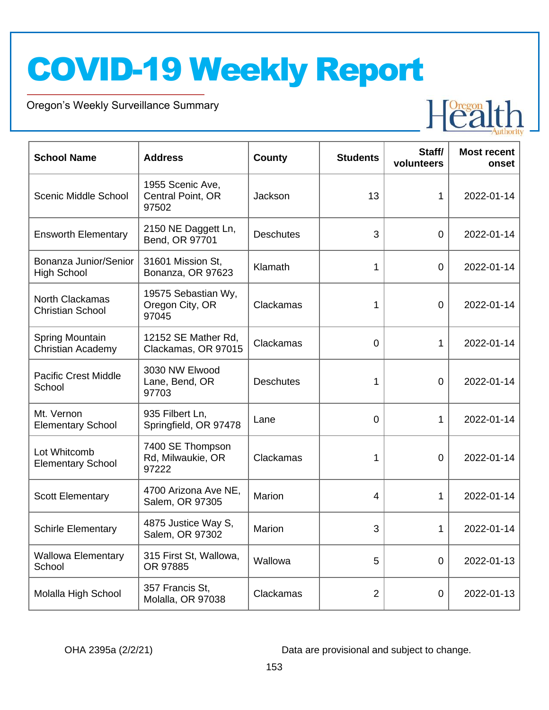Oregon's Weekly Surveillance Summary

Novel Coronavirus (COVID-19)



| <b>School Name</b>                                | <b>Address</b>                                  | <b>County</b>    | <b>Students</b> | Staff/<br>volunteers | <b>Most recent</b><br>onset |
|---------------------------------------------------|-------------------------------------------------|------------------|-----------------|----------------------|-----------------------------|
| <b>Scenic Middle School</b>                       | 1955 Scenic Ave,<br>Central Point, OR<br>97502  | Jackson          | 13              | 1                    | 2022-01-14                  |
| <b>Ensworth Elementary</b>                        | 2150 NE Daggett Ln,<br>Bend, OR 97701           | <b>Deschutes</b> | 3               | $\mathbf 0$          | 2022-01-14                  |
| Bonanza Junior/Senior<br><b>High School</b>       | 31601 Mission St,<br>Bonanza, OR 97623          | Klamath          | 1               | 0                    | 2022-01-14                  |
| <b>North Clackamas</b><br><b>Christian School</b> | 19575 Sebastian Wy,<br>Oregon City, OR<br>97045 | Clackamas        | 1               | 0                    | 2022-01-14                  |
| Spring Mountain<br><b>Christian Academy</b>       | 12152 SE Mather Rd.<br>Clackamas, OR 97015      | Clackamas        | 0               | 1                    | 2022-01-14                  |
| <b>Pacific Crest Middle</b><br>School             | 3030 NW Elwood<br>Lane, Bend, OR<br>97703       | <b>Deschutes</b> | 1               | $\mathbf 0$          | 2022-01-14                  |
| Mt. Vernon<br><b>Elementary School</b>            | 935 Filbert Ln,<br>Springfield, OR 97478        | Lane             | 0               | 1                    | 2022-01-14                  |
| Lot Whitcomb<br><b>Elementary School</b>          | 7400 SE Thompson<br>Rd, Milwaukie, OR<br>97222  | Clackamas        | 1               | 0                    | 2022-01-14                  |
| <b>Scott Elementary</b>                           | 4700 Arizona Ave NE,<br>Salem, OR 97305         | Marion           | 4               | 1                    | 2022-01-14                  |
| <b>Schirle Elementary</b>                         | 4875 Justice Way S,<br>Salem, OR 97302          | Marion           | 3               | 1                    | 2022-01-14                  |
| <b>Wallowa Elementary</b><br>School               | 315 First St, Wallowa,<br>OR 97885              | Wallowa          | 5               | $\boldsymbol{0}$     | 2022-01-13                  |
| Molalla High School                               | 357 Francis St,<br>Molalla, OR 97038            | Clackamas        | $\overline{2}$  | $\pmb{0}$            | 2022-01-13                  |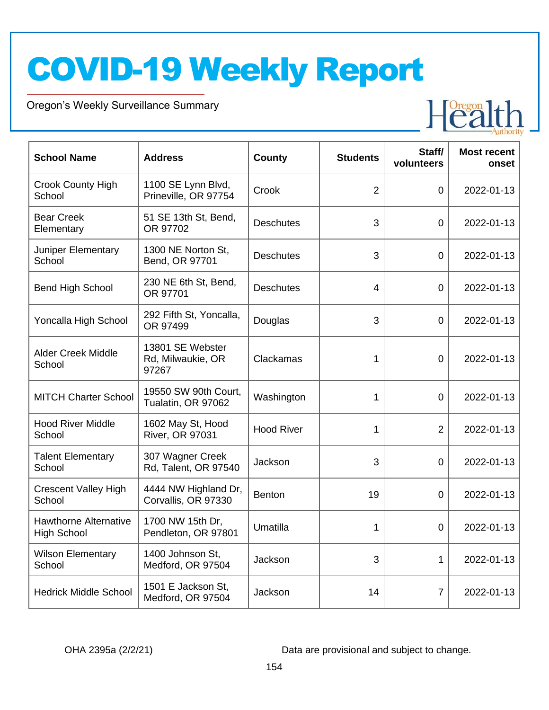Oregon's Weekly Surveillance Summary

Novel Coronavirus (COVID-19)



| <b>School Name</b>                                 | <b>Address</b>                                 | <b>County</b>     | <b>Students</b> | Staff/<br>volunteers | <b>Most recent</b><br>onset |
|----------------------------------------------------|------------------------------------------------|-------------------|-----------------|----------------------|-----------------------------|
| <b>Crook County High</b><br>School                 | 1100 SE Lynn Blvd,<br>Prineville, OR 97754     | Crook             | $\overline{2}$  | $\mathbf 0$          | 2022-01-13                  |
| <b>Bear Creek</b><br>Elementary                    | 51 SE 13th St, Bend,<br>OR 97702               | <b>Deschutes</b>  | 3               | $\mathbf 0$          | 2022-01-13                  |
| Juniper Elementary<br>School                       | 1300 NE Norton St.<br>Bend, OR 97701           | <b>Deschutes</b>  | 3               | $\boldsymbol{0}$     | 2022-01-13                  |
| <b>Bend High School</b>                            | 230 NE 6th St, Bend,<br>OR 97701               | <b>Deschutes</b>  | 4               | $\boldsymbol{0}$     | 2022-01-13                  |
| Yoncalla High School                               | 292 Fifth St, Yoncalla,<br>OR 97499            | Douglas           | 3               | $\mathbf 0$          | 2022-01-13                  |
| <b>Alder Creek Middle</b><br>School                | 13801 SE Webster<br>Rd, Milwaukie, OR<br>97267 | Clackamas         | 1               | 0                    | 2022-01-13                  |
| <b>MITCH Charter School</b>                        | 19550 SW 90th Court,<br>Tualatin, OR 97062     | Washington        | 1               | $\mathbf 0$          | 2022-01-13                  |
| <b>Hood River Middle</b><br>School                 | 1602 May St, Hood<br><b>River, OR 97031</b>    | <b>Hood River</b> | 1               | $\overline{2}$       | 2022-01-13                  |
| <b>Talent Elementary</b><br>School                 | 307 Wagner Creek<br>Rd, Talent, OR 97540       | Jackson           | 3               | $\mathbf 0$          | 2022-01-13                  |
| <b>Crescent Valley High</b><br>School              | 4444 NW Highland Dr,<br>Corvallis, OR 97330    | Benton            | 19              | 0                    | 2022-01-13                  |
| <b>Hawthorne Alternative</b><br><b>High School</b> | 1700 NW 15th Dr,<br>Pendleton, OR 97801        | Umatilla          | 1               | $\mathbf 0$          | 2022-01-13                  |
| <b>Wilson Elementary</b><br>School                 | 1400 Johnson St,<br>Medford, OR 97504          | Jackson           | 3               | 1                    | 2022-01-13                  |
| <b>Hedrick Middle School</b>                       | 1501 E Jackson St,<br>Medford, OR 97504        | Jackson           | 14              | 7                    | 2022-01-13                  |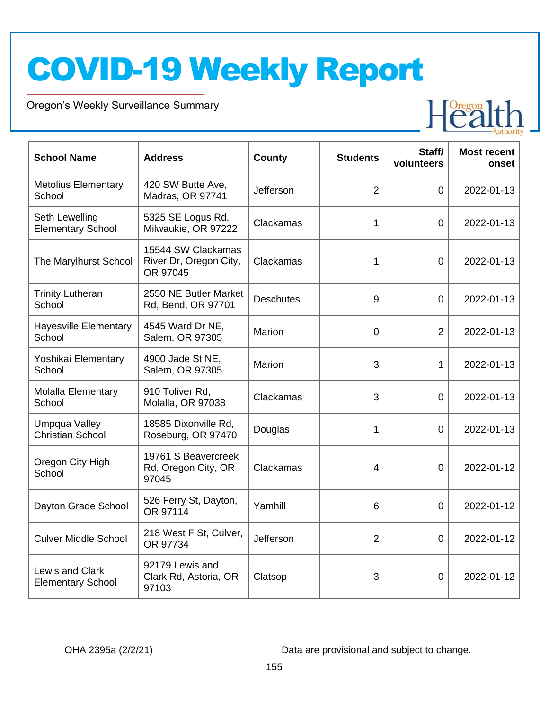Oregon's Weekly Surveillance Summary

Novel Coronavirus (COVID-19)



| <b>School Name</b>                              | <b>Address</b>                                           | <b>County</b>    | <b>Students</b> | Staff/<br>volunteers | <b>Most recent</b><br>onset |
|-------------------------------------------------|----------------------------------------------------------|------------------|-----------------|----------------------|-----------------------------|
| <b>Metolius Elementary</b><br>School            | 420 SW Butte Ave,<br>Madras, OR 97741                    | Jefferson        | $\overline{2}$  | $\overline{0}$       | 2022-01-13                  |
| Seth Lewelling<br><b>Elementary School</b>      | 5325 SE Logus Rd,<br>Milwaukie, OR 97222                 | Clackamas        | 1               | 0                    | 2022-01-13                  |
| The Marylhurst School                           | 15544 SW Clackamas<br>River Dr, Oregon City,<br>OR 97045 | Clackamas        | 1               | $\overline{0}$       | 2022-01-13                  |
| <b>Trinity Lutheran</b><br>School               | 2550 NE Butler Market<br>Rd, Bend, OR 97701              | <b>Deschutes</b> | 9               | $\overline{0}$       | 2022-01-13                  |
| <b>Hayesville Elementary</b><br>School          | 4545 Ward Dr NE,<br>Salem, OR 97305                      | Marion           | 0               | $\overline{2}$       | 2022-01-13                  |
| Yoshikai Elementary<br>School                   | 4900 Jade St NE,<br>Salem, OR 97305                      | Marion           | 3               | 1                    | 2022-01-13                  |
| <b>Molalla Elementary</b><br>School             | 910 Toliver Rd,<br>Molalla, OR 97038                     | Clackamas        | 3               | $\overline{0}$       | 2022-01-13                  |
| <b>Umpqua Valley</b><br><b>Christian School</b> | 18585 Dixonville Rd,<br>Roseburg, OR 97470               | Douglas          | 1               | $\Omega$             | 2022-01-13                  |
| Oregon City High<br>School                      | 19761 S Beavercreek<br>Rd, Oregon City, OR<br>97045      | Clackamas        | 4               | $\Omega$             | 2022-01-12                  |
| Dayton Grade School                             | 526 Ferry St, Dayton,<br>OR 97114                        | Yamhill          | 6               | $\overline{0}$       | 2022-01-12                  |
| <b>Culver Middle School</b>                     | 218 West F St, Culver,<br>OR 97734                       | Jefferson        | $\overline{2}$  | 0                    | 2022-01-12                  |
| Lewis and Clark<br><b>Elementary School</b>     | 92179 Lewis and<br>Clark Rd, Astoria, OR<br>97103        | Clatsop          | 3               | $\overline{0}$       | 2022-01-12                  |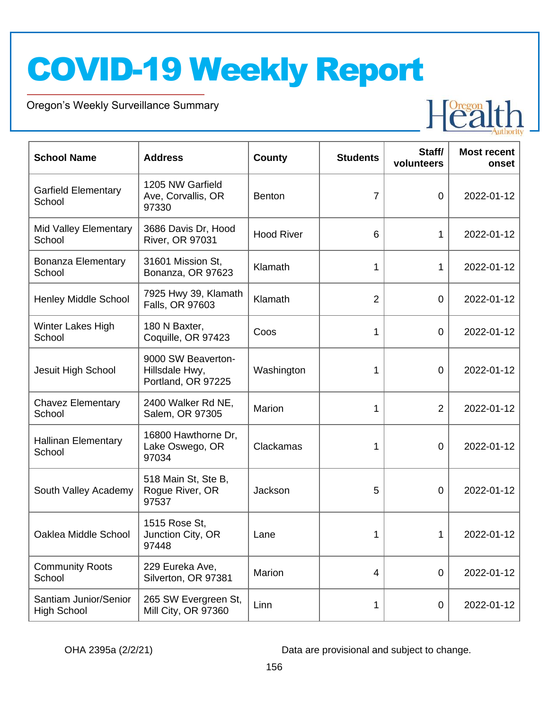Oregon's Weekly Surveillance Summary

Novel Coronavirus (COVID-19)



| <b>School Name</b>                          | <b>Address</b>                                             | <b>County</b>     | <b>Students</b> | Staff/<br>volunteers | <b>Most recent</b><br>onset |
|---------------------------------------------|------------------------------------------------------------|-------------------|-----------------|----------------------|-----------------------------|
| <b>Garfield Elementary</b><br>School        | 1205 NW Garfield<br>Ave, Corvallis, OR<br>97330            | <b>Benton</b>     | $\overline{7}$  | $\mathbf 0$          | 2022-01-12                  |
| <b>Mid Valley Elementary</b><br>School      | 3686 Davis Dr, Hood<br><b>River, OR 97031</b>              | <b>Hood River</b> | 6               | 1                    | 2022-01-12                  |
| <b>Bonanza Elementary</b><br>School         | 31601 Mission St,<br>Bonanza, OR 97623                     | Klamath           | 1               | 1                    | 2022-01-12                  |
| <b>Henley Middle School</b>                 | 7925 Hwy 39, Klamath<br>Falls, OR 97603                    | Klamath           | $\overline{2}$  | $\mathbf 0$          | 2022-01-12                  |
| Winter Lakes High<br>School                 | 180 N Baxter,<br>Coquille, OR 97423                        | Coos              | 1               | 0                    | 2022-01-12                  |
| Jesuit High School                          | 9000 SW Beaverton-<br>Hillsdale Hwy,<br>Portland, OR 97225 | Washington        | 1               | $\mathbf 0$          | 2022-01-12                  |
| <b>Chavez Elementary</b><br>School          | 2400 Walker Rd NE,<br>Salem, OR 97305                      | Marion            | 1               | $\overline{2}$       | 2022-01-12                  |
| <b>Hallinan Elementary</b><br>School        | 16800 Hawthorne Dr,<br>Lake Oswego, OR<br>97034            | Clackamas         | 1               | 0                    | 2022-01-12                  |
| South Valley Academy                        | 518 Main St, Ste B,<br>Rogue River, OR<br>97537            | Jackson           | 5               | 0                    | 2022-01-12                  |
| Oaklea Middle School                        | 1515 Rose St,<br>Junction City, OR<br>97448                | Lane              | 1               | 1                    | 2022-01-12                  |
| <b>Community Roots</b><br>School            | 229 Eureka Ave,<br>Silverton, OR 97381                     | Marion            | 4               | $\boldsymbol{0}$     | 2022-01-12                  |
| Santiam Junior/Senior<br><b>High School</b> | 265 SW Evergreen St,<br>Mill City, OR 97360                | Linn              | 1               | $\boldsymbol{0}$     | 2022-01-12                  |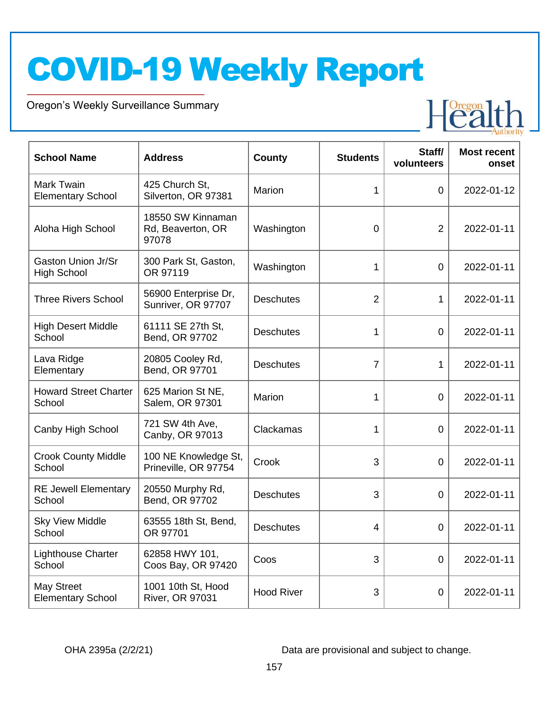Oregon's Weekly Surveillance Summary

Novel Coronavirus (COVID-19)



| <b>School Name</b>                              | <b>Address</b>                                  | <b>County</b>     | <b>Students</b> | Staff/<br>volunteers | <b>Most recent</b><br>onset |
|-------------------------------------------------|-------------------------------------------------|-------------------|-----------------|----------------------|-----------------------------|
| <b>Mark Twain</b><br><b>Elementary School</b>   | 425 Church St,<br>Silverton, OR 97381           | Marion            | 1               | $\overline{0}$       | 2022-01-12                  |
| Aloha High School                               | 18550 SW Kinnaman<br>Rd, Beaverton, OR<br>97078 | Washington        | $\overline{0}$  | $\overline{2}$       | 2022-01-11                  |
| <b>Gaston Union Jr/Sr</b><br><b>High School</b> | 300 Park St, Gaston,<br>OR 97119                | Washington        | 1               | $\overline{0}$       | 2022-01-11                  |
| <b>Three Rivers School</b>                      | 56900 Enterprise Dr,<br>Sunriver, OR 97707      | <b>Deschutes</b>  | $\overline{2}$  | 1                    | 2022-01-11                  |
| <b>High Desert Middle</b><br>School             | 61111 SE 27th St,<br>Bend, OR 97702             | <b>Deschutes</b>  | 1               | $\overline{0}$       | 2022-01-11                  |
| Lava Ridge<br>Elementary                        | 20805 Cooley Rd,<br>Bend, OR 97701              | <b>Deschutes</b>  | $\overline{7}$  | 1                    | 2022-01-11                  |
| <b>Howard Street Charter</b><br>School          | 625 Marion St NE,<br>Salem, OR 97301            | <b>Marion</b>     | 1               | $\overline{0}$       | 2022-01-11                  |
| Canby High School                               | 721 SW 4th Ave,<br>Canby, OR 97013              | Clackamas         | 1               | $\overline{0}$       | 2022-01-11                  |
| <b>Crook County Middle</b><br>School            | 100 NE Knowledge St,<br>Prineville, OR 97754    | Crook             | 3               | $\overline{0}$       | 2022-01-11                  |
| <b>RE Jewell Elementary</b><br>School           | 20550 Murphy Rd,<br>Bend, OR 97702              | <b>Deschutes</b>  | 3               | 0                    | 2022-01-11                  |
| <b>Sky View Middle</b><br>School                | 63555 18th St, Bend,<br>OR 97701                | <b>Deschutes</b>  | 4               | 0                    | 2022-01-11                  |
| <b>Lighthouse Charter</b><br>School             | 62858 HWY 101,<br>Coos Bay, OR 97420            | Coos              | 3               | $\mathbf 0$          | 2022-01-11                  |
| <b>May Street</b><br><b>Elementary School</b>   | 1001 10th St, Hood<br><b>River, OR 97031</b>    | <b>Hood River</b> | 3               | 0                    | 2022-01-11                  |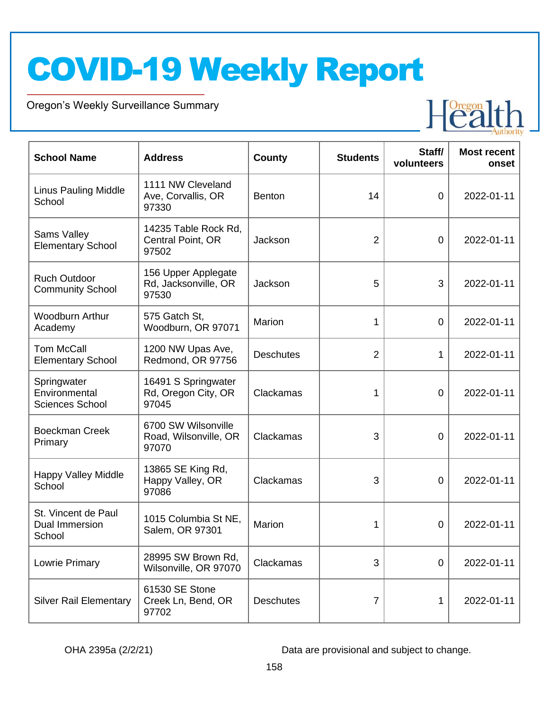Oregon's Weekly Surveillance Summary

Novel Coronavirus (COVID-19)



| <b>School Name</b>                                     | <b>Address</b>                                        | <b>County</b>    | <b>Students</b> | Staff/<br>volunteers | <b>Most recent</b><br>onset |
|--------------------------------------------------------|-------------------------------------------------------|------------------|-----------------|----------------------|-----------------------------|
| <b>Linus Pauling Middle</b><br>School                  | 1111 NW Cleveland<br>Ave, Corvallis, OR<br>97330      | <b>Benton</b>    | 14              | 0                    | 2022-01-11                  |
| Sams Valley<br><b>Elementary School</b>                | 14235 Table Rock Rd,<br>Central Point, OR<br>97502    | Jackson          | $\overline{2}$  | $\mathbf 0$          | 2022-01-11                  |
| <b>Ruch Outdoor</b><br><b>Community School</b>         | 156 Upper Applegate<br>Rd, Jacksonville, OR<br>97530  | Jackson          | 5               | 3                    | 2022-01-11                  |
| <b>Woodburn Arthur</b><br>Academy                      | 575 Gatch St,<br>Woodburn, OR 97071                   | Marion           | 1               | 0                    | 2022-01-11                  |
| <b>Tom McCall</b><br><b>Elementary School</b>          | 1200 NW Upas Ave,<br>Redmond, OR 97756                | <b>Deschutes</b> | $\overline{2}$  | 1                    | 2022-01-11                  |
| Springwater<br>Environmental<br><b>Sciences School</b> | 16491 S Springwater<br>Rd, Oregon City, OR<br>97045   | Clackamas        | 1               | $\overline{0}$       | 2022-01-11                  |
| <b>Boeckman Creek</b><br>Primary                       | 6700 SW Wilsonville<br>Road, Wilsonville, OR<br>97070 | Clackamas        | 3               | 0                    | 2022-01-11                  |
| <b>Happy Valley Middle</b><br>School                   | 13865 SE King Rd,<br>Happy Valley, OR<br>97086        | Clackamas        | 3               | $\mathbf 0$          | 2022-01-11                  |
| St. Vincent de Paul<br><b>Dual Immersion</b><br>School | 1015 Columbia St NE,<br>Salem, OR 97301               | Marion           | 1               | 0                    | 2022-01-11                  |
| Lowrie Primary                                         | 28995 SW Brown Rd,<br>Wilsonville, OR 97070           | Clackamas        | 3               | $\mathbf 0$          | 2022-01-11                  |
| <b>Silver Rail Elementary</b>                          | 61530 SE Stone<br>Creek Ln, Bend, OR<br>97702         | <b>Deschutes</b> | 7               | 1                    | 2022-01-11                  |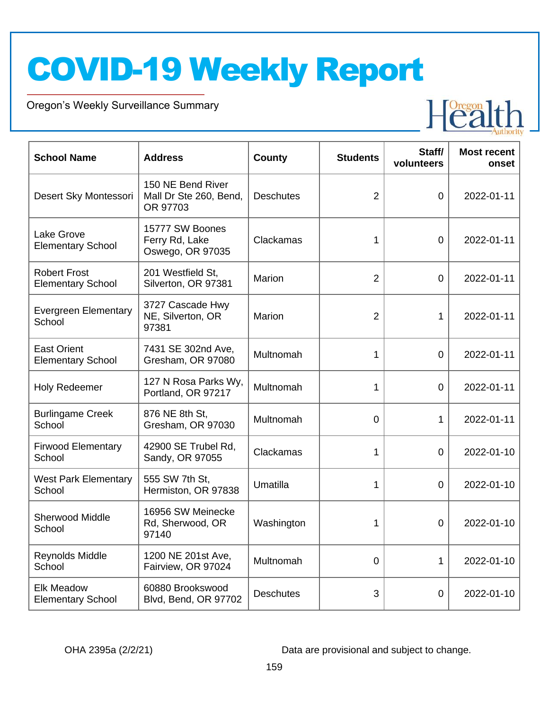Oregon's Weekly Surveillance Summary

Novel Coronavirus (COVID-19)



| <b>School Name</b>                              | <b>Address</b>                                          | <b>County</b>    | <b>Students</b> | Staff/<br>volunteers | <b>Most recent</b><br>onset |
|-------------------------------------------------|---------------------------------------------------------|------------------|-----------------|----------------------|-----------------------------|
| Desert Sky Montessori                           | 150 NE Bend River<br>Mall Dr Ste 260, Bend,<br>OR 97703 | <b>Deschutes</b> | 2               | $\mathbf 0$          | 2022-01-11                  |
| Lake Grove<br><b>Elementary School</b>          | 15777 SW Boones<br>Ferry Rd, Lake<br>Oswego, OR 97035   | Clackamas        | 1               | $\mathbf 0$          | 2022-01-11                  |
| <b>Robert Frost</b><br><b>Elementary School</b> | 201 Westfield St,<br>Silverton, OR 97381                | Marion           | $\overline{2}$  | $\mathbf 0$          | 2022-01-11                  |
| <b>Evergreen Elementary</b><br>School           | 3727 Cascade Hwy<br>NE, Silverton, OR<br>97381          | Marion           | $\overline{2}$  | $\mathbf{1}$         | 2022-01-11                  |
| <b>East Orient</b><br><b>Elementary School</b>  | 7431 SE 302nd Ave,<br>Gresham, OR 97080                 | Multnomah        | 1               | $\overline{0}$       | 2022-01-11                  |
| <b>Holy Redeemer</b>                            | 127 N Rosa Parks Wy,<br>Portland, OR 97217              | Multnomah        | 1               | $\mathbf 0$          | 2022-01-11                  |
| <b>Burlingame Creek</b><br>School               | 876 NE 8th St,<br>Gresham, OR 97030                     | Multnomah        | $\overline{0}$  | $\mathbf{1}$         | 2022-01-11                  |
| <b>Firwood Elementary</b><br>School             | 42900 SE Trubel Rd,<br>Sandy, OR 97055                  | Clackamas        | 1               | $\overline{0}$       | 2022-01-10                  |
| <b>West Park Elementary</b><br>School           | 555 SW 7th St,<br>Hermiston, OR 97838                   | Umatilla         | 1               | 0                    | 2022-01-10                  |
| <b>Sherwood Middle</b><br>School                | 16956 SW Meinecke<br>Rd, Sherwood, OR<br>97140          | Washington       | 1               | $\overline{0}$       | 2022-01-10                  |
| Reynolds Middle<br>School                       | 1200 NE 201st Ave,<br>Fairview, OR 97024                | Multnomah        | 0               | 1                    | 2022-01-10                  |
| <b>Elk Meadow</b><br><b>Elementary School</b>   | 60880 Brookswood<br>Blvd, Bend, OR 97702                | <b>Deschutes</b> | 3               | $\mathbf 0$          | 2022-01-10                  |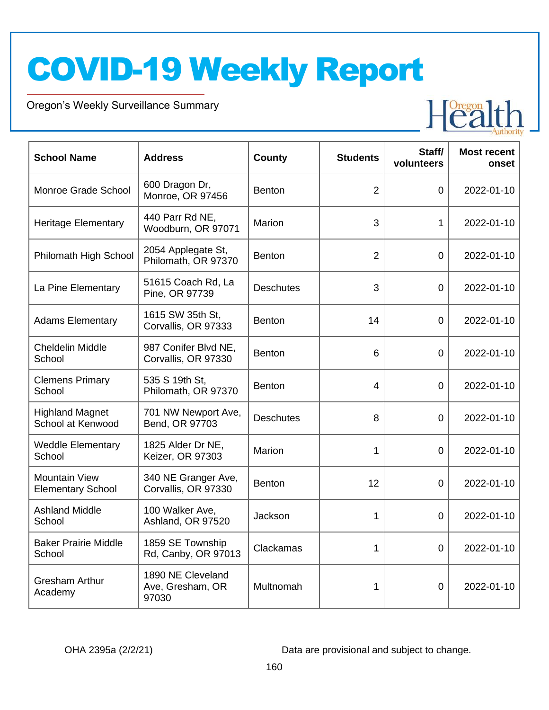Oregon's Weekly Surveillance Summary

Novel Coronavirus (COVID-19)



| <b>School Name</b>                               | <b>Address</b>                                 | <b>County</b>    | <b>Students</b> | Staff/<br>volunteers | <b>Most recent</b><br>onset |
|--------------------------------------------------|------------------------------------------------|------------------|-----------------|----------------------|-----------------------------|
| Monroe Grade School                              | 600 Dragon Dr,<br>Monroe, OR 97456             | <b>Benton</b>    | $\overline{2}$  | 0                    | 2022-01-10                  |
| <b>Heritage Elementary</b>                       | 440 Parr Rd NE,<br>Woodburn, OR 97071          | <b>Marion</b>    | 3               | 1                    | 2022-01-10                  |
| Philomath High School                            | 2054 Applegate St,<br>Philomath, OR 97370      | <b>Benton</b>    | $\overline{2}$  | 0                    | 2022-01-10                  |
| La Pine Elementary                               | 51615 Coach Rd, La<br>Pine, OR 97739           | <b>Deschutes</b> | 3               | 0                    | 2022-01-10                  |
| <b>Adams Elementary</b>                          | 1615 SW 35th St.<br>Corvallis, OR 97333        | <b>Benton</b>    | 14              | 0                    | 2022-01-10                  |
| <b>Cheldelin Middle</b><br>School                | 987 Conifer Blvd NE,<br>Corvallis, OR 97330    | <b>Benton</b>    | 6               | 0                    | 2022-01-10                  |
| <b>Clemens Primary</b><br>School                 | 535 S 19th St,<br>Philomath, OR 97370          | <b>Benton</b>    | 4               | 0                    | 2022-01-10                  |
| <b>Highland Magnet</b><br>School at Kenwood      | 701 NW Newport Ave,<br>Bend, OR 97703          | <b>Deschutes</b> | 8               | 0                    | 2022-01-10                  |
| <b>Weddle Elementary</b><br>School               | 1825 Alder Dr NE,<br>Keizer, OR 97303          | Marion           | 1               | 0                    | 2022-01-10                  |
| <b>Mountain View</b><br><b>Elementary School</b> | 340 NE Granger Ave,<br>Corvallis, OR 97330     | <b>Benton</b>    | 12              | 0                    | 2022-01-10                  |
| <b>Ashland Middle</b><br>School                  | 100 Walker Ave,<br>Ashland, OR 97520           | Jackson          | 1               | $\overline{0}$       | 2022-01-10                  |
| <b>Baker Prairie Middle</b><br>School            | 1859 SE Township<br>Rd, Canby, OR 97013        | Clackamas        | 1               | $\mathbf 0$          | 2022-01-10                  |
| <b>Gresham Arthur</b><br>Academy                 | 1890 NE Cleveland<br>Ave, Gresham, OR<br>97030 | Multnomah        | 1               | $\mathbf 0$          | 2022-01-10                  |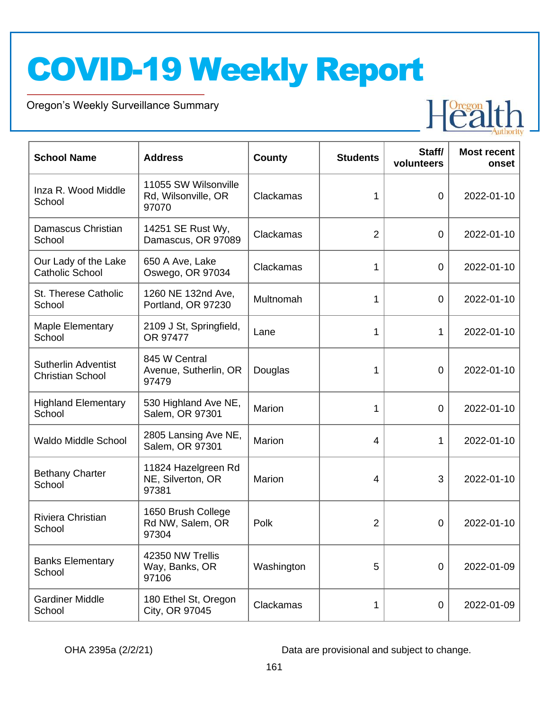Oregon's Weekly Surveillance Summary

Novel Coronavirus (COVID-19)



| <b>School Name</b>                                    | <b>Address</b>                                       | <b>County</b> | <b>Students</b> | Staff/<br>volunteers | <b>Most recent</b><br>onset |
|-------------------------------------------------------|------------------------------------------------------|---------------|-----------------|----------------------|-----------------------------|
| Inza R. Wood Middle<br>School                         | 11055 SW Wilsonville<br>Rd, Wilsonville, OR<br>97070 | Clackamas     | 1               | $\overline{0}$       | 2022-01-10                  |
| Damascus Christian<br>School                          | 14251 SE Rust Wy,<br>Damascus, OR 97089              | Clackamas     | $\overline{2}$  | $\mathbf 0$          | 2022-01-10                  |
| Our Lady of the Lake<br><b>Catholic School</b>        | 650 A Ave, Lake<br>Oswego, OR 97034                  | Clackamas     | 1               | 0                    | 2022-01-10                  |
| St. Therese Catholic<br>School                        | 1260 NE 132nd Ave,<br>Portland, OR 97230             | Multnomah     | 1               | $\overline{0}$       | 2022-01-10                  |
| <b>Maple Elementary</b><br>School                     | 2109 J St, Springfield,<br>OR 97477                  | Lane          | 1               | 1                    | 2022-01-10                  |
| <b>Sutherlin Adventist</b><br><b>Christian School</b> | 845 W Central<br>Avenue, Sutherlin, OR<br>97479      | Douglas       | 1               | 0                    | 2022-01-10                  |
| <b>Highland Elementary</b><br>School                  | 530 Highland Ave NE,<br>Salem, OR 97301              | Marion        | 1               | $\mathbf 0$          | 2022-01-10                  |
| <b>Waldo Middle School</b>                            | 2805 Lansing Ave NE,<br>Salem, OR 97301              | Marion        | 4               | 1                    | 2022-01-10                  |
| <b>Bethany Charter</b><br>School                      | 11824 Hazelgreen Rd<br>NE, Silverton, OR<br>97381    | Marion        | 4               | 3                    | 2022-01-10                  |
| Riviera Christian<br>School                           | 1650 Brush College<br>Rd NW, Salem, OR<br>97304      | Polk          | $\overline{2}$  | 0                    | 2022-01-10                  |
| <b>Banks Elementary</b><br>School                     | 42350 NW Trellis<br>Way, Banks, OR<br>97106          | Washington    | 5               | $\mathbf 0$          | 2022-01-09                  |
| <b>Gardiner Middle</b><br>School                      | 180 Ethel St, Oregon<br>City, OR 97045               | Clackamas     | 1               | $\mathbf 0$          | 2022-01-09                  |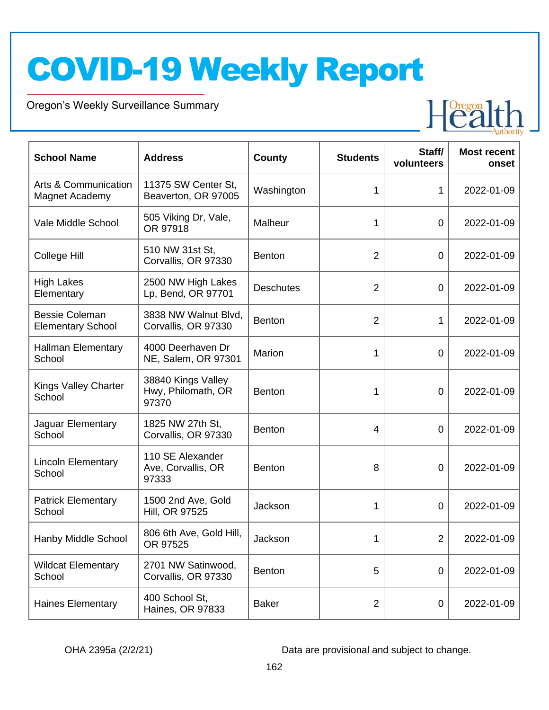Oregon's Weekly Surveillance Summary

Novel Coronavirus (COVID-19)



| <b>School Name</b>                                | <b>Address</b>                                    | <b>County</b>    | <b>Students</b> | Staff/<br>volunteers | <b>Most recent</b><br>onset |
|---------------------------------------------------|---------------------------------------------------|------------------|-----------------|----------------------|-----------------------------|
| Arts & Communication<br>Magnet Academy            | 11375 SW Center St,<br>Beaverton, OR 97005        | Washington       | 1               | 1                    | 2022-01-09                  |
| Vale Middle School                                | 505 Viking Dr, Vale,<br>OR 97918                  | Malheur          | 1               | $\mathbf 0$          | 2022-01-09                  |
| College Hill                                      | 510 NW 31st St,<br>Corvallis, OR 97330            | <b>Benton</b>    | $\overline{2}$  | $\mathbf 0$          | 2022-01-09                  |
| <b>High Lakes</b><br>Elementary                   | 2500 NW High Lakes<br>Lp, Bend, OR 97701          | <b>Deschutes</b> | $\overline{2}$  | $\mathbf 0$          | 2022-01-09                  |
| <b>Bessie Coleman</b><br><b>Elementary School</b> | 3838 NW Walnut Blvd,<br>Corvallis, OR 97330       | Benton           | $\overline{2}$  | 1                    | 2022-01-09                  |
| <b>Hallman Elementary</b><br>School               | 4000 Deerhaven Dr<br>NE, Salem, OR 97301          | Marion           | 1               | $\overline{0}$       | 2022-01-09                  |
| Kings Valley Charter<br>School                    | 38840 Kings Valley<br>Hwy, Philomath, OR<br>97370 | <b>Benton</b>    | 1               | $\overline{0}$       | 2022-01-09                  |
| Jaguar Elementary<br>School                       | 1825 NW 27th St,<br>Corvallis, OR 97330           | <b>Benton</b>    | 4               | $\mathbf 0$          | 2022-01-09                  |
| <b>Lincoln Elementary</b><br>School               | 110 SE Alexander<br>Ave, Corvallis, OR<br>97333   | Benton           | 8               | $\overline{0}$       | 2022-01-09                  |
| <b>Patrick Elementary</b><br>School               | 1500 2nd Ave, Gold<br>Hill, OR 97525              | Jackson          | 1               | $\overline{0}$       | 2022-01-09                  |
| Hanby Middle School                               | 806 6th Ave, Gold Hill,<br>OR 97525               | Jackson          | 1               | 2                    | 2022-01-09                  |
| <b>Wildcat Elementary</b><br>School               | 2701 NW Satinwood,<br>Corvallis, OR 97330         | Benton           | 5               | 0                    | 2022-01-09                  |
| <b>Haines Elementary</b>                          | 400 School St,<br>Haines, OR 97833                | <b>Baker</b>     | $\overline{2}$  | $\mathbf 0$          | 2022-01-09                  |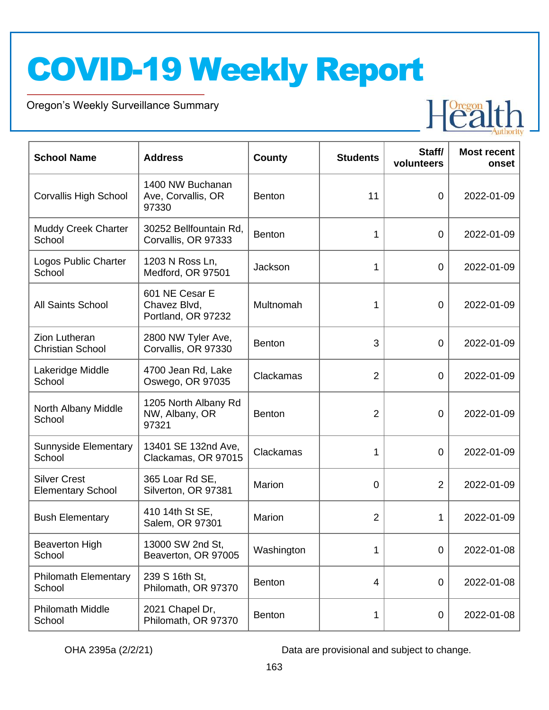Oregon's Weekly Surveillance Summary

Novel Coronavirus (COVID-19)



| <b>School Name</b>                              | <b>Address</b>                                       | <b>County</b> | <b>Students</b> | Staff/<br>volunteers | <b>Most recent</b><br>onset |
|-------------------------------------------------|------------------------------------------------------|---------------|-----------------|----------------------|-----------------------------|
| <b>Corvallis High School</b>                    | 1400 NW Buchanan<br>Ave, Corvallis, OR<br>97330      | <b>Benton</b> | 11              | $\overline{0}$       | 2022-01-09                  |
| Muddy Creek Charter<br>School                   | 30252 Bellfountain Rd,<br>Corvallis, OR 97333        | <b>Benton</b> | 1               | $\overline{0}$       | 2022-01-09                  |
| Logos Public Charter<br>School                  | 1203 N Ross Ln,<br>Medford, OR 97501                 | Jackson       | 1               | $\overline{0}$       | 2022-01-09                  |
| <b>All Saints School</b>                        | 601 NE Cesar E<br>Chavez Blvd,<br>Portland, OR 97232 | Multnomah     | 1               | $\overline{0}$       | 2022-01-09                  |
| <b>Zion Lutheran</b><br><b>Christian School</b> | 2800 NW Tyler Ave,<br>Corvallis, OR 97330            | <b>Benton</b> | 3               | $\overline{0}$       | 2022-01-09                  |
| Lakeridge Middle<br>School                      | 4700 Jean Rd, Lake<br>Oswego, OR 97035               | Clackamas     | $\overline{2}$  | $\overline{0}$       | 2022-01-09                  |
| North Albany Middle<br>School                   | 1205 North Albany Rd<br>NW, Albany, OR<br>97321      | <b>Benton</b> | $\overline{2}$  | $\overline{0}$       | 2022-01-09                  |
| Sunnyside Elementary<br>School                  | 13401 SE 132nd Ave,<br>Clackamas, OR 97015           | Clackamas     | 1               | $\overline{0}$       | 2022-01-09                  |
| <b>Silver Crest</b><br><b>Elementary School</b> | 365 Loar Rd SE,<br>Silverton, OR 97381               | Marion        | 0               | $\overline{2}$       | 2022-01-09                  |
| <b>Bush Elementary</b>                          | 410 14th St SE,<br>Salem, OR 97301                   | Marion        | $\overline{2}$  | 1                    | 2022-01-09                  |
| <b>Beaverton High</b><br>School                 | 13000 SW 2nd St,<br>Beaverton, OR 97005              | Washington    | 1               | $\overline{0}$       | 2022-01-08                  |
| <b>Philomath Elementary</b><br>School           | 239 S 16th St,<br>Philomath, OR 97370                | <b>Benton</b> | $\overline{4}$  | 0                    | 2022-01-08                  |
| <b>Philomath Middle</b><br>School               | 2021 Chapel Dr,<br>Philomath, OR 97370               | <b>Benton</b> | 1               | 0                    | 2022-01-08                  |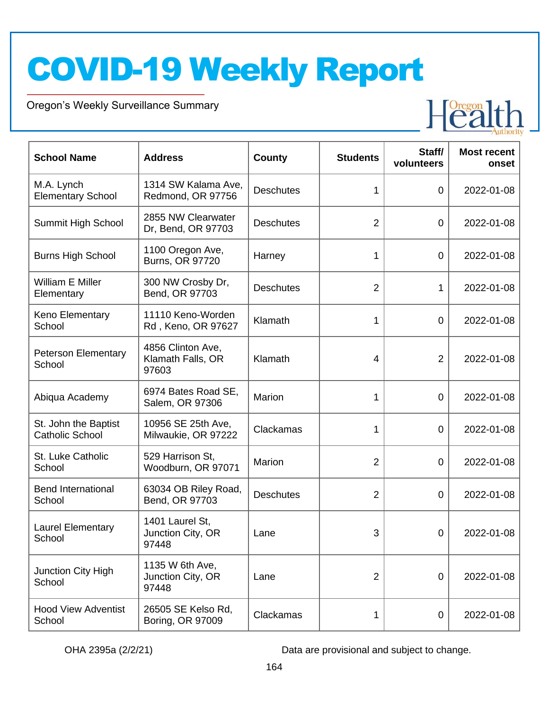Oregon's Weekly Surveillance Summary

Novel Coronavirus (COVID-19)



| <b>School Name</b>                             | <b>Address</b>                                  | <b>County</b>    | <b>Students</b> | Staff/<br>volunteers | <b>Most recent</b><br>onset |
|------------------------------------------------|-------------------------------------------------|------------------|-----------------|----------------------|-----------------------------|
| M.A. Lynch<br><b>Elementary School</b>         | 1314 SW Kalama Ave,<br>Redmond, OR 97756        | <b>Deschutes</b> | 1               | $\mathbf 0$          | 2022-01-08                  |
| Summit High School                             | 2855 NW Clearwater<br>Dr, Bend, OR 97703        | <b>Deschutes</b> | $\overline{2}$  | $\mathbf 0$          | 2022-01-08                  |
| <b>Burns High School</b>                       | 1100 Oregon Ave,<br>Burns, OR 97720             | Harney           | 1               | $\mathbf 0$          | 2022-01-08                  |
| William E Miller<br>Elementary                 | 300 NW Crosby Dr,<br>Bend, OR 97703             | <b>Deschutes</b> | $\overline{2}$  | 1                    | 2022-01-08                  |
| Keno Elementary<br>School                      | 11110 Keno-Worden<br>Rd, Keno, OR 97627         | Klamath          | 1               | $\mathbf 0$          | 2022-01-08                  |
| <b>Peterson Elementary</b><br>School           | 4856 Clinton Ave,<br>Klamath Falls, OR<br>97603 | Klamath          | $\overline{4}$  | $\overline{2}$       | 2022-01-08                  |
| Abiqua Academy                                 | 6974 Bates Road SE,<br>Salem, OR 97306          | Marion           | 1               | $\mathbf 0$          | 2022-01-08                  |
| St. John the Baptist<br><b>Catholic School</b> | 10956 SE 25th Ave,<br>Milwaukie, OR 97222       | Clackamas        | 1               | $\mathbf 0$          | 2022-01-08                  |
| St. Luke Catholic<br>School                    | 529 Harrison St,<br>Woodburn, OR 97071          | Marion           | $\overline{2}$  | $\overline{0}$       | 2022-01-08                  |
| <b>Bend International</b><br>School            | 63034 OB Riley Road,<br>Bend, OR 97703          | <b>Deschutes</b> | $\overline{2}$  | $\overline{0}$       | 2022-01-08                  |
| <b>Laurel Elementary</b><br>School             | 1401 Laurel St,<br>Junction City, OR<br>97448   | Lane             | 3               | $\mathbf 0$          | 2022-01-08                  |
| Junction City High<br>School                   | 1135 W 6th Ave,<br>Junction City, OR<br>97448   | Lane             | $\overline{2}$  | $\overline{0}$       | 2022-01-08                  |
| <b>Hood View Adventist</b><br>School           | 26505 SE Kelso Rd,<br>Boring, OR 97009          | Clackamas        | 1               | $\mathbf 0$          | 2022-01-08                  |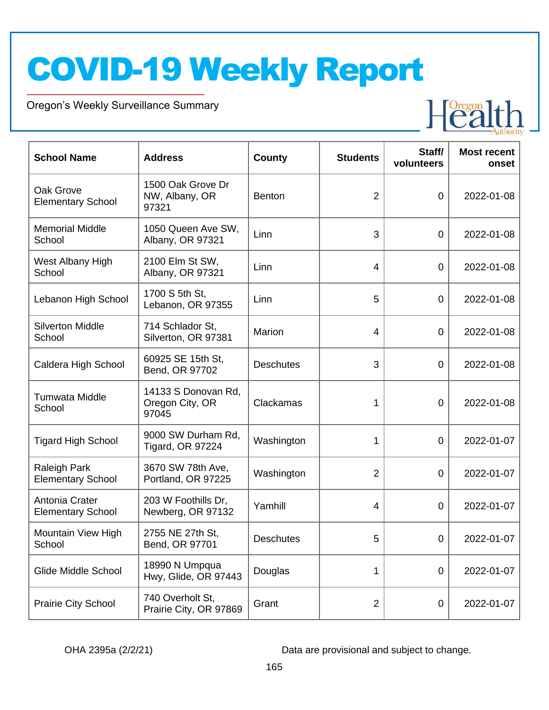Oregon's Weekly Surveillance Summary

Novel Coronavirus (COVID-19)



| <b>School Name</b>                         | <b>Address</b>                                  | <b>County</b>    | <b>Students</b> | Staff/<br>volunteers | <b>Most recent</b><br>onset |
|--------------------------------------------|-------------------------------------------------|------------------|-----------------|----------------------|-----------------------------|
| Oak Grove<br><b>Elementary School</b>      | 1500 Oak Grove Dr<br>NW, Albany, OR<br>97321    | <b>Benton</b>    | $\overline{2}$  | $\mathbf 0$          | 2022-01-08                  |
| <b>Memorial Middle</b><br>School           | 1050 Queen Ave SW,<br>Albany, OR 97321          | Linn             | 3               | $\mathbf 0$          | 2022-01-08                  |
| West Albany High<br>School                 | 2100 Elm St SW,<br>Albany, OR 97321             | Linn             | 4               | $\mathbf 0$          | 2022-01-08                  |
| Lebanon High School                        | 1700 S 5th St,<br>Lebanon, OR 97355             | Linn             | 5               | $\mathbf 0$          | 2022-01-08                  |
| <b>Silverton Middle</b><br>School          | 714 Schlador St.<br>Silverton, OR 97381         | Marion           | $\overline{4}$  | $\mathbf 0$          | 2022-01-08                  |
| Caldera High School                        | 60925 SE 15th St,<br>Bend, OR 97702             | <b>Deschutes</b> | 3               | $\overline{0}$       | 2022-01-08                  |
| Tumwata Middle<br>School                   | 14133 S Donovan Rd.<br>Oregon City, OR<br>97045 | Clackamas        | 1               | $\mathbf 0$          | 2022-01-08                  |
| <b>Tigard High School</b>                  | 9000 SW Durham Rd,<br><b>Tigard, OR 97224</b>   | Washington       | 1               | $\mathbf 0$          | 2022-01-07                  |
| Raleigh Park<br><b>Elementary School</b>   | 3670 SW 78th Ave,<br>Portland, OR 97225         | Washington       | $\overline{2}$  | $\mathbf 0$          | 2022-01-07                  |
| Antonia Crater<br><b>Elementary School</b> | 203 W Foothills Dr,<br>Newberg, OR 97132        | Yamhill          | 4               | $\overline{0}$       | 2022-01-07                  |
| Mountain View High<br>School               | 2755 NE 27th St,<br>Bend, OR 97701              | <b>Deschutes</b> | 5               | $\mathbf 0$          | 2022-01-07                  |
| Glide Middle School                        | 18990 N Umpqua<br>Hwy, Glide, OR 97443          | Douglas          | 1               | $\mathbf 0$          | 2022-01-07                  |
| Prairie City School                        | 740 Overholt St,<br>Prairie City, OR 97869      | Grant            | $\overline{2}$  | $\mathbf 0$          | 2022-01-07                  |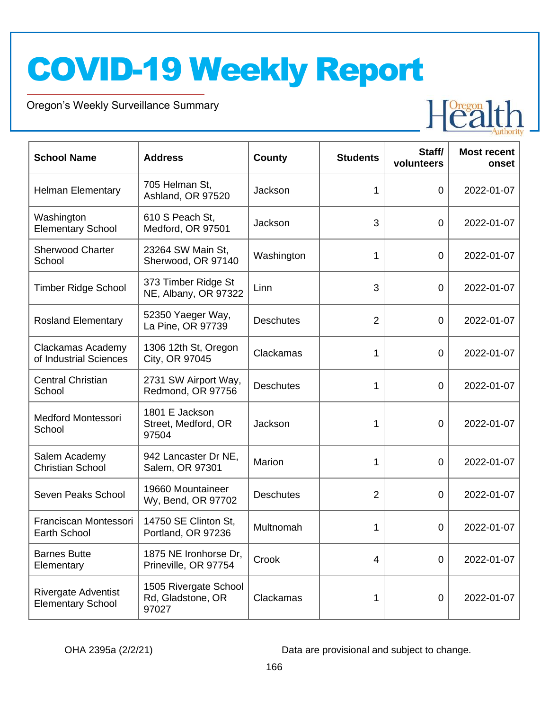Oregon's Weekly Surveillance Summary

Novel Coronavirus (COVID-19)



| <b>School Name</b>                                     | <b>Address</b>                                      | <b>County</b>    | <b>Students</b> | Staff/<br>volunteers | <b>Most recent</b><br>onset |
|--------------------------------------------------------|-----------------------------------------------------|------------------|-----------------|----------------------|-----------------------------|
| <b>Helman Elementary</b>                               | 705 Helman St,<br>Ashland, OR 97520                 | Jackson          | 1               | $\overline{0}$       | 2022-01-07                  |
| Washington<br><b>Elementary School</b>                 | 610 S Peach St,<br>Medford, OR 97501                | Jackson          | 3               | $\overline{0}$       | 2022-01-07                  |
| <b>Sherwood Charter</b><br>School                      | 23264 SW Main St,<br>Sherwood, OR 97140             | Washington       | 1               | $\overline{0}$       | 2022-01-07                  |
| <b>Timber Ridge School</b>                             | 373 Timber Ridge St<br>NE, Albany, OR 97322         | Linn             | 3               | $\overline{0}$       | 2022-01-07                  |
| <b>Rosland Elementary</b>                              | 52350 Yaeger Way,<br>La Pine, OR 97739              | <b>Deschutes</b> | $\overline{2}$  | $\overline{0}$       | 2022-01-07                  |
| Clackamas Academy<br>of Industrial Sciences            | 1306 12th St, Oregon<br>City, OR 97045              | Clackamas        | 1               | 0                    | 2022-01-07                  |
| <b>Central Christian</b><br>School                     | 2731 SW Airport Way,<br>Redmond, OR 97756           | <b>Deschutes</b> | 1               | $\overline{0}$       | 2022-01-07                  |
| <b>Medford Montessori</b><br>School                    | 1801 E Jackson<br>Street, Medford, OR<br>97504      | Jackson          | 1               | 0                    | 2022-01-07                  |
| Salem Academy<br><b>Christian School</b>               | 942 Lancaster Dr NE,<br>Salem, OR 97301             | Marion           | 1               | $\overline{0}$       | 2022-01-07                  |
| Seven Peaks School                                     | 19660 Mountaineer<br>Wy, Bend, OR 97702             | <b>Deschutes</b> | $\overline{2}$  | $\overline{0}$       | 2022-01-07                  |
| Franciscan Montessori<br>Earth School                  | 14750 SE Clinton St,<br>Portland, OR 97236          | Multnomah        | 1               | 0                    | 2022-01-07                  |
| <b>Barnes Butte</b><br>Elementary                      | 1875 NE Ironhorse Dr,<br>Prineville, OR 97754       | Crook            | 4               | 0                    | 2022-01-07                  |
| <b>Rivergate Adventist</b><br><b>Elementary School</b> | 1505 Rivergate School<br>Rd, Gladstone, OR<br>97027 | Clackamas        | 1               | 0                    | 2022-01-07                  |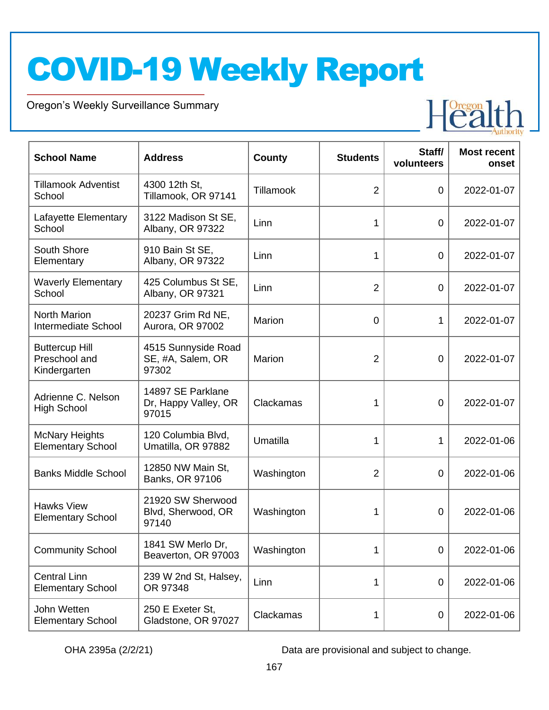Oregon's Weekly Surveillance Summary

Novel Coronavirus (COVID-19)



| <b>School Name</b>                                     | <b>Address</b>                                     | County     | <b>Students</b> | Staff/<br>volunteers | <b>Most recent</b><br>onset |
|--------------------------------------------------------|----------------------------------------------------|------------|-----------------|----------------------|-----------------------------|
| <b>Tillamook Adventist</b><br>School                   | 4300 12th St,<br>Tillamook, OR 97141               | Tillamook  | $\overline{2}$  | $\overline{0}$       | 2022-01-07                  |
| Lafayette Elementary<br>School                         | 3122 Madison St SE,<br>Albany, OR 97322            | Linn       | 1               | $\overline{0}$       | 2022-01-07                  |
| South Shore<br>Elementary                              | 910 Bain St SE,<br>Albany, OR 97322                | Linn       | 1               | $\overline{0}$       | 2022-01-07                  |
| <b>Waverly Elementary</b><br>School                    | 425 Columbus St SE,<br>Albany, OR 97321            | Linn       | $\overline{2}$  | $\overline{0}$       | 2022-01-07                  |
| <b>North Marion</b><br>Intermediate School             | 20237 Grim Rd NE,<br>Aurora, OR 97002              | Marion     | $\overline{0}$  | 1                    | 2022-01-07                  |
| <b>Buttercup Hill</b><br>Preschool and<br>Kindergarten | 4515 Sunnyside Road<br>SE, #A, Salem, OR<br>97302  | Marion     | $\overline{2}$  | 0                    | 2022-01-07                  |
| Adrienne C. Nelson<br><b>High School</b>               | 14897 SE Parklane<br>Dr, Happy Valley, OR<br>97015 | Clackamas  | 1               | 0                    | 2022-01-07                  |
| <b>McNary Heights</b><br><b>Elementary School</b>      | 120 Columbia Blvd,<br>Umatilla, OR 97882           | Umatilla   | 1               | 1                    | 2022-01-06                  |
| <b>Banks Middle School</b>                             | 12850 NW Main St,<br>Banks, OR 97106               | Washington | $\overline{2}$  | 0                    | 2022-01-06                  |
| <b>Hawks View</b><br><b>Elementary School</b>          | 21920 SW Sherwood<br>Blvd, Sherwood, OR<br>97140   | Washington | 1               | 0                    | 2022-01-06                  |
| <b>Community School</b>                                | 1841 SW Merlo Dr,<br>Beaverton, OR 97003           | Washington | 1               | 0                    | 2022-01-06                  |
| <b>Central Linn</b><br><b>Elementary School</b>        | 239 W 2nd St, Halsey,<br>OR 97348                  | Linn       | 1               | $\mathbf 0$          | 2022-01-06                  |
| John Wetten<br><b>Elementary School</b>                | 250 E Exeter St,<br>Gladstone, OR 97027            | Clackamas  | 1               | 0                    | 2022-01-06                  |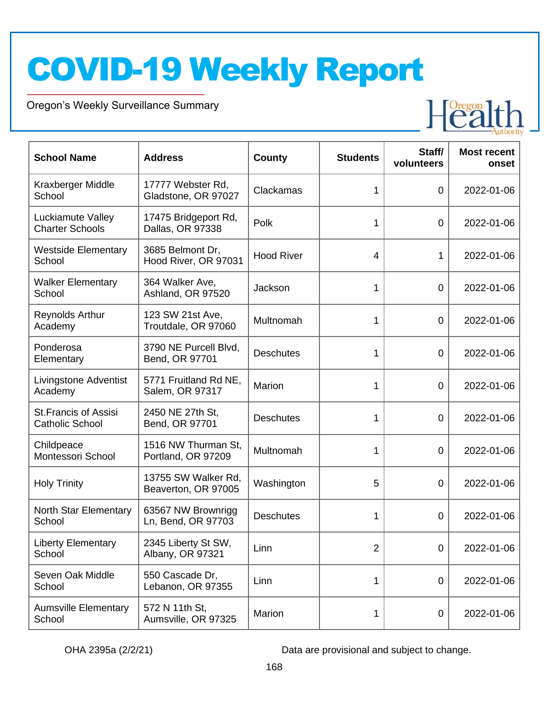Oregon's Weekly Surveillance Summary

Novel Coronavirus (COVID-19)



| <b>School Name</b>                                    | <b>Address</b>                             | <b>County</b>     | <b>Students</b> | Staff/<br>volunteers | <b>Most recent</b><br>onset |
|-------------------------------------------------------|--------------------------------------------|-------------------|-----------------|----------------------|-----------------------------|
| Kraxberger Middle<br>School                           | 17777 Webster Rd,<br>Gladstone, OR 97027   | Clackamas         | 1               | 0                    | 2022-01-06                  |
| Luckiamute Valley<br><b>Charter Schools</b>           | 17475 Bridgeport Rd,<br>Dallas, OR 97338   | Polk              | 1               | 0                    | 2022-01-06                  |
| <b>Westside Elementary</b><br>School                  | 3685 Belmont Dr,<br>Hood River, OR 97031   | <b>Hood River</b> | 4               | 1                    | 2022-01-06                  |
| <b>Walker Elementary</b><br>School                    | 364 Walker Ave,<br>Ashland, OR 97520       | Jackson           | 1               | 0                    | 2022-01-06                  |
| <b>Reynolds Arthur</b><br>Academy                     | 123 SW 21st Ave,<br>Troutdale, OR 97060    | Multnomah         | 1               | 0                    | 2022-01-06                  |
| Ponderosa<br>Elementary                               | 3790 NE Purcell Blvd,<br>Bend, OR 97701    | <b>Deschutes</b>  | 1               | 0                    | 2022-01-06                  |
| <b>Livingstone Adventist</b><br>Academy               | 5771 Fruitland Rd NE,<br>Salem, OR 97317   | Marion            | 1               | 0                    | 2022-01-06                  |
| <b>St.Francis of Assisi</b><br><b>Catholic School</b> | 2450 NE 27th St,<br>Bend, OR 97701         | <b>Deschutes</b>  | 1               | 0                    | 2022-01-06                  |
| Childpeace<br>Montessori School                       | 1516 NW Thurman St,<br>Portland, OR 97209  | Multnomah         | 1               | 0                    | 2022-01-06                  |
| <b>Holy Trinity</b>                                   | 13755 SW Walker Rd,<br>Beaverton, OR 97005 | Washington        | 5               | 0                    | 2022-01-06                  |
| North Star Elementary<br>School                       | 63567 NW Brownrigg<br>Ln, Bend, OR 97703   | <b>Deschutes</b>  | 1               | 0                    | 2022-01-06                  |
| <b>Liberty Elementary</b><br>School                   | 2345 Liberty St SW,<br>Albany, OR 97321    | Linn              | $\overline{2}$  | $\mathbf 0$          | 2022-01-06                  |
| Seven Oak Middle<br>School                            | 550 Cascade Dr,<br>Lebanon, OR 97355       | Linn              | 1               | $\mathbf 0$          | 2022-01-06                  |
| <b>Aumsville Elementary</b><br>School                 | 572 N 11th St,<br>Aumsville, OR 97325      | Marion            | 1               | $\mathbf 0$          | 2022-01-06                  |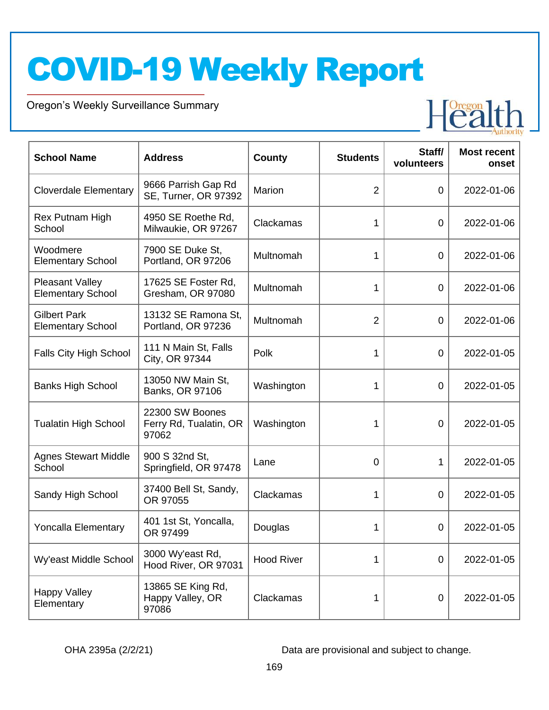Oregon's Weekly Surveillance Summary

Novel Coronavirus (COVID-19)



| <b>School Name</b>                                 | <b>Address</b>                                     | <b>County</b>     | <b>Students</b> | Staff/<br>volunteers | <b>Most recent</b><br>onset |
|----------------------------------------------------|----------------------------------------------------|-------------------|-----------------|----------------------|-----------------------------|
| <b>Cloverdale Elementary</b>                       | 9666 Parrish Gap Rd<br>SE, Turner, OR 97392        | Marion            | $\overline{2}$  | $\mathbf 0$          | 2022-01-06                  |
| Rex Putnam High<br>School                          | 4950 SE Roethe Rd,<br>Milwaukie, OR 97267          | Clackamas         | 1               | $\mathbf 0$          | 2022-01-06                  |
| Woodmere<br><b>Elementary School</b>               | 7900 SE Duke St.<br>Portland, OR 97206             | Multnomah         | 1               | $\mathbf 0$          | 2022-01-06                  |
| <b>Pleasant Valley</b><br><b>Elementary School</b> | 17625 SE Foster Rd,<br>Gresham, OR 97080           | Multnomah         | 1               | $\mathbf 0$          | 2022-01-06                  |
| <b>Gilbert Park</b><br><b>Elementary School</b>    | 13132 SE Ramona St,<br>Portland, OR 97236          | Multnomah         | $\overline{2}$  | $\mathbf 0$          | 2022-01-06                  |
| Falls City High School                             | 111 N Main St, Falls<br>City, OR 97344             | Polk              | 1               | $\mathbf 0$          | 2022-01-05                  |
| <b>Banks High School</b>                           | 13050 NW Main St,<br>Banks, OR 97106               | Washington        | 1               | $\overline{0}$       | 2022-01-05                  |
| <b>Tualatin High School</b>                        | 22300 SW Boones<br>Ferry Rd, Tualatin, OR<br>97062 | Washington        | 1               | 0                    | 2022-01-05                  |
| <b>Agnes Stewart Middle</b><br>School              | 900 S 32nd St,<br>Springfield, OR 97478            | Lane              | $\overline{0}$  | 1                    | 2022-01-05                  |
| Sandy High School                                  | 37400 Bell St, Sandy,<br>OR 97055                  | Clackamas         | 1               | 0                    | 2022-01-05                  |
| <b>Yoncalla Elementary</b>                         | 401 1st St, Yoncalla,<br>OR 97499                  | Douglas           | 1               | 0                    | 2022-01-05                  |
| Wy'east Middle School                              | 3000 Wy'east Rd,<br>Hood River, OR 97031           | <b>Hood River</b> | 1               | $\overline{0}$       | 2022-01-05                  |
| <b>Happy Valley</b><br>Elementary                  | 13865 SE King Rd,<br>Happy Valley, OR<br>97086     | Clackamas         | 1               | $\mathbf 0$          | 2022-01-05                  |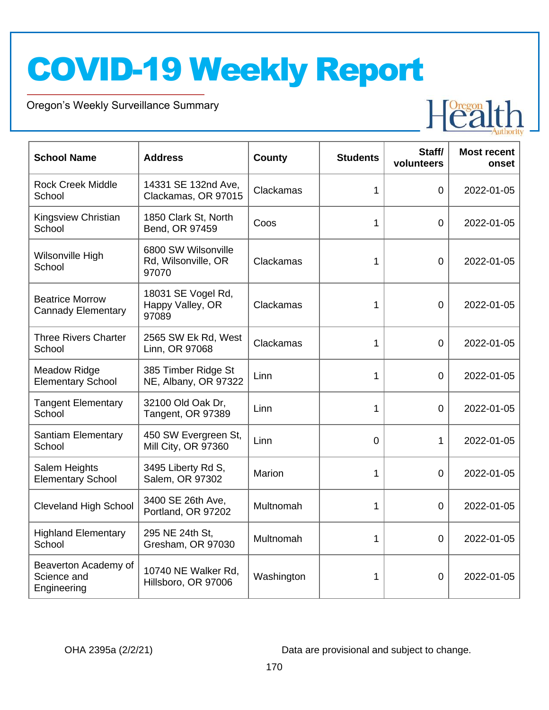Oregon's Weekly Surveillance Summary

Novel Coronavirus (COVID-19)



| <b>School Name</b>                                  | <b>Address</b>                                      | County     | <b>Students</b> | Staff/<br>volunteers | <b>Most recent</b><br>onset |
|-----------------------------------------------------|-----------------------------------------------------|------------|-----------------|----------------------|-----------------------------|
| <b>Rock Creek Middle</b><br>School                  | 14331 SE 132nd Ave,<br>Clackamas, OR 97015          | Clackamas  | 1               | $\Omega$             | 2022-01-05                  |
| Kingsview Christian<br>School                       | 1850 Clark St, North<br>Bend, OR 97459              | Coos       | 1               | $\overline{0}$       | 2022-01-05                  |
| Wilsonville High<br>School                          | 6800 SW Wilsonville<br>Rd, Wilsonville, OR<br>97070 | Clackamas  | 1               | $\overline{0}$       | 2022-01-05                  |
| <b>Beatrice Morrow</b><br><b>Cannady Elementary</b> | 18031 SE Vogel Rd,<br>Happy Valley, OR<br>97089     | Clackamas  | 1               | 0                    | 2022-01-05                  |
| <b>Three Rivers Charter</b><br>School               | 2565 SW Ek Rd, West<br>Linn, OR 97068               | Clackamas  | 1               | $\overline{0}$       | 2022-01-05                  |
| <b>Meadow Ridge</b><br><b>Elementary School</b>     | 385 Timber Ridge St<br>NE, Albany, OR 97322         | Linn       | 1               | $\overline{0}$       | 2022-01-05                  |
| <b>Tangent Elementary</b><br>School                 | 32100 Old Oak Dr,<br>Tangent, OR 97389              | Linn       | 1               | $\overline{0}$       | 2022-01-05                  |
| <b>Santiam Elementary</b><br>School                 | 450 SW Evergreen St,<br>Mill City, OR 97360         | Linn       | 0               | 1                    | 2022-01-05                  |
| Salem Heights<br><b>Elementary School</b>           | 3495 Liberty Rd S,<br>Salem, OR 97302               | Marion     | 1               | $\overline{0}$       | 2022-01-05                  |
| <b>Cleveland High School</b>                        | 3400 SE 26th Ave,<br>Portland, OR 97202             | Multnomah  | 1               | $\overline{0}$       | 2022-01-05                  |
| <b>Highland Elementary</b><br>School                | 295 NE 24th St,<br>Gresham, OR 97030                | Multnomah  | 1               | 0                    | 2022-01-05                  |
| Beaverton Academy of<br>Science and<br>Engineering  | 10740 NE Walker Rd,<br>Hillsboro, OR 97006          | Washington | 1               | $\overline{0}$       | 2022-01-05                  |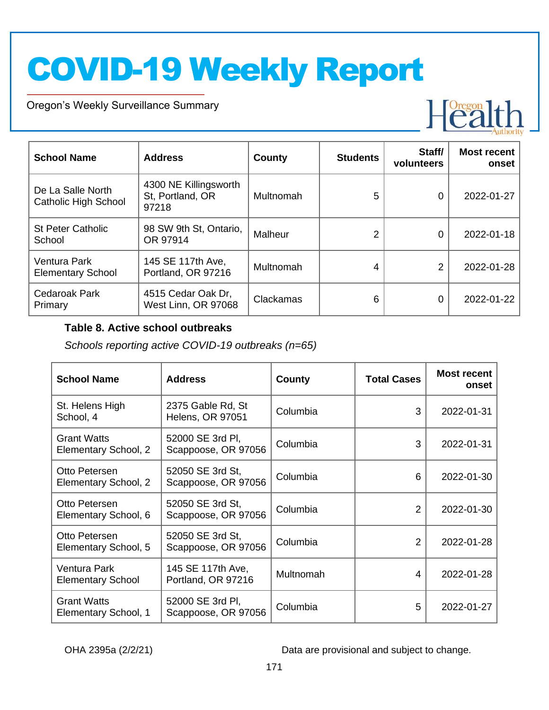Oregon's Weekly Surveillance Summary

Novel Coronavirus (COVID-19)



| <b>School Name</b>                               | <b>Address</b>                                     | County    | <b>Students</b> | Staff/<br>volunteers | <b>Most recent</b><br>onset |
|--------------------------------------------------|----------------------------------------------------|-----------|-----------------|----------------------|-----------------------------|
| De La Salle North<br><b>Catholic High School</b> | 4300 NE Killingsworth<br>St, Portland, OR<br>97218 | Multnomah | 5               | 0                    | 2022-01-27                  |
| <b>St Peter Catholic</b><br>School               | 98 SW 9th St, Ontario,<br>OR 97914                 | Malheur   | $\overline{2}$  | 0                    | 2022-01-18                  |
| <b>Ventura Park</b><br><b>Elementary School</b>  | 145 SE 117th Ave,<br>Portland, OR 97216            | Multnomah | 4               | 2                    | 2022-01-28                  |
| Cedaroak Park<br>Primary                         | 4515 Cedar Oak Dr,<br>West Linn, OR 97068          | Clackamas | 6               | 0                    | 2022-01-22                  |

#### **Table 8. Active school outbreaks**

*Schools reporting active COVID-19 outbreaks (n=65)*

| <b>School Name</b>                         | <b>Address</b>                               | County    | <b>Total Cases</b> | <b>Most recent</b><br>onset |
|--------------------------------------------|----------------------------------------------|-----------|--------------------|-----------------------------|
| St. Helens High<br>School, 4               | 2375 Gable Rd, St<br><b>Helens, OR 97051</b> | Columbia  | 3                  | 2022-01-31                  |
| <b>Grant Watts</b><br>Elementary School, 2 | 52000 SE 3rd PI,<br>Scappoose, OR 97056      | Columbia  | 3                  | 2022-01-31                  |
| Otto Petersen<br>Elementary School, 2      | 52050 SE 3rd St,<br>Scappoose, OR 97056      | Columbia  | 6                  | 2022-01-30                  |
| Otto Petersen<br>Elementary School, 6      | 52050 SE 3rd St,<br>Scappoose, OR 97056      | Columbia  | $\mathcal{P}$      | 2022-01-30                  |
| Otto Petersen<br>Elementary School, 5      | 52050 SE 3rd St,<br>Scappoose, OR 97056      | Columbia  | 2                  | 2022-01-28                  |
| Ventura Park<br><b>Elementary School</b>   | 145 SE 117th Ave,<br>Portland, OR 97216      | Multnomah | 4                  | 2022-01-28                  |
| <b>Grant Watts</b><br>Elementary School, 1 | 52000 SE 3rd PI,<br>Scappoose, OR 97056      | Columbia  | 5                  | 2022-01-27                  |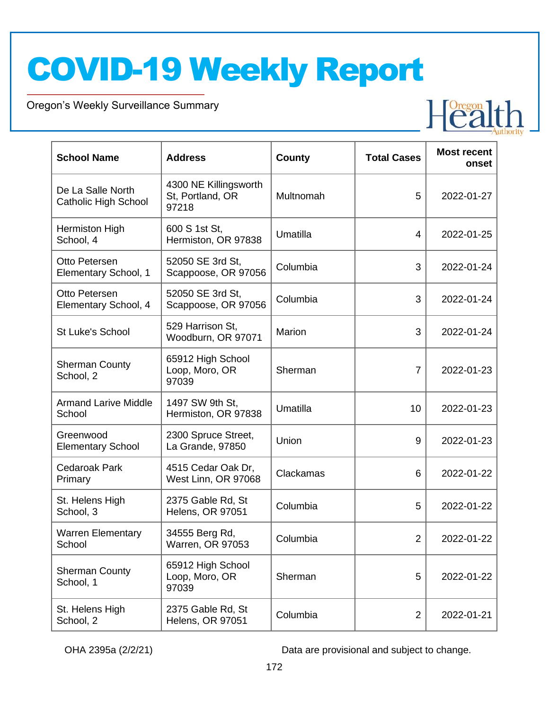Oregon's Weekly Surveillance Summary

Novel Coronavirus (COVID-19)

| <b>School Name</b>                        | <b>Address</b>                                     | <b>County</b> | <b>Total Cases</b> | <b>Most recent</b><br>onset |
|-------------------------------------------|----------------------------------------------------|---------------|--------------------|-----------------------------|
| De La Salle North<br>Catholic High School | 4300 NE Killingsworth<br>St, Portland, OR<br>97218 | Multnomah     | 5                  | 2022-01-27                  |
| <b>Hermiston High</b><br>School, 4        | 600 S 1st St,<br>Hermiston, OR 97838               | Umatilla      | 4                  | 2022-01-25                  |
| Otto Petersen<br>Elementary School, 1     | 52050 SE 3rd St,<br>Scappoose, OR 97056            | Columbia      | 3                  | 2022-01-24                  |
| Otto Petersen<br>Elementary School, 4     | 52050 SE 3rd St,<br>Scappoose, OR 97056            | Columbia      | 3                  | 2022-01-24                  |
| <b>St Luke's School</b>                   | 529 Harrison St,<br>Woodburn, OR 97071             | <b>Marion</b> | 3                  | 2022-01-24                  |
| <b>Sherman County</b><br>School, 2        | 65912 High School<br>Loop, Moro, OR<br>97039       | Sherman       | $\overline{7}$     | 2022-01-23                  |
| <b>Armand Larive Middle</b><br>School     | 1497 SW 9th St.<br>Hermiston, OR 97838             | Umatilla      | 10                 | 2022-01-23                  |
| Greenwood<br><b>Elementary School</b>     | 2300 Spruce Street,<br>La Grande, 97850            | Union         | 9                  | 2022-01-23                  |
| <b>Cedaroak Park</b><br>Primary           | 4515 Cedar Oak Dr,<br>West Linn, OR 97068          | Clackamas     | 6                  | 2022-01-22                  |
| St. Helens High<br>School, 3              | 2375 Gable Rd, St<br>Helens, OR 97051              | Columbia      | 5                  | 2022-01-22                  |
| <b>Warren Elementary</b><br>School        | 34555 Berg Rd,<br>Warren, OR 97053                 | Columbia      | $\overline{2}$     | 2022-01-22                  |
| <b>Sherman County</b><br>School, 1        | 65912 High School<br>Loop, Moro, OR<br>97039       | Sherman       | 5                  | 2022-01-22                  |
| St. Helens High<br>School, 2              | 2375 Gable Rd, St<br>Helens, OR 97051              | Columbia      | $\overline{2}$     | 2022-01-21                  |

OHA 2395a (2/2/21) Data are provisional and subject to change.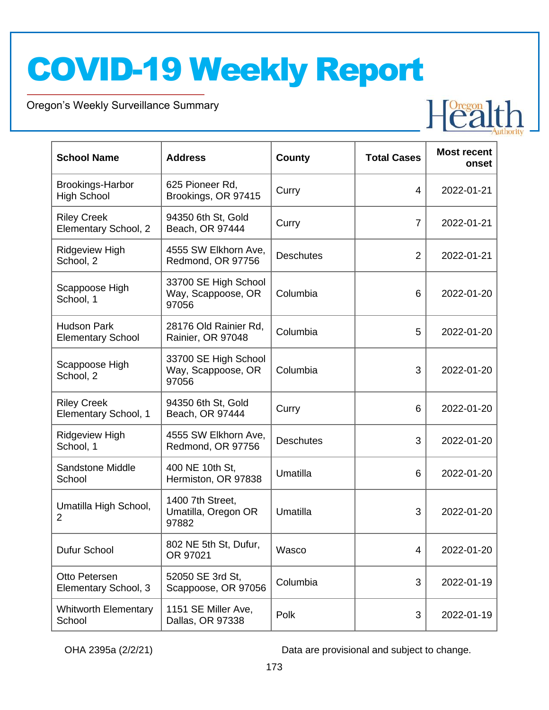Oregon's Weekly Surveillance Summary

Novel Coronavirus (COVID-19)

| <b>School Name</b>                             | <b>Address</b>                                      | County           | <b>Total Cases</b> | <b>Most recent</b><br>onset |
|------------------------------------------------|-----------------------------------------------------|------------------|--------------------|-----------------------------|
| <b>Brookings-Harbor</b><br><b>High School</b>  | 625 Pioneer Rd,<br>Brookings, OR 97415              | Curry            | 4                  | 2022-01-21                  |
| <b>Riley Creek</b><br>Elementary School, 2     | 94350 6th St, Gold<br>Beach, OR 97444               | Curry            | $\overline{7}$     | 2022-01-21                  |
| <b>Ridgeview High</b><br>School, 2             | 4555 SW Elkhorn Ave,<br>Redmond, OR 97756           | <b>Deschutes</b> | $\overline{2}$     | 2022-01-21                  |
| Scappoose High<br>School, 1                    | 33700 SE High School<br>Way, Scappoose, OR<br>97056 | Columbia         | 6                  | 2022-01-20                  |
| <b>Hudson Park</b><br><b>Elementary School</b> | 28176 Old Rainier Rd,<br>Rainier, OR 97048          | Columbia         | 5                  | 2022-01-20                  |
| Scappoose High<br>School, 2                    | 33700 SE High School<br>Way, Scappoose, OR<br>97056 | Columbia         | 3                  | 2022-01-20                  |
| <b>Riley Creek</b><br>Elementary School, 1     | 94350 6th St, Gold<br>Beach, OR 97444               | Curry            | 6                  | 2022-01-20                  |
| <b>Ridgeview High</b><br>School, 1             | 4555 SW Elkhorn Ave,<br>Redmond, OR 97756           | <b>Deschutes</b> | 3                  | 2022-01-20                  |
| <b>Sandstone Middle</b><br>School              | 400 NE 10th St,<br>Hermiston, OR 97838              | Umatilla         | 6                  | 2022-01-20                  |
| Umatilla High School,<br>$\overline{2}$        | 1400 7th Street,<br>Umatilla, Oregon OR<br>97882    | Umatilla         | 3                  | 2022-01-20                  |
| Dufur School                                   | 802 NE 5th St, Dufur,<br>OR 97021                   | Wasco            | 4                  | 2022-01-20                  |
| Otto Petersen<br>Elementary School, 3          | 52050 SE 3rd St,<br>Scappoose, OR 97056             | Columbia         | 3                  | 2022-01-19                  |
| <b>Whitworth Elementary</b><br>School          | 1151 SE Miller Ave,<br>Dallas, OR 97338             | Polk             | 3                  | 2022-01-19                  |

OHA 2395a (2/2/21) Data are provisional and subject to change.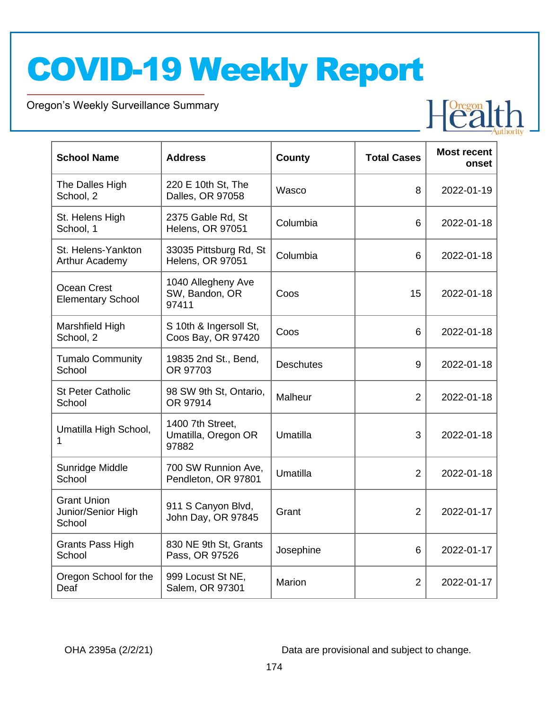Oregon's Weekly Surveillance Summary

Novel Coronavirus (COVID-19)

| <b>School Name</b>                                 | <b>Address</b>                                   | County           | <b>Total Cases</b> | <b>Most recent</b><br>onset |
|----------------------------------------------------|--------------------------------------------------|------------------|--------------------|-----------------------------|
| The Dalles High<br>School, 2                       | 220 E 10th St, The<br>Dalles, OR 97058           | Wasco            | 8                  | 2022-01-19                  |
| St. Helens High<br>School, 1                       | 2375 Gable Rd, St<br><b>Helens, OR 97051</b>     | Columbia         | 6                  | 2022-01-18                  |
| St. Helens-Yankton<br>Arthur Academy               | 33035 Pittsburg Rd, St<br>Helens, OR 97051       | Columbia         | 6                  | 2022-01-18                  |
| Ocean Crest<br><b>Elementary School</b>            | 1040 Allegheny Ave<br>SW, Bandon, OR<br>97411    | Coos             | 15                 | 2022-01-18                  |
| Marshfield High<br>School, 2                       | S 10th & Ingersoll St,<br>Coos Bay, OR 97420     | Coos             | 6                  | 2022-01-18                  |
| <b>Tumalo Community</b><br>School                  | 19835 2nd St., Bend,<br>OR 97703                 | <b>Deschutes</b> | 9                  | 2022-01-18                  |
| <b>St Peter Catholic</b><br>School                 | 98 SW 9th St, Ontario,<br>OR 97914               | Malheur          | $\overline{2}$     | 2022-01-18                  |
| Umatilla High School,<br>1                         | 1400 7th Street.<br>Umatilla, Oregon OR<br>97882 | Umatilla         | 3                  | 2022-01-18                  |
| Sunridge Middle<br>School                          | 700 SW Runnion Ave,<br>Pendleton, OR 97801       | Umatilla         | $\overline{2}$     | 2022-01-18                  |
| <b>Grant Union</b><br>Junior/Senior High<br>School | 911 S Canyon Blvd,<br>John Day, OR 97845         | Grant            | $\overline{2}$     | 2022-01-17                  |
| <b>Grants Pass High</b><br>School                  | 830 NE 9th St, Grants<br>Pass, OR 97526          | Josephine        | 6                  | 2022-01-17                  |
| Oregon School for the<br>Deaf                      | 999 Locust St NE,<br>Salem, OR 97301             | Marion           | $\overline{2}$     | 2022-01-17                  |

OHA 2395a (2/2/21) Data are provisional and subject to change.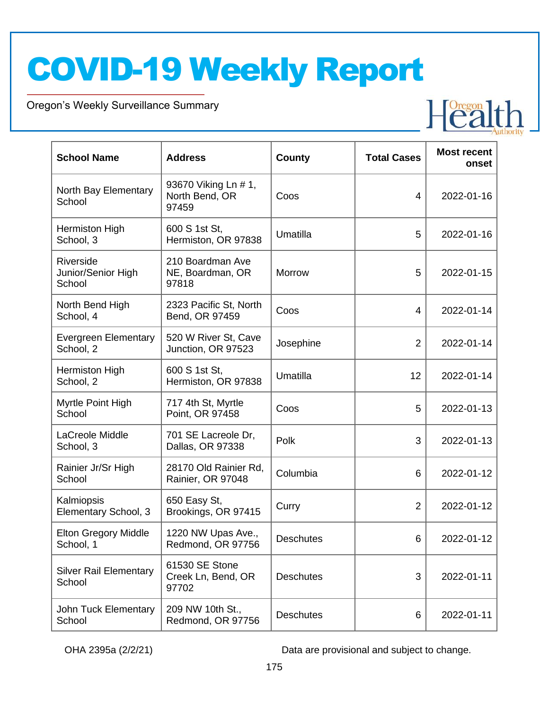Oregon's Weekly Surveillance Summary

Novel Coronavirus (COVID-19)

| <b>School Name</b>                        | <b>Address</b>                                  | County           | <b>Total Cases</b> | <b>Most recent</b><br>onset |
|-------------------------------------------|-------------------------------------------------|------------------|--------------------|-----------------------------|
| North Bay Elementary<br>School            | 93670 Viking Ln # 1,<br>North Bend, OR<br>97459 | Coos             | 4                  | 2022-01-16                  |
| Hermiston High<br>School, 3               | 600 S 1st St,<br>Hermiston, OR 97838            | Umatilla         | 5                  | 2022-01-16                  |
| Riverside<br>Junior/Senior High<br>School | 210 Boardman Ave<br>NE, Boardman, OR<br>97818   | Morrow           | 5                  | 2022-01-15                  |
| North Bend High<br>School, 4              | 2323 Pacific St, North<br>Bend, OR 97459        | Coos             | 4                  | 2022-01-14                  |
| <b>Evergreen Elementary</b><br>School, 2  | 520 W River St, Cave<br>Junction, OR 97523      | Josephine        | $\overline{2}$     | 2022-01-14                  |
| Hermiston High<br>School, 2               | 600 S 1st St,<br>Hermiston, OR 97838            | Umatilla         | 12                 | 2022-01-14                  |
| Myrtle Point High<br>School               | 717 4th St, Myrtle<br>Point, OR 97458           | Coos             | 5                  | 2022-01-13                  |
| LaCreole Middle<br>School, 3              | 701 SE Lacreole Dr,<br>Dallas, OR 97338         | Polk             | 3                  | 2022-01-13                  |
| Rainier Jr/Sr High<br>School              | 28170 Old Rainier Rd,<br>Rainier, OR 97048      | Columbia         | 6                  | 2022-01-12                  |
| Kalmiopsis<br>Elementary School, 3        | 650 Easy St,<br>Brookings, OR 97415             | Curry            | $\overline{2}$     | 2022-01-12                  |
| <b>Elton Gregory Middle</b><br>School, 1  | 1220 NW Upas Ave.,<br>Redmond, OR 97756         | <b>Deschutes</b> | 6                  | 2022-01-12                  |
| <b>Silver Rail Elementary</b><br>School   | 61530 SE Stone<br>Creek Ln, Bend, OR<br>97702   | <b>Deschutes</b> | 3                  | 2022-01-11                  |
| John Tuck Elementary<br>School            | 209 NW 10th St.,<br>Redmond, OR 97756           | <b>Deschutes</b> | 6                  | 2022-01-11                  |

OHA 2395a (2/2/21) Data are provisional and subject to change.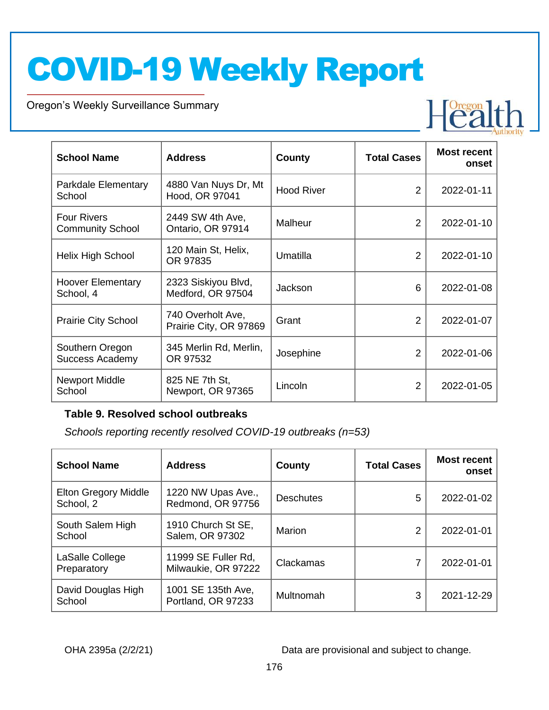Oregon's Weekly Surveillance Summary

| <b>School Name</b>                            | <b>Address</b>                              | <b>County</b>     | <b>Total Cases</b> | <b>Most recent</b><br>onset |
|-----------------------------------------------|---------------------------------------------|-------------------|--------------------|-----------------------------|
| Parkdale Elementary<br>School                 | 4880 Van Nuys Dr, Mt<br>Hood, OR 97041      | <b>Hood River</b> | $\overline{2}$     | 2022-01-11                  |
| <b>Four Rivers</b><br><b>Community School</b> | 2449 SW 4th Ave,<br>Ontario, OR 97914       | Malheur           | 2                  | 2022-01-10                  |
| Helix High School                             | 120 Main St, Helix,<br>OR 97835             | Umatilla          | $\overline{2}$     | 2022-01-10                  |
| <b>Hoover Elementary</b><br>School, 4         | 2323 Siskiyou Blvd,<br>Medford, OR 97504    | Jackson           | 6                  | 2022-01-08                  |
| Prairie City School                           | 740 Overholt Ave,<br>Prairie City, OR 97869 | Grant             | $\overline{2}$     | 2022-01-07                  |
| Southern Oregon<br><b>Success Academy</b>     | 345 Merlin Rd, Merlin,<br>OR 97532          | Josephine         | 2                  | 2022-01-06                  |
| Newport Middle<br>School                      | 825 NE 7th St,<br>Newport, OR 97365         | Lincoln           | $\overline{2}$     | 2022-01-05                  |

#### **Table 9. Resolved school outbreaks**

*Schools reporting recently resolved COVID-19 outbreaks (n=53)*

| <b>School Name</b>                | <b>Address</b>                             | County           | <b>Total Cases</b> | <b>Most recent</b><br>onset |
|-----------------------------------|--------------------------------------------|------------------|--------------------|-----------------------------|
| Elton Gregory Middle<br>School, 2 | 1220 NW Upas Ave.,<br>Redmond, OR 97756    | <b>Deschutes</b> | 5                  | 2022-01-02                  |
| South Salem High<br>School        | 1910 Church St SE,<br>Salem, OR 97302      | Marion           | っ                  | 2022-01-01                  |
| LaSalle College<br>Preparatory    | 11999 SE Fuller Rd,<br>Milwaukie, OR 97222 | Clackamas        |                    | 2022-01-01                  |
| David Douglas High<br>School      | 1001 SE 135th Ave,<br>Portland, OR 97233   | Multnomah        | 3                  | 2021-12-29                  |

OHA 2395a (2/2/21) Data are provisional and subject to change.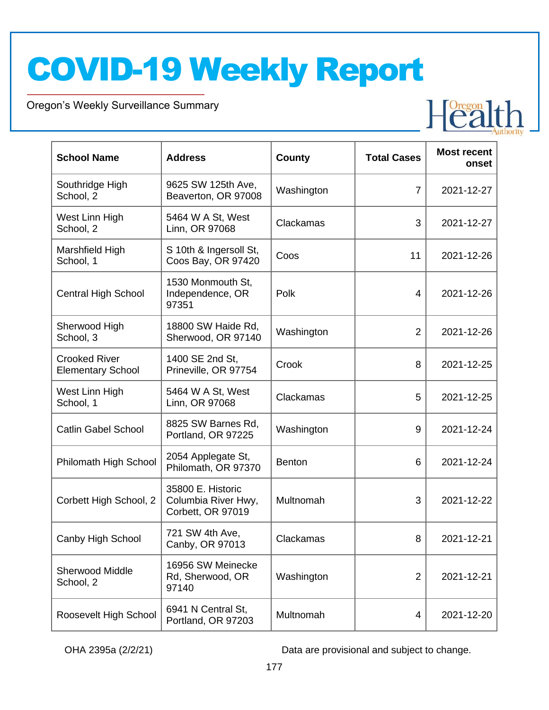Oregon's Weekly Surveillance Summary

Novel Coronavirus (COVID-19)

| <b>School Name</b>                               | <b>Address</b>                                                | County        | <b>Total Cases</b> | <b>Most recent</b><br>onset |
|--------------------------------------------------|---------------------------------------------------------------|---------------|--------------------|-----------------------------|
| Southridge High<br>School, 2                     | 9625 SW 125th Ave,<br>Beaverton, OR 97008                     | Washington    | $\overline{7}$     | 2021-12-27                  |
| West Linn High<br>School, 2                      | 5464 W A St, West<br>Linn, OR 97068                           | Clackamas     | 3                  | 2021-12-27                  |
| Marshfield High<br>School, 1                     | S 10th & Ingersoll St,<br>Coos Bay, OR 97420                  | Coos          | 11                 | 2021-12-26                  |
| <b>Central High School</b>                       | 1530 Monmouth St,<br>Independence, OR<br>97351                | Polk          | $\overline{4}$     | 2021-12-26                  |
| Sherwood High<br>School, 3                       | 18800 SW Haide Rd,<br>Sherwood, OR 97140                      | Washington    | $\overline{2}$     | 2021-12-26                  |
| <b>Crooked River</b><br><b>Elementary School</b> | 1400 SE 2nd St,<br>Prineville, OR 97754                       | Crook         | 8                  | 2021-12-25                  |
| West Linn High<br>School, 1                      | 5464 W A St, West<br>Linn, OR 97068                           | Clackamas     | 5                  | 2021-12-25                  |
| <b>Catlin Gabel School</b>                       | 8825 SW Barnes Rd,<br>Portland, OR 97225                      | Washington    | 9                  | 2021-12-24                  |
| Philomath High School                            | 2054 Applegate St,<br>Philomath, OR 97370                     | <b>Benton</b> | 6                  | 2021-12-24                  |
| Corbett High School, 2                           | 35800 E. Historic<br>Columbia River Hwy,<br>Corbett, OR 97019 | Multnomah     | 3                  | 2021-12-22                  |
| Canby High School                                | 721 SW 4th Ave,<br>Canby, OR 97013                            | Clackamas     | 8                  | 2021-12-21                  |
| <b>Sherwood Middle</b><br>School, 2              | 16956 SW Meinecke<br>Rd, Sherwood, OR<br>97140                | Washington    | $\overline{2}$     | 2021-12-21                  |
| Roosevelt High School                            | 6941 N Central St,<br>Portland, OR 97203                      | Multnomah     | 4                  | 2021-12-20                  |

OHA 2395a (2/2/21) Data are provisional and subject to change.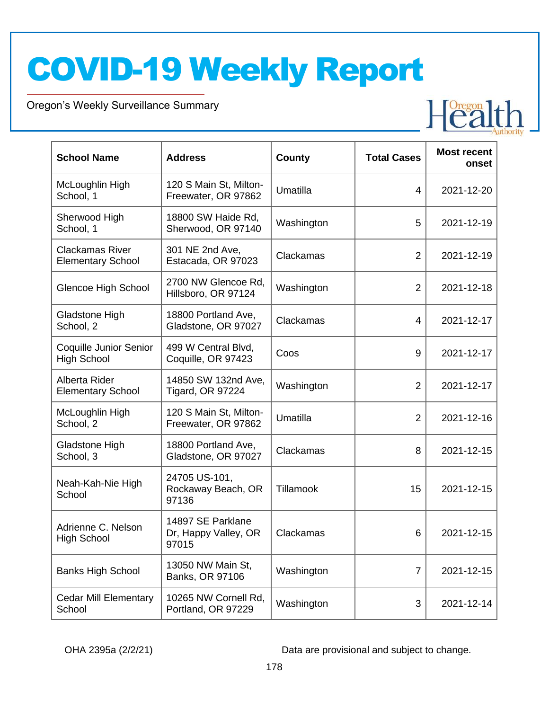Oregon's Weekly Surveillance Summary

Novel Coronavirus (COVID-19)

| <b>School Name</b>                                  | <b>Address</b>                                     | <b>County</b> | <b>Total Cases</b> | <b>Most recent</b><br>onset |
|-----------------------------------------------------|----------------------------------------------------|---------------|--------------------|-----------------------------|
| McLoughlin High<br>School, 1                        | 120 S Main St, Milton-<br>Freewater, OR 97862      | Umatilla      | 4                  | 2021-12-20                  |
| Sherwood High<br>School, 1                          | 18800 SW Haide Rd,<br>Sherwood, OR 97140           | Washington    | 5                  | 2021-12-19                  |
| <b>Clackamas River</b><br><b>Elementary School</b>  | 301 NE 2nd Ave,<br>Estacada, OR 97023              | Clackamas     | $\overline{2}$     | 2021-12-19                  |
| <b>Glencoe High School</b>                          | 2700 NW Glencoe Rd,<br>Hillsboro, OR 97124         | Washington    | $\overline{2}$     | 2021-12-18                  |
| Gladstone High<br>School, 2                         | 18800 Portland Ave,<br>Gladstone, OR 97027         | Clackamas     | 4                  | 2021-12-17                  |
| <b>Coquille Junior Senior</b><br><b>High School</b> | 499 W Central Blvd,<br>Coquille, OR 97423          | Coos          | 9                  | 2021-12-17                  |
| Alberta Rider<br><b>Elementary School</b>           | 14850 SW 132nd Ave,<br><b>Tigard, OR 97224</b>     | Washington    | $\overline{2}$     | 2021-12-17                  |
| McLoughlin High<br>School, 2                        | 120 S Main St, Milton-<br>Freewater, OR 97862      | Umatilla      | $\overline{2}$     | 2021-12-16                  |
| Gladstone High<br>School, 3                         | 18800 Portland Ave,<br>Gladstone, OR 97027         | Clackamas     | 8                  | 2021-12-15                  |
| Neah-Kah-Nie High<br>School                         | 24705 US-101,<br>Rockaway Beach, OR<br>97136       | Tillamook     | 15                 | 2021-12-15                  |
| Adrienne C. Nelson<br><b>High School</b>            | 14897 SE Parklane<br>Dr, Happy Valley, OR<br>97015 | Clackamas     | 6                  | 2021-12-15                  |
| <b>Banks High School</b>                            | 13050 NW Main St,<br>Banks, OR 97106               | Washington    | $\overline{7}$     | 2021-12-15                  |
| <b>Cedar Mill Elementary</b><br>School              | 10265 NW Cornell Rd,<br>Portland, OR 97229         | Washington    | $\sqrt{3}$         | 2021-12-14                  |

OHA 2395a (2/2/21) Data are provisional and subject to change.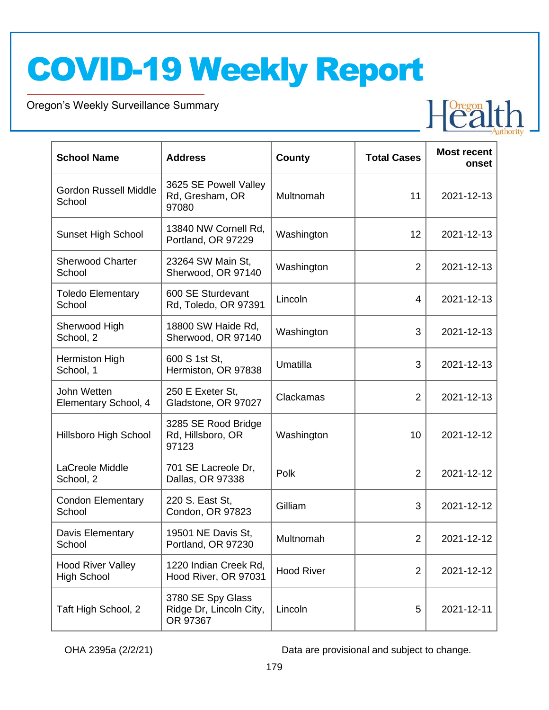Oregon's Weekly Surveillance Summary

Novel Coronavirus (COVID-19)

| <b>School Name</b>                             | <b>Address</b>                                           | County            | <b>Total Cases</b> | <b>Most recent</b><br>onset |
|------------------------------------------------|----------------------------------------------------------|-------------------|--------------------|-----------------------------|
| <b>Gordon Russell Middle</b><br>School         | 3625 SE Powell Valley<br>Rd, Gresham, OR<br>97080        | Multnomah         | 11                 | 2021-12-13                  |
| <b>Sunset High School</b>                      | 13840 NW Cornell Rd,<br>Portland, OR 97229               | Washington        | 12                 | 2021-12-13                  |
| <b>Sherwood Charter</b><br>School              | 23264 SW Main St,<br>Sherwood, OR 97140                  | Washington        | $\overline{2}$     | 2021-12-13                  |
| <b>Toledo Elementary</b><br>School             | 600 SE Sturdevant<br>Rd, Toledo, OR 97391                | Lincoln           | 4                  | 2021-12-13                  |
| Sherwood High<br>School, 2                     | 18800 SW Haide Rd,<br>Sherwood, OR 97140                 | Washington        | 3                  | 2021-12-13                  |
| Hermiston High<br>School, 1                    | 600 S 1st St,<br>Hermiston, OR 97838                     | Umatilla          | 3                  | 2021-12-13                  |
| John Wetten<br>Elementary School, 4            | 250 E Exeter St,<br>Gladstone, OR 97027                  | Clackamas         | 2                  | 2021-12-13                  |
| Hillsboro High School                          | 3285 SE Rood Bridge<br>Rd, Hillsboro, OR<br>97123        | Washington        | 10                 | 2021-12-12                  |
| LaCreole Middle<br>School, 2                   | 701 SE Lacreole Dr,<br>Dallas, OR 97338                  | Polk              | $\overline{2}$     | 2021-12-12                  |
| <b>Condon Elementary</b><br>School             | 220 S. East St,<br>Condon, OR 97823                      | Gilliam           | 3                  | 2021-12-12                  |
| Davis Elementary<br>School                     | 19501 NE Davis St,<br>Portland, OR 97230                 | Multnomah         | $\overline{2}$     | 2021-12-12                  |
| <b>Hood River Valley</b><br><b>High School</b> | 1220 Indian Creek Rd,<br>Hood River, OR 97031            | <b>Hood River</b> | $\overline{2}$     | 2021-12-12                  |
| Taft High School, 2                            | 3780 SE Spy Glass<br>Ridge Dr, Lincoln City,<br>OR 97367 | Lincoln           | 5                  | 2021-12-11                  |

OHA 2395a (2/2/21) Data are provisional and subject to change.